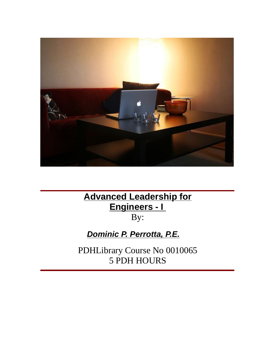

### **Advanced Leadership for Engineers - I** By:

**Dominic P. Perrotta, P.E.**

PDHLibrary Course No 0010065 5 PDH HOURS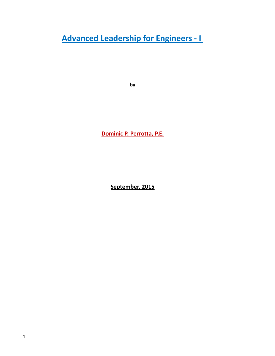# **Leadership for Engineers - <sup>I</sup> Advanced Leadership for Engineers - I**

 **P. Perrotta, P.E. Dominic P. Perrotta, P.E.** 

**2015**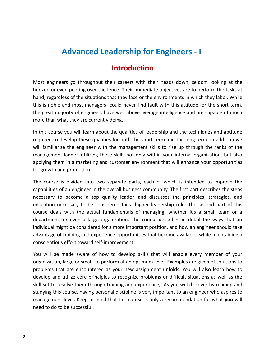# **Leadership for Engineers - <sup>I</sup>** Advanced Leadership for Engineers - I<br>Introduction<br>engineers go throughout their careers with their heads down, seldom looking at the

**Advanced Leadership for Engineers - I**<br>Introduction<br>Introduction<br>or even peering over the fence. Their immediate objectives are to perform the tasks at **Introduction**<br>**Introduction**<br>engineers go throughout their careers with their heads down, seldom looking at the<br>n or even peering over the fence. Their immediate objectives are to perform the tasks at<br>regardless of the si **Introduction**<br>Most engineers go throughout their careers with their heads down, seldom looking at the<br>horizon or even peering over the fence. Their immediate objectives are to perform the tasks at<br>hand, regardless of the ITTITURICONTERT THE ENDEVITED THE ENDEVITED THE ENDEVITED THE USE OF EXTINCT THE THEORY OF EXTINCTION OF EVALUTION OF EVALUTION OF EVALUTION OF ENDEVITED IN the startions that they face or the environments in which they la Most engineers go throughout their careers with their heads down, seldom looking at the engineers go throughout their careers<br>on or even peering over the fence. Their<br>regardless of the situations that they fa<br>noble and most managers could neve<br>eat majority of engineers have well about<br>than what they are curre horizon or even peering over the fence. Their immediate objectives are to perform the tasks at rizon or even peering over the fence. Their immediate objectives are to perform the tasks at<br>nd, regardless of the situations that they face or the environments in which they labor. While<br>s is noble and most managers could hand, regardless of the situations that they face or the environments in which they labor. While ardless of the situations that they face or the environments in which they labor. While<br>ble and most managers could never find fault with this attitude for the short term,<br>majority of engineers have well above average inte this is noble and most managers could never find fault with this attitude for the short term,<br>great majority of engineers have well above average intelligence and are capable of much<br>e than what they are currently doing.<br>iis co the great majority of engineers have well above average intelligence and are capable of much more than what they are currently doing.

brity of engineers have well above average intelligence and are capable of much<br>at they are currently doing.<br>you will learn about the qualities of leadership and the techniques and aptitude<br>evelop these qualities for both In what they are currently doing.<br>
urse you will learn about the qualities of leadership and the techniques and aptitude<br>
to develop these qualities for both the short term and the long term. In addition we<br>
iarize the eng In this course you will learn ab<br>required to develop these qual<br>will familiarize the engineer w<br>management ladder, utilizing t<br>applying them in a marketing a<br>for growth and promotion. ired to develop these qualities for both the short term and the long term. In addition we<br>iamiliarize the engineer with the management skills to rise up through the ranks of the<br>agement ladder, utilizing these skills not o will familiarize the engineer with the management skills to rise up through the ranks of the ize the engineer with the management skills to rise up through the ranks of the<br>ht ladder, utilizing these skills not only within your internal organization, but also<br>em in a marketing and customer environment that will en management ladder, utilizing these skills not only within your internal organization, but also Intertigation, but also<br>
the in a marketing and customer environment that will enhance your opportunities<br>
and promotion.<br>
The strategies of an engineer in the overall business community. The first part describes the steps applying them in a marketing and customer environment that will enhance your opportunities for growth and promotion.

necessary to be considered for a higher leadership role. The second part of this parameters and promotion.<br>
The is divided into two separate parts, each of which is intended to improve the second of an engineer in the over th and promotion.<br>
urse is divided into two separate parts, each of which is intended to improve the<br>
ties of an engineer in the overall business community. The first part describes the steps<br>
ry to become a top quality le The course is divided into two separate parts, each of which is intended to improve the s divided into two separate parts, each of which is intended to improve the<br>f an engineer in the overall business community. The first part describes the steps<br>become a top quality leader, and discusses the principles, str capabilities of an engineer in the overall business community. The first part describes the steps of an engineer in the overall business community. The first part describes the steps<br>to become a top quality leader, and discusses the principles, strategies, and<br>necessary to be considered for a higher leadership role. Th necessary to become a top quality leader, and discusses the principles, strategies, and For an engineer in the overall basiness commanty. The lift part describes the steps<br>to become a top quality leader, and discusses the principles, strategies, and<br>necessary to be considered for a higher leadership role. The reducation necessary to be considered for a high<br>course deals with the actual fundamentals of r<br>department, or even a large organization. The c<br>individual might be considered for a more importar<br>advantage of training and e se deals with the actual fundamentals of managing, whether it's a small team or a<br>intment, or even a large organization. The course describes in detail the ways that an<br>idual might be considered for a more important positi department, or even a large organization. The course describes in detail the ways that an or even a large organization. The course describes in detail the ways that an<br>sht be considered for a more important position, and how an engineer should take<br>training and experience opportunities that become available, wh individual might be considered for a more important position, and how an engineer should take<br>of training and experience opportunities that become available, while maintaining a<br>ous effort toward self-improvement.<br>pe made aware of ho advantage of training and experience opportunities that become available, while maintaining a conscientious effort toward self-improvement.

ie of training and experience opportunities that become available, while maintaining a<br>tious effort toward self-improvement.<br>be made aware of how to develop skills that will enable every member of your<br>tion, large or small cientious effort toward self-improvement.<br>
will be made aware of how to develop skills that will enable every member of your<br>
nization, large or small, to perform at an optimum level. Examples are given of solutions to<br>
le studyingbe made aware of how to develop skills that will enable every member of your<br>ion, large or small, to perform at an optimum level. Examples are given of solutions to<br>is that are encountered as your new assignment unfolds. Y  $\frac{10a}{100}$  will be level. Keep in mind that this course is only a recommendation for what **you** arge or small, to perform at an optimum level. Examples are given of solutions to tare encountered as your new assignment unfolds. You will also  $rac{1}{\sqrt{2}}$ problems that are encountered as your new assignment unfolds. You will also learn how to develop and utilize core principles to recognize problems or difficult situations as well as the skill set to resolve them through tr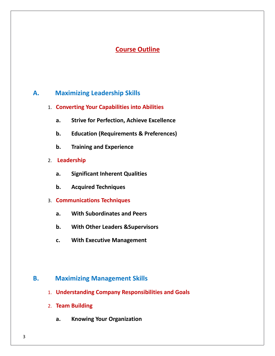# **Outline**

### **Maximizing Leadership Skills Converting Your Capabilities into Abilities Maximizing Leadership Skills** А.

- **Strive Strive Separate Strive Strive Foragoism**<br>The Politics of *Perfection*<br>The Perfection, Achieve Excellence<br>Strive for Perfection, Achieve Excellence **Training Your Capabilities into Abilities<br>
<b>a.** Strive for Perfection, Achieve Excellence<br> **b.** Education (Requirements & Preferences)<br> **b.** Training and Experience
	- **Example 28 Exerces Transformalist Strive for Perfection, Achieve Excellence<br><b>Education (Requirements & Preferences)**<br>**Education (Requirements & Preferences) Leadership**<br> **Leadership**<br> **Leadership a.**
	- **Education (Requirements & Preferences) b.**
	-
- $\overline{2}$ **a.**
- **Significant Inherent Qualities<br>
<b>Acquired Techniques Communications Techniques**<br> **Communications Techniques**<br> **Communications Techniques Significant Inherent Qualities<br>Acquired Techniques<br><b>Nunications Techniques**<br>With Subordinates and Peers **b.**
	- **c.**
- 
- **Example 18 Superior Acquired Techniques<br>
<b>With Subordinates and Peers<br>
With Other Leaders &Supervisors**  $a.$
- **Example 18 Separates Schedule 18 Separates Schement**<br> **EXECUTE: With Other Leaders & Supervisors<br>
<b>C.** With Executive Management **b.** With Other Leaders & Supervisors<br> **c.** With Executive Management<br>
Maximizing Management Skills
	-

### **Maximizing Management Skills<br>1. Understanding Company Responsibi<br>2. Team Building B.**

- **Understanding Company Responsibilities and Goals K. Understanding Company Responsibilities and Goals<br>
<b>K. Team Building**<br> **A. Knowing Your Organization**
- - $a.$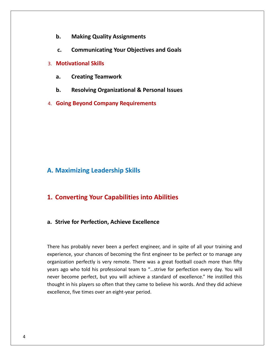- **Making Quality Assignments 6.** Making Quality Assi<br> **c.** Communicating You<br>
Motivational Skills **b.**
- **Communicating Constitutes Communicating Your Objectives and Goals**<br> **Communicating Your Objectives and Goals Making Quality Assignments<br>
Communicating Your Objectives and Goals<br>
vational Skills<br>
Creating Teamwork Communicating Your Objectives and Goals<br>
<b>Resolving Teamwork**<br>
Resolving Organizational & Personal Issues
- 3. Motivational Skills
	-
- **Example 2018 1999 12: Communicating field 20.3 Motivational Skills<br>
<b>A.** Creating Teamwork<br> **B.** Resolving Organizational & Personal Issues<br> **Going Bevond Company Requirements**
- 

## **Maximizing Leadership Skills A. Maximizing Leadership Skills**

 **Converting Your Capabilities into Abilities 1. Converting Your Capabilities into Abilities** 

### a. Strive for Perfection, Achieve Excellence

Five for Perfection, Achieve Excellence<br>has probably never been a perfect engineer, and in spite of all your training and or Perfection, Achieve Excellence<br>robably never been a perfect engineer, and in spite of all your training and<br>vour chances of becoming the first engineer to be perfect or to manage any **Perfection, Achieve Excellence<br>
Supersediance was a perfect engineer, and in spite of all your training and<br>
our chances of becoming the first engineer to be perfect or to manage any<br>
perfectly is very remote. There was a** has probably never been a perfect engineer, and in spite of all your training and<br>ence, your chances of becoming the first engineer to be perfect or to manage any<br>zation perfectly is very remote. There was a great football has probably never been a perfect engineer, and in spite of all your training and<br>ence, your chances of becoming the first engineer to be perfect or to manage any<br>zation perfectly is very remote. There was a great football  $\mathbf{t}$  the set is probably never been a perfect engineer, and in spite of all your training and<br>ce, your chances of becoming the first engineer to be perfect or to manage any<br>tion perfectly is very remote. There was a great football coac  $\frac{1}{2}$ experience, your chances of becoming the first engineer to be perfect or to manage any organization perfectly is very remote. There was a great football coach more than fifty years ago who told his professional team to "..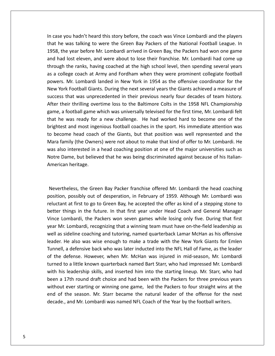case you hadnít heard this story before, the coach was Vince Lombardi and the players he you hadn't heard this story before, the coach was Vince Lombardi and the players<br>he was talking to were the Green Bay Packers of the National Football League. In the you hadn't heard this story before, the coach was Vince Lombardi and the players<br>the was talking to were the Green Bay Packers of the National Football League. In<br>the year before Mr. Lombardi arrived in Green Bay, the se you hadn't heard this story before, the coach was Vince Lombardi and the players<br>he was talking to were the Green Bay Packers of the National Football League. In<br>8, the year before Mr. Lombardi arrived in Green Bay, the ou hadn't heard this story before, the coach was Vince Lombardi and the players<br>was talking to were the Green Bay Packers of the National Football League. In<br>e year before Mr. Lombardi arrived in Green Bay, the Packers had ascase you hadn't heard this story before, the coach was Vince Lombardi and the players<br>at he was talking to were the Green Bay Packers of the National Football League. In<br>58, the year before Mr. Lombardi arrived in Green Ba  $\frac{1}{2}$ Mass talking to were the Green Bay Packers of the National Football League. In<br>e year before Mr. Lombardi arrived in Green Bay, the Packers had won one game<br>lost eleven, and were about to lose their franchise. Mr. Lombardi that he was talking to were the Green Bay Packers of the National Football League. In<br>1958, the year before Mr. Lombardi arrived in Green Bay, the Packers had won one game The year before Mr. Lombardi arrived in Green Bay, the Packers had won one game<br>and lost eleven, and were about to lose their franchise. Mr. Lombardi had come up<br>ugh the ranks, having coached at the high school level, then and had lost eleven, and were about to lose their franchise. Mr. Lombardi had come up that was unprecedented in their previous nearly four decades of team history.<br>
Through the ranks, having coached at the high school level, then spending several years<br>
as a college coach at Army and Fordham when they were at itst circlen, and were dood to itsel their manchine. Mit connoated had come ap<br>gh the ranks, having coached at the high school level, then spending several years<br>ollege coach at Army and Fordham when they were prominent through the ranks, having coached at the high school level, then spending several years<br>as a college coach at Army and Fordham when they were prominent collegiate football a football game which was universally televised for the first time. Mr. Lombardi landed in New York in 1954 as the offensive coordinator for the prk Football Giants. During the next several years the Giants achieved a meas us u he was ready for a new challenge. He had worked hard to become one of the was ready for a new challenge. He had worked hard to become one of the was ready for a new challenge. He had worked hard to become one of the was re New York Football Giants. During the next several years the Giants achieved a measure of and Giants. During the next several years the Giants achieved a measure of<br>and was unprecedented in their previous nearly four decades of team history.<br>In thrilling overtime loss to the Baltimore Colts in the 1958 NFL Cham success that was unprecedented in their previous nearly four decades of team history. become head coach of the Giants, but that position was well represented a measure of<br>their thrilling overtime loss to the Baltimore Colts in the 1958 NFL Championship<br>me, a football game which was universally televised for Mara family (the Owners) were not about to make that kind of offer to Mr. Lombardi. He<br>Mara family all game which was universally televised for the first time, Mr. Lombardi felt<br>that he was ready for a new challenge. He ha nes<br>1 e, a football game which was universally televised for the first time, Mr. Lombardi felt<br>he was ready for a new challenge. He had worked hard to become one of the<br>htest and most ingenious football coaches in the sport. His game, a football game which was universally televised for the first time, Mr. Lombardi felt<br>that he was ready for a new challenge. He had worked hard to become one of the game, a rootsan game which was anversany televised for the mst time, will combain felt<br>that he was ready for a new challenge. He had worked hard to become one of the<br>brightest and most ingenious football coaches in the spo brightest and most ingenious football coaches in the sport. His immediate attention was<br>to become head coach of the Giants, but that position was well represented and the<br>Mara family (the Owners) were not about to make tha was also interested in a head coaching position at one of the major universities such as sted in a head coaching position at one of the major universities such as<br>ut believed that he was being discriminated against because of his Italian-<br>age.<br>the Green Bav Packer franchise offered Mr. Lombardi the head coachi Notre Dame, but believed that he was being discriminated against because of his Italianme, but believed that he was being discriminated against because of his Italian-<br>heritage.<br>Possibly out of desperation, in February of 1959. Although Mr. Lombardi was American heritage.

heritage.<br>
Aless, the Green Bay Packer franchise offered Mr. Lombardi the head coaching<br>
possibly out of desperation, in February of 1959. Although Mr. Lombardi was<br>
at first to go to Green Bay. he accepted the offer as ki theless, the Green Bay Packer franchise offered Mr. Lombardi the head coaching<br>n, possibly out of desperation, in February of 1959. Although Mr. Lombardi was<br>nt at first to go to Green Bay, he accepted the offer as kind of Theless, the Green Bay Packer franchise offered Mr. Lombardi the head coaching<br>an, possibly out of desperation, in February of 1959. Although Mr. Lombardi was<br>ant at first to go to Green Bay, he accepted the offer as kind Nevertheless, the Green Bay Packer franchise offered Mr. Lombardi the head coaching ertheless, the Green Bay Packer franchise offered Mr. Lombardi the head coaching<br>ion, possibly out of desperation, in February of 1959. Although Mr. Lombardi was<br>tant at first to go to Green Bay, he accepted the offer as k  $\ddot{\phantom{1}}$ as sideline coaching and tutoring, named quarterback Lamar McHan as his offensive<br>and at first to go to Green Bay, he accepted the offer as kind of a stepping stone to<br>ar things in the future. In that first year under Head positio<br>. He also was wise enough to make a trade with the New York Giants for Emlen<br>He also was wise enough to make a trade with the New York Cianta Control of a stepping stone to<br>things in the future. In that first year under Head Tunnell<br>T rat mst to go to dicent bay, he accepted the oner as kind of a stepping stone to<br>hings in the future. In that first year under Head Coach and General Manager<br>mbardi, the Packers won seven games while losing only five. Duri  $\sum_{i=1}^{\infty}$ ter timigs in the ratate. In that mst year ander riead edden and denetal manager<br>the Lombardi, the Packers won seven games while losing only five. During that first<br>ar Mr. Lombardi, recognizing that a winning team must hav Vince Lombardi, the Packers won seven games while losing only five. During that first vear Mr. Lombardi, recognizing that a winning team must have on-the-field leadership as the model in a little known at the distribution with the weak-field leadership as<br>sideline coaching and tutoring, named quarterback Lamar McHan as his offensive<br>He also was wise enough to make a trade with the New York Gia  $\sum_{n=1}^{\infty}$ his leadership skills, and inserted him into the starting lineup. Mr. Starr, who had his leadership starting in and tutoring, named quarterback Lamar McHan as his offensive r. He also was wise enough to make a trade with t  $\sum_{i=1}^{n}$ a statume esterming and catomig, named quarterback camer werden as his onensive<br>r. He also was wise enough to make a trade with the New York Giants for Emlen<br>ell, a defensive back who was later inducted into the NFL Hall o leader. He also was wise enough to make a trade with the New York Giants for Emlen ever starting or winning one game. Identication for the Packers to four starts for entired and defensive back who was later inducted into the NFL Hall of Fame, as the leader efense. However, when Mr. McHan was injured in m Tunnell, a defensive back who was later inducted into the NFL Hall of Fame, as the leader<br>of the defense. However, when Mr. McHan was injured in mid-season, Mr. Lombardi of the season. Mr. Starr became the natural leader of the offense for the next and to a little known quarterback named Bart Starr, who had impressed Mr. Lombardi his leadership skills, and inserted him into the starting li turned to a little known quarterback named Bart Starr, who had impressed Mr. Lombardi a little known quarterback named Bart Starr, who had impressed Mr. Lombard leadership skills, and inserted him into the starting lineup. Mr. Starr, who had 7th round draft choice and had been with the Packers for three pre

1958,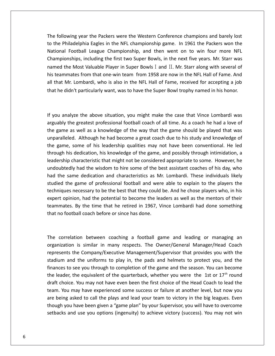following year the Packers were the Western Conference champions and barely lost the Following year the Packers were the Western Conference champions and barely lost<br>the Philadelphia Eagles in the NFL championship game. In 1961 the Packers won the Football League Championship, and then went on to win four more NFL<br>Football League Championship, and then went on to win four more NFL<br>Football League Championship, and then went on to win four more NFL ar the Packers were the Western Conference champions and barely lost<br>hia Eagles in the NFL championship game. In 1961 the Packers won the<br>Il League Championship, and then went on to win four more NFL<br>including the first tw owing year the Packers were the Western Confert<br>
Philadelphia Eagles in the NFL championship gand<br>
I Football League Championship, and then<br>
onships, including the first two Super Bowls, in<br>
the Most Valuable Plaver in Sup h.<br>Thu the Philadelphia Eagles in the NFL championship game. In 1961 the Packers won the Philadelphia Eagles in the NFL championship game. In 1961 the Packers won the ional Football League Championship, and then went on to win fo to the Philadelphia Eagles in the NFL championship game. In 1961 the Packers won the the Philadelphia Eagles in the NFL championship game. In 1961 the Packers won the<br>tional Football League Championship, and then went on to win four more NFL<br>ampionships, including the first two Super Bowls, in the next fiv National Football League Championship, and then went on to win four more NFL Championships, including the first two Super Bowls, in the next five years. Mr. Starr was named the Most Valuable Player in Super Bowls  $I$  and II. Mr. Starr along with several of his teammates from that one-win team from 1958 are now in the NFL Hall of Fame. And is teammates from that one-win team from 1958 are now in the NFL Hall of Fame. And<br>that Mr. Lombardi, who is also in the NFL Hall of Fame, received for accepting a job<br>at he didn't particularly want, was to have the Super all that Mr. Lombardi, who is also in the NFL Hall of Fame, received for accepting a job Inctively the greatest who is also in the NFL Hall of Fame, received for accepting a job<br>idn't particularly want, was to have the Super Bowl trophy named in his honor.<br>alyze the above situation, you might make the case tha

n Conference champions and barely lost<br>hip game. In 1961 the Packers won the<br>then went on to win four more NFL<br>wls, in the next five years. Mr. Starr was<br>I and II. Mr. Starr along with several of<br>58 are now in the NFL Hall that he didn't particularly want, was to have the Super Bowl trophy named in his honor.<br>If you analyze the above situation, you might make the case that Vince Lombardi was<br>arguably the greatest professional football coach the above situation, you might make the case that Vince Lombardi was<br>reatest professional football coach of all time. As a coach he had a love of<br>well as a knowledge of the way that the game should be played that was<br>Altho game, some of his leadership qualities may not have been conventional. He led<br>ame as well as a knowledge of the way that the game should be played that was<br>aralleled. Although he had become a great coach due to his study a If you analyze the above situation, you might make the case that Vince Lombardi was halyze the above situation, you might make the case that Vince Lombardi was<br>the greatest professional football coach of all time. As a coach he had a love of<br>e as well as a knowledge of the way that the game should be play  $\frac{1}{2}$ Figure the disote situation, you might mike the case that vince combatal was<br>ne greatest professional football coach of all time. As a coach he had a love of<br>as well as a knowledge of the way that the game should be played undoubly the well as a knowledge of the way that the game should be played that was<br>Although he had become a great coach due to his study and knowledge of<br>orme of his leadership qualities may not have been conventional. He led<br>edicatio hadIslame as well as a illuminedge of the way that the game should be played that was<br>trailleled. Although he had become a great coach due to his study and knowledge of<br>game, some of his leadership qualities may not have been anparai<br>.. the game of his leadership qualities may not have been conventional. He led<br>his dedication, his knowledge of the game, and possibly through intimidation, a<br>ip characteristic that might not be considered appropriate to some the game, some of his leadership qualities may not have been conventional. He led<br>through his dedication, his knowledge of the game, and possibly through intimidation, a dedication, his knowledge of the game, and possibly through intimidation, a<br>dedication, his knowledge of the game, and possibly through intimidation, a<br>tharacteristic that might not be considered appropriate to some. Howev experting dealer of this submiding of the game, and possibly imody. Intermation, a<br>leadership characteristic that might not be considered appropriate to some. However, he<br>undoubtedly had the wisdom to hire some of the best undoubtedly had the wisdom to hire some of the best assistant coaches of his day, who and the wisdom to hire some of the best assistant coaches of his day, who<br>he dedication and characteristics as Mr. Lombardi. These individuals likely<br>game of professional football and were able to explain to the players th had the same dedication and characteristics as Mr. Lombardi. These individuals likely studied the game of professional football and were able to explain to the players the techniques necessary to be the best that they could be. And he chose players who, in his expert opinion, had the potential to become the leaders as well as the mentors of their t opinion, had the potential to become the leaders as well as the mentors of their<br>mates. By the time that he retired in 1967, Vince Lombardi had done something<br>no football coach before or since has done.<br>correlation betwe teammates. By the time that he retired in 1967, Vince Lombardi had done something By the time that he retired in 1967, Vince Lombardi had done something<br>all coach before or since has done.<br>on between coaching a football game and leading or managing an<br>is similar in many respects. The Owner/General Manag that no football coach before or since has done.

I coach before or since has done.<br>
Ation between coaching a football game and leading or managing an<br>
In is similar in many respects. The Owner/General Manager/Head Coach<br>
the Company/Executive Management/Supervisor that p relation between coaching a football game and leading or managing an<br>ion is similar in many respects. The Owner/General Manager/Head Coach<br>ts the Company/Executive Management/Supervisor that provides you with the<br>and the u relation between coaching a football game and leading or managing an<br>ion is similar in many respects. The Owner/General Manager/Head Coach<br>ts the Company/Executive Management/Supervisor that provides you with the<br>and the u The correlation between coaching a football game and leading or managing an organization is similar in many respects. The Owner/General Manager/Head Coach represents the Company/Executive Management/Supervisor that provide organization is similar in many respects. The Owner, Oeneral Manager, richar organization is similar in many respects. The Owner/General Manager/Head Coach ization is similar in many respects. The Owner/General Manager/Head Coach sents the Company/Executive Management/Supervisor that provides you with the lum and the uniforms to play in, the pads and helmets to protect you, Exactor is similar in many respects. The owner, denoted manager, riead eddent<br>ents the Company/Executive Management/Supervisor that provides you with the<br>m and the uniforms to play in, the pads and helmets to protect you, stadium and the uniforms to play in, the pads and helmets to protect you, and the being and the uniforms to play in, the pads and helmets to protect you, and the nces to see you through to completion of the game and the season. You can become leader, the equivalent of the quarterback, whether you were finances to see you through to completion of the game and the season. You can become given a *increasing to play* in, the pads and inclineds to protect you, and the state is to see you through to completion of the game and the season. You can become der, the equivalent of the quarterback, whether you were the leader, the equivalent of the quarterback, whether you were the 1st or  $17<sup>th</sup>$  round and use you allows (in galaxies of the game and the season). You can become<br>ice. You may not have even been the first choice of the Head Coach to lead the<br>a may have experienced some success or failure at another level, b

National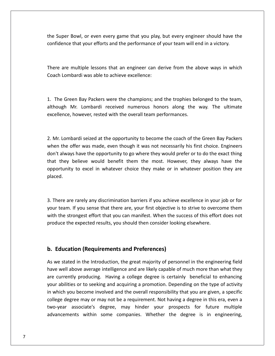Super Bowl, or even every game that you play, but every engineer should have the that you<br>that your even every game that you play, but every engineer should have the<br>that your efforts and the performance of your team will end in a victory. per Bowl, or even every game that you play, but every engineer should have the<br>ence that your efforts and the performance of your team will end in a victory.<br>are multiple lessons that an engineer can derive from the above the Super Bowl, or even every game that you play,<br>confidence that your efforts and the performance of<br>There are multiple lessons that an engineer can de<br>Coach Lombardi was able to achieve excellence:

There are multiple lessons that an engineer can derive from the above ways in which<br>Coach Lombardi was able to achieve excellence:<br>1. The Green Bav Packers were the champions: and the trophies belonged to the team. multiple lessons that an engineer can derive from the above ways in which<br>bardi was able to achieve excellence:<br>een Bay Packers were the champions; and the trophies belonged to the team,<br>Mr. Lombardi received numerous hono Coach Lombardi was able to achieve excellence:

boardi was able to achieve excellence:<br>
en Bay Packers were the champions; and the trophies be<br>
Ar. Lombardi received numerous honors along the<br>
however rested with the overall team performances.  $\overline{1}$ The Green Bay Packers were the champions; and the trophies belonged to the team,<br>hough Mr. Lombardi received numerous honors along the way. The ultimate<br>cellence, however, rested with the overall team performances.<br>Mr. Lom although Mr. Lombardi received numerous honors along the way. The ultimate gh Mr. Lombardi received numerous honors along the way. The ultimate<br>ence, however, rested with the overall team performances.<br>Lombardi seized at the opportunity to become the coach of the Green Bay Packers<br>the offer was m

excellence, however, rested with the overall team performances.<br>2. Mr. Lombardi seized at the opportunity to become the coach of the Green Bay Packers<br>when the offer was made, even though it was not necessarily his first c ence, however, rested with the overall team performances.<br>
Lombardi seized at the opportunity to become the coach of the Green Bay Packers<br>
the offer was made, even though it was not necessarily his first choice. Engineers Lombardi seized at the opportunity to become the coach of the Green Bay Packers<br>the offer was made, even though it was not necessarily his first choice. Engineers<br>always have the opportunity to go where they would prefer o Intertivian and the opportunity to become the coach of the Green Bay Packers<br>The was made, even though it was not necessarily his first choice. Engineers<br>Thave the opportunity to go where they would prefer or to do the exa 2. Mr. Lombardi seized at the opportunity to become the coach of the Green Bay Packers that they believe would benefit them the most. However, they always have the There are rarely any discrimination barriers if you achieve excellence in your job or for<br>There are rarely any discrimination barriers if you achieve excellence in your job or for opportunity to excel in whatever choice they make or in whatever position they are tunity to excel in whatever choice they make or in whatever position they are<br>d.<br>ere are rarely any discrimination barriers if you achieve excellence in your job or for<br>team. If you sense that there are, your first objecti placed. produce

the strongest effort that you can manifest excellence in your job or for<br>team. If you sense that there are, your first objective is to strive to overcome them<br>the strongest effort that you can manifest. When the success of are rarely any discrimination barriers if you achieve excellence in your<br>m. If you sense that there are, your first objective is to strive to overconstrongest effort that you can manifest. When the success of this effort<br>t **b.**here are rarely any discrimination barriers if you achieve<br>
r team. If you sense that there are, your first objective is<br>
i the strongest effort that you can manifest. When the su<br>
duce the expected results, you should the with the strongest effort that you can manifest. When the success of this effort does not produce the expected results, you should then consider looking elsewhere. we stated in the Introduction, the great majority of personnel in the engineering field<br>we stated in the Introduction, the great majority of personnel in the engineering field have

### b. Education (Requirements and Preferences)

ducation (Requirements and Preferences)<br>e stated in the Introduction, the great majority of personnel in the engineering field<br>well above average intelligence and are likely capable of much more than what they Education (Requirements and Preferences)<br>ve stated in the Introduction, the great majority of personnel in the engineering field<br>explaint a college and are likely capable of much more than what they<br>currently producing. Ha **ducation (Requirements and Preferences)**<br>e stated in the Introduction, the great majority of personnel in the engineering field<br>well above average intelligence and are likely capable of much more than what they<br>urrently p Education (Requirements and Preferences)<br>we stated in the Introduction, the great majority of personnel in the engineering field<br>ve well above average intelligence and are likely capable of much more than what they<br>e curre As we stated in the Introduction, the great majority of personnel in the engineering field tated in the Introduction, the great majority of personnel in the engineering field<br>ell above average intelligence and are likely capable of much more than what they<br>rently producing. Having a college degree is certainly b  $\frac{1}{10}$  we see as in the introduction, the great majority of personner in the engineering hera<br>bove average intelligence and are likely capable of much more than what they<br>ly producing. Having a college degree is certainly beneficial to Fract were above average intemgence and are mery capable of materniote than what they<br>are currently producing. Having a college degree is certainly beneficial to enhancing<br>your abilities or to seeking and acquiring a promo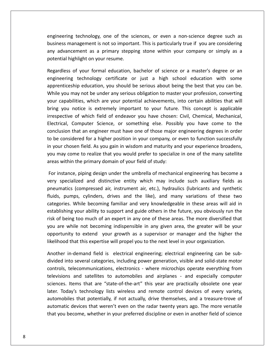technology, one of the sciences, or even <sup>a</sup> non-science degree such as management is not so important. This is particularly true if you are considering<br>management is not so important. This is particularly true if you are considering meering technology, one of the sciences, or even a non-science degree such as<br>hess management is not so important. This is particularly true if you are considering<br>advancement as a primary stepping stone within your compan engineering technology, one of the so<br>business management is not so importa<br>any advancement as a primary stepp<br>potential highlight on your resume. the education of the sciences, or even a non-science degree such as<br>anagement is not so important. This is particularly true if you are considering<br>ement as a primary stepping stone within your company or simply as a<br>ghlig engineeringechnology, one of the sciences, or even a non-science degree such as<br>agement is not so important. This is particularly true if you are considering<br>ment as a primary stepping stone within your company or simply as a<br>light o business management is not so important. This is particularly true if you are considering business management is not so important. This is particularly true if you are considering<br>any advancement as a primary stepping stone within your company or simply as a<br>potential highlight on your resume.<br>Regardless of you potential highlight on your resume.

dvancement as a primary stepping stone within your company or simply as a<br>ial highlight on your resume.<br>Iless of your formal education, bachelor of science or a master's degree or an<br>ering technology certificate or just a Itial highlight on your resume.<br>
calless of your formal education, bachelor of science or a master's degree or an<br>
eering technology certificate or just a high school education with some<br>
enticeship education, you should b Regardless of your formal education, bachelor of science or a master's degree or an Iless of your formal education, bachelor of science or a master's degree or an<br>ering technology certificate or just a high school education with some<br>ticeship education, you should be serious about being the best that you engineering technology certificate or just a high school education with some of your formal education, backeted of science of a master's degree of an<br>engineering technology certificate or just a high school education with some<br>apprenticeship education, you should be serious about being the best tha Solid a might sensor education with some<br>ship education, you should be serious about being the best that you can be.<br>may not be under any serious obligation to master your profession, converting<br>illities, which are your po upprentice<br>...... that an engineer must have one of those major engineering degrees in order may not be under any serious obligation to master your profession, converting ilities, which are your potential achievements, into certain abilitie tobe considered for a higher position in your company, or even to function successfully are capabilities, which are your potential achievements, into certain abilities that will ng you notice is extremely important to your f Four capabilities, which are your potential achievements, the ecreant abilities and will<br>bring you notice is extremely important to your future. This concept is applicable<br>irrespective of which field of endeavor you have c pective of which field of endeavor you have chosen: Civil, Chemical, Mechanical,<br>trical, Computer Science, or something else. Possibly you have come to the<br>clusion that an engineer must have one of those major engineering Electrical, Computer Science, or something else. Possiconclusion that an engineer must have one of those major<br>to be considered for a higher position in your company, or<br>in your chosen field. As you gain in wisdom and matu conclusion that an engineer must have one of those major engineering degrees in order Iusion that an engineer must have one of those major engineering degrees in order<br>e considered for a higher position in your company, or even to function successfully<br>our chosen field. As you gain in wisdom and maturity an to be considered for a higher position in your company, or even to function successfully considered for a higher position in your company, or even to function successfully<br>ir chosen field. As you gain in wisdom and maturity and your experience broadens,<br>hay come to realize that you would prefer to specialize i in your chosen field. As you gain in wisdom and maturity and your experience broadens, en field. As you gain in wisdom and maturity and your experience broadens,<br>
the to realize that you would prefer to specialize in one of the many satellite<br>
the primary domain of your field of study:<br>
piping design under t you may come to realize that you would prefer to specialize in one of the many satellite areas within the primary domain of your field of study:

y come to realize that you would prefer to specialize in one of the many satellite<br>ithin the primary domain of your field of study:<br>tance, piping design under the umbrella of mechanical engineering has become a<br>pecialized I the primary domain of your field of study:<br>
e, piping design under the umbrella of mechanical engineering has become a<br>
lized and distinctive entity which may include such auxiliary fields as<br>
(compressed air, instrument For instance, piping design under the umbrella of mechanical engineering has become a et pring design under the umbrella of mechanical engineering has become a<br>ized and distinctive entity which may include such auxiliary fields as<br>(compressed air, instrument air, etc.), hydraulics (lubricants and synthetic<br> very specialized and distinctive entity which may include such auxiliary fields as specialized and distinctive entity which may include such auxiliary fields as umatics (compressed air, instrument air, etc.), hydraulics (lubricants and synthetic is, pumps, cylinders, drives and the like), and many variat pneumatics (compressed air, instrument air, etc.), hydraulics (lubricants and synthetic are while not becoming indispensible in any given area. The greater will be your specialized compressed air, instrument air, etc.), hydraulics (lubricants and synthetic s, pumps, cylinders, drives and the like), and many v portunities<br>a · · In the system of these two spiritually signified with the server in the server with a system of these two While becoming familiar and very knowledgeable in these areas will aid in your ability to support and guide others i liulus, pe that this expertise will propel you to the next level in the next reason of these contegories. While becoming familiar and very knowledgeable in these areas will alcostablishing your ability to support and guide others in establishing your ability to support and guide others in the future, you obviously run the<br>risk of being too much of an expert in any one of these areas. The more diversified that<br>you are while not becoming indispensible i intering too much of an expert in any one of these areas. The more diversified that<br>while not becoming indispensible in any given area, the greater will be your<br>nity to extend your growth as a supervisor or manager and the you are while not becoming indispensible in any given area, the greater will be your while not becoming indispensible in any given area, the greater will be your<br>ity to extend your growth as a supervisor or manager and the higher the<br>that this expertise will propel you to the next level in your organizatio opportunity to extend your growth as a supervisor or manager and the higher the likelihood that this expertise will propel you to the next level in your organization.

to extend your growth as a supervisor or manager and the higher the<br>hat this expertise will propel you to the next level in your organization.<br>demand field is electrical engineering; electrical engineering can be sub-<br>seve that this expertise will propel you to the next level in your organization.<br>
In-demand field is electrical engineering; electrical engineering can be sub-<br>
to several categories, including power generation, visible and sol Another in-demand field is electrical engineering; electrical engineering can be sub-Another in-demand field is electrical engineering; electrical engineering can be sub-<br>divided into several categories, including power generation, visible and solid-state motor<br>controls, telecommunications, electronics - w that that is electrical engineering, electrical engineering can be sab-<br>everal categories, including power generation, visible and solid-state motor<br>communications, electronics - where microchips operate everything from<br>nd divided into several categories, including power generation, visible and solid-state motor elecommunications, electronics - where microchips operate everything from<br>and satellites to automobiles and airplanes - and especially computer<br>tems that are "state-of-the-art" this year are practically obsolete one year<br>y controls, telecommunications, electronics - where microchips operate everything from<br>televisions and satellites to automobiles and airplanes - and especially computer sciences. Items that are "state-of-the-art" this year are practically obsolete one year later. Today's technology lists wireless and remote control devices of every variety, automobiles that potentially, if not actually, d

any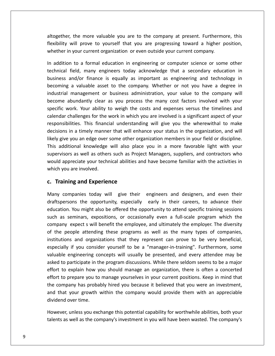the more valuable you are to the company at present. Furthermore, this altogether, the more valuable you are to the company at present. Furthermore, this<br>flexibility will prove to yourself that you are progressing toward a higher position. In the more valuable you are to the company at present. Furthermot<br>in your current organization or even outside your current company.<br>We current company. depether, the more valuable you are to the company at present. Furthermore, this<br>in exibility will prove to yourself that you are progressing toward a higher position,<br>ether in your current organization or even outside you Field, many engineers today acknowledge that a secondary education in<br>the action of the company acknowledge that a secondary.<br>The action in engineering or computer science or some other<br>field, many engineers today acknowle altogether, the more valuable you are to the company at present. Furthermore, this r, the more valuable you are to the company at present. Furthermore, this<br>will prove to yourself that you are progressing toward a higher position,<br>n your current organization or even outside your current company.<br>n to a f flexibility will prove to yourself that you are progressing toward a higher position, whether in your current organization or even outside your current company.

will prove to yourself that you are progressing toward a higher position,<br>your current organization or even outside your current company.<br>to a formal education in engineering or computer science or some other<br>ield, many en is your current organization or even outside your current company.<br>
I to a formal education in engineering or computer science or some other<br>
field, many engineers today acknowledge that a secondary education in<br>
Innd/or f In addition to a formal education in engineering or computer science or some other by the abundantly clear as you process the many cost factors involved with your state of the mand/or finance is equally as important as engineering and technology in a valuable asset to the company. Whether or not you have technical field, many engineers today acknowledge that a secondary education in I field, many engineers today acknowledge that a secondary education in and/or finance is equally as important as engineering and technology in g a valuable asset to the company. Whether or not you have a degree in all man business and/or finance is equally as important as engineering and technology in and/or finance is equally as important as engineering and technology in<br>a valuable asset to the company. Whether or not you have a degree in<br>management or business administration, your value to the company will<br>abundantly becoming a valuable asset to the company. Whether or not you have a degree in This finance is equally as important as engineering and teembody in<br>able asset to the company. Whether or not you have a degree in<br>gement or business administration, your value to the company will<br>ntly clear as you process industrial management or business administration, your value to the company will in a timelastic discusser of the company. Whether of the you have a degree in<br>management or business administration, your value to the company will<br>abundantly clear as you process the many cost factors involved with your<br>o become abundantly clear as you process the many cost factors involved with your maastriar management or basiness dammistration, your variate to the company win<br>become abundantly clear as you process the many cost factors involved with your<br>specific work. Your ability to weigh the costs and expenses ve Fic work. Your ability to weigh the costs and expenses versus the timelines and<br>dar challenges for the work in which you are involved is a significant aspect of your<br>msibilities. This financial understanding will give you calendar challenges for the work in which you are involved is a significant aspect of your allenges for the work in which you are involved is a significant aspect of your<br>ies. This financial understanding will give you the wherewithal to make<br>a timely manner that will enhance your status in the organization, and responsibilities. This financial understanding will give you the wherewithal to make an enancinges for the work in which you are involved is a significant aspect of your<br>sibilities. This financial understanding will give you the wherewithal to make<br>ns in a timely manner that will enhance your status in the decisions in a timely manne<br>decisions in a timely manne<br>likely give you an edge over<br>This additional knowledge<br>supervisors as well as other<br>would appreciate your techi<br>which you are involved. **ISSUME ISSUME ISSUME ISSUME ISSUME ISSUME ISSUE THE VIOLUTE CONSERVIBE AND THE PROPERTY<br>
<b>Training and Experience**<br> **Training and Experience**<br> **Training and Experience** supervisors as well as others such as Project Managers, suppliers, and contractors who isors as well as others such as Project Managers, suppliers, and contractors who<br>appreciate your technical abilities and have become familiar with the activities in<br>you are involved.<br>**ining and Experience**<br>companies today would appreciate your technical abilities and have become familiar with the activities in Inte your technical abilities and have become familiar with the activities in<br> **nvolved.**<br> **nd Experience**<br>
<br> **ies today will** give their engineers and designers, and even their<br>
the opportunity, especially early in their which you are involved.

### c. Training and Experience

are involved.<br> **In and Experience**<br>
panies today will give their engineers and designers, and even their<br>
Ins the opportunity, especially early in their careers, to advance their<br>
You might also be offered the opportunity aining and Experience<br>
companies today will give their engineers and designers, and even their<br>
persons the opportunity, especially early in their careers, to advance their<br>
tion. You might also be offered the opportunity **ng and Experience**<br>
spanies today will give their engineers and designers, and even their<br>
ons the opportunity, especially early in their careers, to advance their<br>
You might also be offered the opportunity to attend spec Many companies today will give their engineers and designers, and even their the people attending these programs are well as the many toes attending these programs the opportunity, especially early in their careers, to advance their cation. You might also be offered the opportunity to attend specif draftspersons the opportunity, especially early in their careers, to advance their and designers, and even their<br>draftspersons the opportunity, especially early in their careers, to advance their<br>education. You might also be offered the opportunity to attend specific training sessions<br>such as seminars, e From might also be offered the opportunity to attend specific training sessions<br>
eminars, expositions, or occasionally even a full-scale program which the<br>
expect s will benefit the employee, and ultimately the employer. T education. You might also be offered the opportunity to attend specific training sessions<br>such as seminars, expositions, or occasionally even a full-scale program which the enginary and the expections, or occasionally even a full-scale program which the<br>expect s will benefit the employee, and ultimately the employer. The diversity<br>eople attending these programs as well as the many types of co company expect s will benefit the employee, and ultimately the employer. The diversity<br>of the people attending these programs as well as the many types of companies,<br>institutions and organizations that they represent can p  $e^{i \pi t}$ the explain how you should manage an organization, there is often a concerted<br>to explain how you should manager-in-training". Furthermore, some<br>le engineering concepts will usually be presented, and every attendee may be<br>t of the people attending these programs as well as the many types of companies, institutions and organizations that they represent can prove to be very beneficial, Freepic attenants these programs as well as the many types of companies,<br>tions and organizations that they represent can prove to be very beneficial,<br>ally if you consider yourself to be a "manager-in-training". Furthermore the company if you consider yourself to be a "manager-in-training". Furthermore, some<br>valuable engineering concepts will usually be presented, and every attendee may be<br>asked to participate in the program discussions. Whil that your growth within the company would provide them with an appreciable<br>that your growth within the program discussions. While there seldom seems to be a major<br>t to explain how you should manage an organization, there i valuable engineering concepts will usually be presented, and every attendee may be asked to participate in the program discussions. While there seldom seems to be a major valuable engineering ed<br>asked to participate in tleffort to explain how y<br>effort to prepare you to<br>the company has proba<br>and that your growth<br>dividend over time. explain how you should manage an organization, there is often a concerted<br>prepare you to manage yourselves in your current positions. Keep in mind that<br>any has probably hired you because it believed that you were an invest effort to prepare you to manage yourselves in your current positions. Keep in mind that o prepare you to manage yourselves in your current positions. Keep in mind that<br>npany has probably hired you because it believed that you were an investment,<br>at your growth within the company would provide them with an app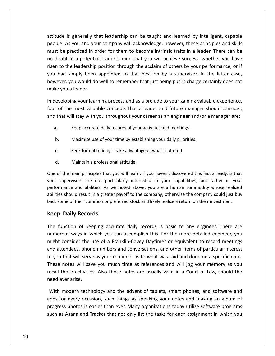is generally that leadership can be taught and learned by intelligent, capable As you and your company will acknowledge, however, these principles and skills<br>As you and your company will acknowledge, however, these principles and skills be is generally that leadership can be taught and learned by intelligent, capable<br>be As you and your company will acknowledge, however, these principles and skills<br>be practiced in order for them to become intrinsic traits tude is generally that leadership can be taught and learned by intelligent, capable<br>ple. As you and your company will acknowledge, however, these principles and skills<br>st be practiced in order for them to become intrinsic de is generally that leadership can be taught and learned by intelligent, capable<br>e. As you and your company will acknowledge, however, these principles and skills<br>be practiced in order for them to become intrinsic traits attitude is generally that leadership can be taught and learned by intelligent, capable attitude is generally that leadership can be taught and learned by intelligent, capable<br>people. As you and your company will acknowledge, however, these principles and skills<br>must be practiced in order for them to become i by meengen, capace sy meengen, capace<br>s you and your company will acknowledge, however, these principles and skills<br>practiced in order for them to become intrinsic traits in a leader. There can be<br>in a potential leader's m people. As you and your company will acknowledge, however, these principles and skills must be practiced in order for them to become intrinsic traits in a leader. There can be be practiced in or<br>ubt in a potentia<br>to the leadership<br>ad simply been<br>ver, you would do<br>vou a leader. no doubt in a potential leader's mind that you will achieve success, whether you have no doubt in a potential leader's mind that you will achieve success, whether you have<br>risen to the leadership position through the acclaim of others by your performance, or if<br>you had simply been appointed to that position risen to the leadership position through the acclaim of others by your performance, or if<br>you had simply been appointed to that position by a supervisor. In the latter case,<br>however, you would do well to remember that just had simply been appointed to that position by a supervisor. In the latter case,<br>ever, you would do well to remember that just being put in charge certainly does not<br>e you a leader.<br>eveloping your learning process and as a make you a leader.

Keep you a leader.<br>
A eveloping your learning process and as a prelude to your gaining v<br>
A cording of the most valuable concepts that a leader and future manager<br>
that will stay with you throughout your career as an engin eveloping your learning process and as a prelude to your gaining value of the most valuable concepts that a leader and future manager<br>that will stay with you throughout your career as an engineer and/or<br>a. Keep accurate da and that will stay with you throughout your career as an engineer and/or a manager are:<br>
a. Keep accurate daily records of your activities and meetings.<br>
b. Maximize use of your time by establishing your daily priorities.

- d.
- of the main principles the main principles that will previous.<br>
Seek formal training take advantage of what is offered<br>
I. Maintain a professional attitude<br>
of the main principles that you will learn, if you haven't disc your
	- Seek formal training take advantage of what is offered<br>Maintain a professional attitude  $c.$
	- d.

Seek formal training - take advantage of what is offered<br>
Maintain a professional attitude<br>
f the main principles that you will learn, if you haven't discovered this fact already, is that<br>
supervisors are not particularly eek formal training - take advantage of what is offered<br>aintain a professional attitude<br>ain principles that you will learn, if you haven't discovered this fact already, is that<br>sors are not particularly interested in your Maintain a professional attitude<br>he main principles that you will learn, if you haven't discovered this fact already, is that<br>pervisors are not particularly interested in your capabilities, but rather in your<br>ance and abil d. Maintain a professional attitude<br>One of the main principles that you will learn, if you haven't discovered this fact already, is that<br>your supervisors are not particularly interested in your capabilities, but rather in Maintain a professiona<br>the main principles that yo<br>ipervisors are not partic<br>ance and abilities. As we<br>should result in a greater<br>me of their common or pre<br>**Daily Records** performance and abilities. As we noted above, you are a human commodity whose realized Function of abilities. As we noted above, you are a human commodity whose realized<br>the should result in a greater payoff to the company; otherwise the company could just buy<br>some of their common or preferred stock and like abilities should result in a greater payoff to the company; otherwise the company could just buy uld result in a greater payoff to the company; otherwise the company could just buy<br>of their common or preferred stock and likely realize a return on their investment.<br>I**y Records**<br>on of keeping accurate daily records is b back some of their common or preferred stock and likely realize a return on their investment.

### **Keep Daily Records**

must be a first form of the same of the same of the same of the same of the same of the same of the same of th<br>Andre same of the same of the same of the same of the same of the same of the same of the same of the same of

me of their common or preferred stock and likely realize a return on their investment.<br> **Daily Records**<br>
unction of keeping accurate daily records is basic to any engineer. There are<br>
ous ways in which you can accomplish t **p Daily Records**<br>function of keeping accurate daily records is basic to any engineer. There are<br>erous ways in which you can accomplish this. For the more detailed engineer, you<br>att consider the use of a Franklin-Covey Day **Keep Daily Records**<br>The function of keeping accurate daily records is basic to any engineer. There are<br>numerous ways in which you can accomplish this. For the more detailed engineer, you<br>might consider the use of a Frankl nction of keeping accurate daily records is basic to any engineer. There are<br>ous ways in which you can accomplish this. For the more detailed engineer, you<br>consider the use of a Franklin-Covey Daytimer or equivalent to rec recallent in the set of the contract of the contract of the contract of the contract of the contract of the contract of the contract of the contract of the contract of the contract of the contract of the contract of the co those activities. Also those notes are usually valid in a Court of Law, should the discussion which you can accomplish this. For the more detailed engineer, you consider the use of a Franklin-Covey Daytimer or equivalent t numerous ways in which you can accomplish this. For the more detailed engineer, you<br>might consider the use of a Franklin-Covey Daytimer or equivalent to record meetings might consider the might consider the might consider the might consider the might of your that will serve<br>these notes will save call those activities<br>eed ever arise. tendees, phone numbers and conversations, and other items of particular interest<br>that will serve as your reminder as to what was said and done on a specific date.<br>notes will save you much time as references and will jog yo to you that will serve as your reminder as to what was said and done on a specific date. If that will serve as your reminder as to what was said and done on a specific date.<br>
In otes will save you much time as references and will jog your memory as you<br>
those activities. Also those notes are usually valid in a These notes will save you much time as references and will jog your memory as you tes will save you much time as references and will jog your memory as you<br>se activities. Also those notes are usually valid in a Court of Law, should the<br>r arise.<br>odern technology and the advent of tablets, smart phones, a recal

those activities. Also those notes are usually valid in a Court of Law, should the<br>ever arise.<br>
I modern technology and the advent of tablets, smart phones, and software and<br>
for every occasion, such things as speaking you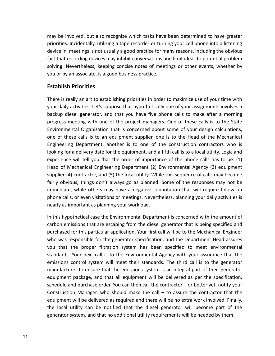be involved, but also recognize which tasks have been determined to have greater INCIDE TREAD TREAD TREAD TREAD TREAD TREAD TREAD TREAD TREAD TREAD TREAD TREAD TREAD TREAD TREAD TREAD TREAD TREAD TREAD TREAD TREAD TREAD TREAD TREAD TREAD TREAD TREAD TREAD TREAD TREAD TREAD TREAD TREAD TREAD TREAD TREAD in meetings is not usually a good practice for many reasons, including the obvious<br>in meetings is not usually a good practice for many reasons, including the obvious<br>in meetings is not usually a good practice for many reas that involved, but also recognize which tasks have been determined to have greater<br>
rities. Incidentally, utilizing a tape recorder or turning your cell phone into a listening<br>
that recording devices may inhibit conversati Involved, but also recognize which tasks have been determined to have greater<br>S. Incidentally, utilizing a tape recorder or turning your cell phone into a listening<br>In meetings is not usually a good practice for many reaso may be involved, but also recognize which tasks have been determined to have greater priorities. Incidentally, utilizing a tape recorder or turning your cell phone into a listening<br>device in meetings is not usually a good practice for many reasons, including the obvious olved, but also reconcidentally, utilizing<br>neetings is not usua<br>cording devices mar<br>vertheless, keeping<br>n associate, is a goo<br>**Priorities** fact that recording devices may inhibit conversations and limit ideas to potential problem is recording devices may inhibit conversations and limit ideas to potential problem<br>is. Nevertheless, keeping concise notes of meetings or other events, whether by<br>by an associate, is a good business practice.<br>**Iish Priori** solving. Nevertheless, keeping concise notes of meetings or other events, whether by ng. Nevertheless, keeping concise notes of meetings or other events, whether by<br>
or by an associate, is a good business practice.<br> **blish Priorities**<br> **blish Priorities**<br> **i**s really an art to establishing priorities in or you or by an associate, is a good business practice.

### **Establish Priorities**

device

metally an associate, is a good business practice.<br> **Sh Priorities**<br>
really an art to establishing priorities in order to maximize use of your time with<br>
ly activities. Let's suppose that hypothetically one of your assignm methically an art to establishing priorities in order to maximize use of your time with<br>
in activities. Let's suppose that hypothetically one of your assignments involves a<br>
iesel generator, and that you have five phone ca **Establish Priorities**<br>There is really an art to establishing priorities in order to maximize use of your time with<br>your daily activities. Let's suppose that hypothetically one of your assignments involves a<br>backup diesel e is really an art to establishing priorities in order to maximize use of your time with<br>daily activities. Let's suppose that hypothetically one of your assignments involves a<br>up diesel generator, and that you have five ph There is really an art to establishing priorities in order to maximize use of your time with vour daily activities. Let's suppose that hypothetically one of your assignments involves a Experience of your antitivities. Let's suppose that hypothetically one of your assignments involves a<br>let generator, and that you have five phone calls to make after a morning<br>eting with one of the project managers. One of backup diesel generator, and that you have five phone calls to make after a morning for a delivery date for the equipment, and a fifth call is to a local utility. Logic and<br>for a delivery date for the project managers. One of these calls is to the State<br>mental Organization that is concerned about some of progress meeting with one of the project managers. One of these calls is to the State eeting with one of the project managers. One of these calls is to the State<br>tal Organization that is concerned about some of your design calculations,<br>se calls is to an equipment supplier, one is to the Head of the Mechani Environmental Organization that is concerned about some of your design calculations, For Mechanical Organization that is concerned about some of your design calculations,<br>f these calls is to an equipment supplier, one is to the Head of the Mechanical<br>eering Department, another is to one of the construction one of these calls is to an equipment supplier, one is to the Head of the Mechanical (4) contractor, and (5) the local utility. While this sequence of calls may be<br>contractors, another is to one of the construction contractors who is<br>or a delivery date for the equipment, and a fifth call is to a local util Engineering Department, another is to one of the construction contractors who is of these cans is to all equipment supplier, one is to the riead of the mechanical<br>eering Department, another is to one of the construction contractors who is<br>ig for a delivery date for the equipment, and a fifth call is to looking for a delivery date for the equipment, and a fifth call is to a local utility. Logic and delivery date for the equipment, and a fifth call is to a local utility. Logic and<br>will tell you that the order of importance of the phone calls has to be: (1)<br>chanical Engineering Department (2) Environmental Agency (3) e powing<br>. even visitations or meetings. Nevertheless, planning vour daily activities is<br>of Mechanical Engineering Department (2) Environmental Agency (3) equipment<br>or (4) contractor, and (5) the local utility. While this sequence of capen<br>.. Fired will ten you that the order of important<br>of Mechanical Engineering Department (2) For (4) contractor, and (5) the local utility. Whis<br>bivious, things don't always go as planned.<br>liate, while others may have a negativ  $\mathsf{S}\mathsf{U}$ pplier (4) contractor, and (5) the local utility. While this sequence of calls may become<br>rly obvious, things don't always go as planned. Some of the responses may not be<br>mediate, while others may have a negative connotati fairly obvious, things don't always go as planned. Some of the responses may not be bvious, things don't always go as planned. Some of the responses may not be<br>ate, while others may have a negative connotation that will require follow up<br>calls, or even visitations or meetings. Nevertheless, planning your immediate, while others may have a negative connotation that will require follow up while others may have a negative connotation that will require follow up<br>i, or even visitations or meetings. Nevertheless, planning your daily activities is<br>nportant as planning your workload.<br>othetical case the Environmen phone calls, or even visitations or meetings. Nevertheless, planning your daily activities is nearly as important as planning your workload.

e calls, or even visitations or meetings. Nevertheless, planning your daily activities is<br>y as important as planning your workload.<br>s hypothetical case the Environmental Department is concerned with the amount of<br>on emissi y as important as planning your workload.<br>
s hypothetical case the Environmental Department is concerned with the amount of<br>
on emissions that are escaping from the diesel generator that is being specified and<br>
hased for t In this hypothetical case the Environmental Department is concerned with the amount of Instructured case the Environmental Department is concerned with the amount of<br>ssions that are escaping from the diesel generator that is being specified and<br>for this particular application. Your first call will be to the emissionsissions that are escaping from the diesel generator that is being specified and<br>for this particular application. Your first call will be to the Mechanical Engineer<br>esponsible for the generator specification, and the Depart  $\frac{1}{2}$ this particular application. Your first call will be to the Mechanical Engineer<br>onsible for the generator specification, and the Department Head assures<br>proper filtration system has been specified to meet environmental<br>ur purchasea<br>. parenasea for this particular application. Four first can will be to the Mechanikear Engineer<br>who was responsible for the generator specification, and the Department Head assures<br>you that the proper filtration system has b responsive for the generator specification, and the Bepartment riead assates<br>the proper filtration system has been specified to meet environmental<br>i. Your next call is to the Environmental Agency with your assurance that t  $\frac{1}{2}$ In the call is to the Environmental Agency with your assurance that the throl system will meet their standards. The third call is to the generator to ensure that the emissions system is an integral part of their generator standards. Your next call is to the Environmental Agency with your assurance that the emissions control system will meet their standards. The third call is to the generator be delivered as required and there will be no extra work involved. Finally, then and the temissions control system will meet their standards. The third call is to the generator manufacturer to ensure that the emissions sys ufacturer to ensure that the emissions system is an integral part of their generator<br>pment package, and that all equipment will be delivered as per the specification,<br>dule and purchase order. You can then call the contract manufacturer to ensure that the emissions system is an integral part of their generator equipment package, and that all equipment will be delivered as per the specification, It package, and that all equipment will be delivered as per the specification,<br>t package, and that all equipment will be delivered as per the specification,<br>not purchase order. You can then call the contractor – or better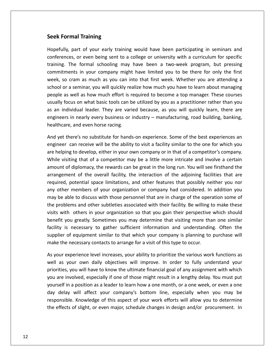## **Formal Training Seek Formal Training**

part of your early training<br>
part of your early training would have been participating in seminars and<br>
part of your early training would have been participating in seminars and **or Fraining**<br>The **Staining**<br>The sent to a college or university with a curriculum for specific<br>The specific mal Training<br>
Training<br>
The formal schooling may have been a two-week program, but pressing<br>
The formal schooling may have been a two-week program, but pressing **Training**<br>in of your early training would have been participating in seminars and<br>in even being sent to a college or university with a curriculum for specific<br>formal schooling may have been a two-week program, but pressin Formal Training<br>ully, part of your early training would have been participating in seminars and<br>ences, or even being sent to a college or university with a curriculum for specific<br>g. The formal schooling may have been a tw Hopefully, part of your early training would have been participating in seminars and Illy, part of your early training would have been participating in seminars and<br>ences, or even being sent to a college or university with a curriculum for specific<br>g. The formal schooling may have been a two-week program, pertually, part of your carry training would have been participating in behinds and conferences, or even being sent to a college or university with a curriculum for specific training. The formal schooling may have been a t training. The formal schooling may have been a two-week program, but pressing Focus, or even sent is a conege or aniversity which didentedating specific specific to the formal schooling may have been a two-week program, but pressing ments in your company might have limited you to be there for only t commitments in your company might have limited you to be there for only the first minitenents in your company might have been a two week program, bat pressing<br>mmitments in your company might have limited you to be there for only the first<br>ek, so cram as much as you can into that first week. Whether you week, so cram as much as you can into that first week. Whether you are attending a in your company might have immed you to be there for only the model week, so cram as much as you can into that first week. Whether you are attending a school or a seminar, you will quickly realize how much you have to lear school or a seminar, you will quickly realize how much you have to learn about managing<br>people as well as how much effort is required to become a top manager. These courses<br>usually focus on what basic tools can be utilized Ily focus on what basic tools can be utilized by you as a practitioner rather than you<br>Ily focus on what basic tools can be utilized by you as a practitioner rather than you<br>in individual leader. They are varied because, a usually focus on what basic tools can be utilized by you as a practitioner rather than you cus on what basic tools can be utilized by you as a practitioner rather than you<br>ividual leader. They are varied because, as you will quickly learn, there are<br>in nearly every business or industry – manufacturing, road buil as an individual leader. They are varied because, as you will quickly learn, there are as an individual leader. They are varied because, as you will quickly learn, there are<br>engineers in nearly every business or industry – manufacturing, road building, banking,<br>healthcare, and even horse racing.<br>And yet ther healthcare, and even horse racing.

ers in nearly every business or industry – manufacturing, road building, banking,<br>care, and even horse racing.<br>t there's no substitute for hands-on experience. Some of the best experiences an<br>er can receive will be the abi re, and even horse racing.<br>
there's no substitute for hands-on experience. Some of the best experiences an<br>
c can receive will be the ability to visit a facility similar to the one for which you<br>
ing to develop, either in arrangement's no substitute for hands-on experience. Some of the best experiences an receive will be the ability to visit a facility similar to the one for which you develop, either in your own company or in that of a competitor's co required,  $\frac{1}{2}$ potential space in the ability to visit a facility similar to the one for which you<br>g to develop, either in your own company or in that of a competitor's company.<br>ting that of a competitor may be a little more intricate an engineer can receive will be the ability to visit a facility similar to the one for which you<br>are helping to develop, either in your own company or in that of a competitor's company. The carriective will be the domity to visit a facility similar to the one for which you<br>helping to develop, either in your own company or in that of a competitor's company.<br>Le visiting that of a competitor may be a little . . . .<br>. . . . be ping to develop, entier in your own company or in that or a competitor's company.<br>
Le visiting that of a competitor may be a little more intricate and involve a certain<br>
unt of diplomacy, the rewards can be great in the the set of the set of the set of the set of the set of the set of the set of the set of the set of the set of the set of the set of the set of the set of the set of the set of the set of the set of the set of the set of th problems and other subtleties associated with their facility. Be willing to make these test and the ngement of the overall facility, the interaction of the adjoining facilities that are aired, potential space limitations, amount of diplomacy, the rewards can be great in the long run. You will see firsthand the arrangement of the overall facility, the interaction of the adjoining facilities that are where the overall facility, the interaction of the adjoining facilities that are<br>gement of the overall facility, the interaction of the adjoining facilities that are<br>red, potential space limitations, and other features tha  $\begin{array}{c} \n\text{or } \mathbf{b} \n\end{array}$ I, potential space limitations, and other features that possibly neither you nor<br>er members of your organization or company had considered. In addition you<br>able to discuss with those personnel that are in charge of the ope icquis is necessary to gather sufficient information and understanding. Often the person of plems and other subtleties associated with their facility. Be willing to make these the others in your organization so that you gain thei any other members of your organization or company had considered. In addition you<br>may be able to discuss with those personnel that are in charge of the operation some of The members of your organization of company had considered. In dudition your bible to discuss with those personnel that are in charge of the operation some of lems and other subtleties associated with their facility. Be wi may be different discussion and other subtleties associated with their facility. Be willing<br>visits with others in your organization so that you gain their perspective<br>benefit you greatly. Sometimes you may determine that v its with others in your organization so that you gain their perspective which should<br>nefit you greatly. Sometimes you may determine that visiting more than one similar<br>ility is necessary to gather sufficient information an ben Fit you greatly. Sometimes you may determine that visiting more than one similar<br>y is necessary to gather sufficient information and understanding. Often the<br>ler of equipment similar to that which your company is planning facility is necessary to gather sufficient information and understanding. Often the<br>f equipment similar to that which your company is planning to purchase will<br>necessary contacts to arrange for a visit of this type to occur.<br>perience supplier of equipment similar to that which your company is planning to purchase will make the necessary contacts to arrange for a visit of this type to occur.

blier of equipment similar to that which your company is planning to purchase will<br>e the necessary contacts to arrange for a visit of this type to occur.<br>our experience level increases, your ability to prioritize the vario in a position as a leader to learn how a one month, or a one week, or even a one<br>in a position as your own daily objectives will improve. In order to fully understand your<br>is, you will have to know the ultimate financial g As your experience level increases, your ability to prioritize the various work functions as<br>well as your own daily objectives will improve. In order to fully understand your<br>priorities, you will have to know the ultimate well as your own daily objectives will improve. In order to fully understand your Fract ever intereases, your asincy to prioritize the various work runctions as<br>
r own daily objectives will improve. In order to fully understand your<br>
u will have to know the ultimate financial goal of any assignment with priorities, you will have to know the ultimate financial goal of any assignment with which effects of slight, or even major, schedule changes in design and/or procurement. In the effects of slight, or even major, schedule changes in design and/or procurement. In the effects of slight, or even major, schedule cha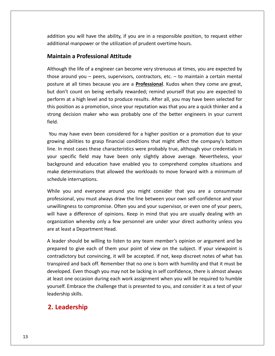you will have the ability, if you are in <sup>a</sup> responsible position, to request either mand<br>addition you will have the ability, if you are in a responsible position,<br>additional manpower or the utilization of prudent overtime hours. **a Professional Attitude**<br>**a Professional Attitude** the will have the ability, if you are in a responsible position, to request either<br>I manpower or the utilization of prudent overtime hours.<br>In a Professional Attitude<br>the life of a engineer can become very strenuous at tim addition you will have the ability, if you are in a responsible position, to request either on you will have the ability, if you are in a responsible position, to request either<br>
shall manpower or the utilization of prudent overtime hours.<br> **Lain a Professional Attitude**<br>
gh the life of a engineer can become very additional manpower or the utilization of prudent overtime hours.

### **Maintain a Professional Attitude**

additional manpower or the utilization of prudent overtime hours.<br> **Maintain a Professional Attitude**<br>
Although the life of a engineer can become very strenuous at times, you are expected by<br>
those around you – peers, supe intain a Professional Attitude<br>ough the life of a engineer can become very strenuous at times, you are expected by<br>e around you – peers, supervisors, contractors, etc. – to maintain a certain mental<br>ure at all times becaus in a Protessional Attitude<br>
the life of a engineer can become very strenuous at times, you are expected by<br>
bund you – peers, supervisors, contractors, etc. – to maintain a certain mental<br>
at all times because you are a <u></u> Although the life of a engineer can become very strenuous at times, you are expected by<br>those around you – peers, supervisors, contractors, etc. – to maintain a certain mental<br>posture at all times because you are a **Profes** strong<br>... decision maker who was probably one of the better engineers in your current probably at all times because you are a **Professional**. Kudos when they come are great, and the better on being verbally rewarded; remind yourself  $\frac{1}{2}$ out don't<br>)erform a<br>his positi<br>trong de<br>ield. lon't count on being verbally rewarded; remind yourself that you are expected to<br>rm at a high level and to produce results. After all, you may have been selected for<br>osition as a promotion, since your reputation was that y perform at a high level and to produce results. After all, you may have been selected for<br>ion as a promotion, since your reputation was that you are a quick thinker and a<br>ecision maker who was probably one of the better engineers this position as a promotion, since your reputation was that you are a quick thinker and a In most cases these characteristics were probably true, although your current<br>In may have even been considered for a higher position or a promotion due to your<br>In most cases these characteristics were probably true, althou strong decision maker who was probably one of the better engineers in your current field.

is decision maker who was probably one of the better engineers in your current<br>may have even been considered for a higher position or a promotion due to your<br>ng abilities to grasp financial conditions that might affect the we even been considered for a higher position or a promotion due to your<br>ities to grasp financial conditions that might affect the company's bottom<br>cases these characteristics were probably true, although your credentials You may have even been considered for a higher position or a promotion due to your<br>growing abilities to grasp financial conditions that might affect the company's bottom<br>line. In most cases these characteristics were proba roa may nave even been to<br>growing abilities to grasp f<br>line. In most cases these ch<br>your specific field may ha<br>background and education<br>make determinations that a<br>schedule interruptions. most cases these characteristics were probably true, although your credentials in<br>pecific field may have been only slightly above average. Nevertheless, your<br>bund and education have enabled you to comprehend complex situat your specific field may have been only slightly above average. Nevertheless, your field may have been only slightly above average. Nevertheless, your<br>and education have enabled you to comprehend complex situations and<br>inations that allowed the workloads to move forward with a minimum of<br>rruptions.<br>nd ev background and education have enabled you to comprehend complex situations and background and education have enabled you to comprehend complex situations and<br>make determinations that allowed the workloads to move forward with a minimum of<br>schedule interruptions.<br>While you and everyone around you migh schedule interruptions.

e determinations that allowed the workloads to move forward with a minimum of<br>dule interruptions.<br>le you and everyone around you might consider that you are a consummate<br>essional, you must always draw the line between your rruptions.<br>
Ind everyone around you might consider that you are a consummate<br>
you must always draw the line between your own self-confidence and your<br>
is to compromise. Often you and your supervisor, or even one of your pe While you and everyone around you might consider that you are a consummate professional, you must always draw the line between your own self-confidence and your ofessional, you must always draw the line between your own self-confidence and your<br>in ingness to compromise. Often you and your supervisor, or even one of your peers,<br>Il have a difference of opinions. Keep in mind that yo unwillingness to compromise. Often you and your supervisor, or even one of your peers, to compromise. Often you and your supervisor, or even one of your peers,<br>a difference of opinions. Keep in mind that you are usually dealing with an<br>on whereby only a few personnel are under your direct authority unless yo will have a difference of opinions. Keep in mind that you are usually dealing with an fference of opinions. Keep in mind that you are usually dealing with an<br>vhereby only a few personnel are under your direct authority unless you<br>Department Head.<br>Id be willing to listen to any team member's opinion or argum organization whereby only a few personnel are under your direct authority unless you are at least a Department Head.

in whereby only a few personnel are under your direct authority unless you<br>
a Department Head.<br>
hould be willing to listen to any team member's opinion or argument and be<br>
o give each of them your point of view on the subj a Department Head.<br>
ould be willing to listen to any team member's opinion or argument and be<br>
b give each of them your point of view on the subject. If your viewpoint is<br>
ry but convincing, it will be accepted. If not, ke A leader should be willing to listen to any team member's opinion or argument and be leader should be willing to listen to any team member's opinion or argument and be<br>epared to give each of them your point of view on the subject. If your viewpoint is<br>intradictory but convincing, it will be accepted. If no prepared to give each of them your point of view on the subject. If your viewpoint is Embrace the challenge that is presented to you, and consider it as a test of your<br>Embrace the challenge that is presented. If not, keep discreet notes of what has<br>d and back off. Remember that no one is born with humility contradictory but convincing, it will be accepted. If not, keep discreet notes of what has prepared to give ead<br>contradictory but contranspired and back<br>developed. Even thou<br>at least one occasion<br>yourself. Embrace the<br>leadership skills. pared to give each of them<br>tradictory but convincing, it<br>spired and back off. Remem<br>eloped. Even though you ma<br>east one occasion during earself. Embrace the challenge<br>dership skills.<br>**Leadership**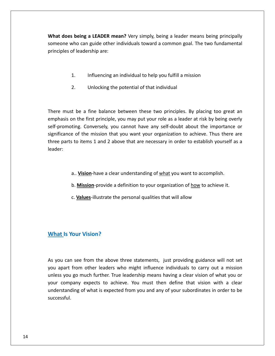**does being <sup>a</sup> LEADER mean?** Very simply, being <sup>a</sup> leader means being principally who can guide other individuals toward a common goal. The two fundamental<br>who can guide other individuals toward a common goal. The two fundamental of leadership are: **1. Income 2. In the Section Star Section Star Section**<br>The two fan guide other individuals toward a common goal. The two fun<br>of leadership are:<br>1. Influencing an individual to help you fulfill a mission someone who can guide other individuals toward a common goal. The two fundamental n guide other individuals toward a common genship are:<br>ership are:<br>Influencing an individual to help you fulfill a n<br>Unlocking the potential of that individual

- 
- $\overline{p}$

1. Influencing an individual to help you fulfill a mission<br>2. Unlocking the potential of that individual<br>must be a fine balance between these two principles. By placing too great an I. Influencing an individual to help you fulfill a mission<br>2. Unlocking the potential of that individual<br>st be a fine balance between these two principles. By placing too great an<br>on the first principle, you may put your r Unlocking the potential of that individual<br>a fine balance between these two principles. By placing too great an<br>e first principle, you may put your role as a leader at risk by being overly<br>Converselv, you cannot have any s be a fine balance between these two principles. By placing too great an<br>the first principle, you may put your role as a leader at risk by being overly<br>ng. Conversely, you cannot have any self-doubt about the importance or<br> must be a fine balance between these two principles. By placing too great an<br>asis on the first principle, you may put your role as a leader at risk by being overly<br>comoting. Conversely, you cannot have any self-doubt about There must be a fine balance between these two principles. By placing too great an a. **Vision**-have a clear understanding of what you want your scheen a chieve. Thus there<br>is to items 1 and 2 above that are necessary in order to establish yourself a<br>a.. **Vision**-have a clear understanding of what you wan **Mission**-provide a definition to your organization of how to achieve it.<br>
A. **Vision**-have a clear understanding of <u>what</u> you want to accomplish.<br>
b. Mission-provide a definition to your organization of how to achieve it leader:

- 
- a.. **Vision**-have a clear understanding of <u>what</u> you want to accomplish.<br>b. **Mission**-provide a definition to your organization of <u>how</u> to achieve it.<br>c. **Values**-illustrate the personal qualities that will allow
- **Istem**: D. <u>Wission</u>-provide a dends: C. <u>Values</u>-illustrate the provide a dends:  $\blacksquare$

### **What Is Your Vision?**

principles in the control of the control of the control of the control of the control of the control of the control of the control of the control of the control of the control of the control of the control of the control o

**and and the Victom of the State State State State State State State State State State State State State State S**<br>Abou can see from the above three statements, just providing guidance will not set **at Is Your Vision?**<br>ou can see from the above three statements, just providing guidance will not set<br>apart from other leaders who might influence individuals to carry out a mission **Is Your Vision?**<br>
can see from the above three statements, just providing guidance will not set<br>
art from other leaders who might influence individuals to carry out a mission<br>
you go much further. True leadership means ha Let a see from the above three statements, just providing guidance will not set<br>part from other leaders who might influence individuals to carry out a mission<br>is you go much further. True leadership means having a clear vi of from the above three statements, just providing guidance will not set<br>in other leaders who might influence individuals to carry out a mission<br>much further. True leadership means having a clear vision of what you or<br>expe As you can see from the above three statements, just providing guidance will not set successful.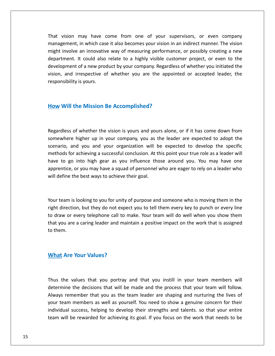vision may have come from one of your supervisors, or even company in which case it also becomes your supervisors, or even company<br>in which case it also becomes your vision in an indirect manner. The vision vision may have come from one of your supervisors, or even company<br>involve an innovative way of measuring performance, or possibly creating a new may have come from one of your supervisors, or even company<br>in which case it also becomes your vision in an indirect manner. The vision<br>an innovative way of measuring performance, or possibly creating a new<br>It could also r may have come from one of your supervisors, or even company<br>in which case it also becomes your vision in an indirect manner. The vision<br>an innovative way of measuring performance, or possibly creating a new<br>it could also r That vision may have come from one of your supervisors, or even company<br>management, in which case it also becomes your vision in an indirect manner. The vision<br>might involve an innovative way of measuring performance, or p rnat vision management, in which case it also becomes your vision in an indirect manner. The vision<br>might involve an innovative way of measuring performance, or possibly creating a new<br>department. It could also relate to a highly visi department. It could also relate to a highly visible customer project, or even to the Iment. It could also relate to a highly visible cus<br>
spment of a new product by your company. Regardle<br>
parameter and image of whether you are the appo<br>
posibility is yours.<br> **Will the Mission Be Accomplished?** 

### How Will the Mission Be Accomplished?

might

of whether the vision is yours and yours alone, or if it has come down from **he Mission Be Accomplished?**<br>If whether the vision is yours and yours alone, or if it has come down from<br>higher up in your company, you as the leader are expected to adopt the **and is the Mission Be Accomplished?**<br>and yours and yours alone, or if it has come down from<br>in the higher up in your company, you as the leader are expected to adopt the<br>and you and your organization will be expected to d for achieving a successful conclusion. At this point your from the and you and your company, you as the leader are expected to adopt the and you and your organization will be expected to develop the specific for achieving dless of whether the vision is yours and yours alone, or if it has come down from<br>where higher up in your company, you as the leader are expected to adopt the<br>rio, and you and your organization will be expected to develop  $\overline{a}$ or whether the vision is yours and yours alone, or if it has come down from<br>higher up in your company, you as the leader are expected to adopt the<br>nd you and your organization will be expected to develop the specific<br>cachi  $\ddot{\ }$ dewhere higher up in your company, you as thario, and you and your company, you as thario, and you and your organization will b hods for achieving a successful conclusion. At the to go into high gear as you influence the r have to go into high gear as you influence those around you. You may have one to go into high gear as you influence those around you. You may have one<br>entice, or you may have a squad of personnel who are eager to rely on a leader who<br>lefine the best ways to achieve their goal.<br>team is looking to you apprentice, or you may have a squad of personnel who are eager to rely on a leader who entice, or you may have a squad of personnel who are eager to rely on a leader who<br>efine the best ways to achieve their goal.<br>team is looking to you for unity of purpose and someone who is moving them in the<br>direction, but will define the best ways to achieve their goal.

I define the best ways to achieve their goal.<br>
Universed and some one who is moving them in the<br>
Interaction, but they do not expect you to tell them every key to punch or every line<br>
Interaction, but they do not expect yo team is looking to you for unity of purpose and someone who is moving them in the<br>direction, but they do not expect you to tell them every key to punch or every line<br>aw or every telephone call to make. Your team will do we Your team is looking to you for unity of purpose and someone who is moving them in the right direction, but they do not expect you to tell them every key to punch or every line to draw or every telephone call to make. Your rection, but they do not expe<br> **Are** or every telephone call to r<br> **Are** Your Values?

 $\frac{1}{2}$  Are Your Values?<br>the values that you portray and that you instill in your team members will **What Are Your Values?**<br>Thus the values that you portray and that you instill in your team members will<br>determine the decisions that will be made and the process that your team will follow. **Are Your Values?**<br>The values that you portray and that you instill in your team members will<br>the the decisions that will be made and the process that your team will follow.<br>The remember that you as the team leader are sha the values that you portray and that you instill in your team members will<br>mine the decisions that will be made and the process that your team will follow.<br>ys remember that you as the team leader are shaping and nurturing values that you portray and that you instill in your team members will<br>the decisions that will be made and the process that your team will follow.<br>nember that you as the team leader are shaping and nurturing the lives of<br>m Thus the values that you portray and that you instill in your team members will the values that you portray and that you instill in your team members will<br>mine the decisions that will be made and the process that your team will follow.<br>s remember that you as the team leader are shaping and nurturing t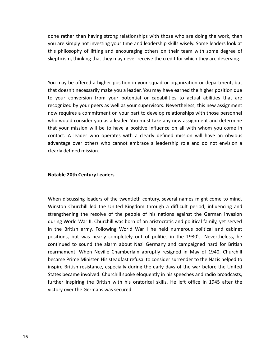rather than having strong relationships with those who are doing the work, then e rather than having strong relationships with those who are doing the work, then<br>are simply not investing your time and leadership skills wisely. Some leaders look at philosophy of lifting and encouraging others on their team with some leaders look at<br>thilosophy of lifting and encouraging others on their team with some degree of than having strong relationships with those who are doing the work, then<br>ply not investing your time and leadership skills wisely. Some leaders look at<br>phy of lifting and encouraging others on their team with some degree o you are simply not investing your time and leadership skills wisely. Some leaders look at are simply not investing your time and leadership skills wisely. Some leaders look at<br>philosophy of lifting and encouraging others on their team with some degree of<br>ticism, thinking that they may never receive the credit f this philosophy of lifting and encouraging others on their team with some degree of philosophy of lifting and encouraging others on their team with some degree of<br>ticism, thinking that they may never receive the credit for which they are deserving.<br>may be offered a higher position in your squad or organiz skepticism, thinking that they may never receive the credit for which they are deserving. recognized

pricism, thinking that they may never receive the credit for which they are deserving.<br>
may be offered a higher position in your squad or organization or department, but<br>
t doesn't necessarily make you a leader. You may ha by offered a higher position in your squad or organization or department, but<br>t necessarily make you a leader. You may have earned the higher position due<br>inversion from your potential or capabilities to actual abilities t may be offered a higher position in your squad or organization or department, but<br>doesn't necessarily make you a leader. You may have earned the higher position due<br>pur conversion from your potential or capabilities to act where may be offered a higher position in your squad or organization or department, but<br>doesn't necessarily make you a leader. You may have earned the higher position due<br>pur conversion from your potential or capabilities to act tou<br>... May be onered a migher position in your sided or origanization or department, but<br>doesn't necessarily make you a leader. You may have earned the higher position due<br>bur conversion from your potential or capabilities to act chac aoc Franceessamy make you a leader. Touting have cannot the ingher position due<br>conversion from your potential or capabilities to actual abilities that are<br>ed by your peers as well as your supervisors. Nevertheless, this new a  $\frac{1}{2}$ by your peers as well as your supervisors. Nevertheless, this new assignment<br>es a commitment on your part to develop relationships with those personnel<br>consider you as a leader. You must take any new assignment and determi recognized by your peers as<br>now requires a commitment<br>who would consider you as<br>that your mission will be to<br>contact. A leader who ope<br>advantage over others who<br>clearly defined mission. **Contact.** A leader who operates wit advantage over others who cannot and clearly defined mission.<br>Clearly defined mission.<br>**Notable 20th Centurv Leaders** 

### Notable 20th Century Leaders

this

Notable 20th Century Leaders<br>When discussing leaders of the twentieth century, several names might come to mind. **Churchill Century Leaders<br>Churchill led the United Kingdom through a difficult period, influencing and<br>Churchill led the United Kingdom through a difficult period, influencing and** Final Contury Leaders<br>The resolve of the twentieth century, several names might come to mind.<br>Thill led the United Kingdom through a difficult period, influencing and<br>the resolve of the people of his nations against the Ge discussing leaders of the twentieth century, several names might come to mind.<br>In Churchill led the United Kingdom through a difficult period, influencing and<br>hening the resolve of the people of his nations against the Ger The British army. Following World War I he held numerous political and cabinet the British army. Following World War I he held numerous political and cabinet<br>the British army. Following World War I he held numerous politic When discussing leaders of the twentieth century, several names might come to mind. ussing leaders of the twentieth century, several names might come to mind.<br>hurchill led the United Kingdom through a difficult period, influencing and<br>ing the resolve of the people of his nations against the German invasio Winston Churchill led the United Kingdom through a difficult period, influencing and the sound the United Kingdom through a difficult period, influencing and<br>ting the resolve of the people of his nations against the German invasion<br>id War II. Churchill was born of an aristocratic and political family, yet strengthening the resolve of the people of his nations against the German invasion the resolve of the people of his nations against the German invasion<br>War II. Churchill was born of an aristocratic and political family, yet served<br>army. Following World War I he held numerous political and cabinet<br>was nea became<br>Districts Prime Minister. His steadfast refusal to consider surrender to the Nazis helped to<br>Pritish army. Following World War I he held numerous political and cabinet<br>s, but was nearly completely out of politics in the 1930's. Neve uunn<sub>b</sub><br>. . . . British army. Following World War I he held numerous political and cabinet<br>Is, but was nearly completely out of politics in the 1930's. Nevertheless, he<br>ed to sound the alarm about Nazi Germany and campaigned hard for Brit in the British army. Following World War I he held numerous political and cabinet positions, but was nearly completely out of politics in the 1930's. Nevertheless, he m the British anny. Tollowing World War The Held Hallierous political and cablice<br>positions, but was nearly completely out of politics in the 1930's. Nevertheless, he<br>continued to sound the alarm about Nazi Germany and cam in the 1998 3. Nevertheress, he<br>ad to sound the alarm about Nazi Germany and campaigned hard for British<br>nent. When Neville Chamberlain abruptly resigned in May of 1940, Churchill<br>Prime Minister. His steadfast refusal to c Frearmament. When Neville Chamberlain a<br>became Prime Minister. His steadfast refusa<br>inspire British resistance, especially during<br>States became involved. Churchill spoke elo<br>further inspiring the British with his orate<br>vic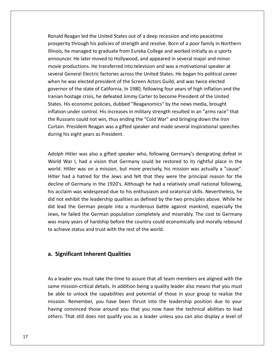Reagan led the United States out of <sup>a</sup> deep recession and into peacetime through his policies of strength and resolve. Born of a poor family in Northern<br>through his policies of strength and resolve. Born of a poor family in Northern Reagan led the United States out of a deep recession and into peacetime<br>ity through his policies of strength and resolve. Born of a poor family in Northern<br>he managed to graduate from Eureka College and worked initially as Meta the United States out of a deep recession and into peacetime<br>hrough his policies of strength and resolve. Born of a poor family in Northern<br>nanaged to graduate from Eureka College and worked initially as a sports<br>He l Reagan led the United States out of a deep recession and into peacetime<br>rity through his policies of strength and resolve. Born of a poor family in Northern<br>he managed to graduate from Eureka College and worked initially a severalReagan led the United States out of a deep recession and into peacetime<br>ity through his policies of strength and resolve. Born of a poor family in Northern<br>he managed to graduate from Eureka College and worked initially as nonai Firsty through his policies of strength and resolve. Born of a poor family in Northern<br>i, he managed to graduate from Eureka College and worked initially as a sports<br>incer. He later moved to Hollywood, and appeared in seve prosperno<br>.... of the state of california. In 1980, following four years of high inflation and several major and minor<br>oductions. He transferred into television and was a motivational speaker at<br>eneral Electric factories across the Unite Illinois, he managed to graduate from Eureka College and worked initially as a sports announcer. He later moved to Hollywood, and appeared in several major and minor hostage crisis, he defeated Jimmy Carter to become President of the United Protational Speaker at General Electric factories across the United States. He began his political career e was elected president of the Screen Act movie productions. He transferred into television and was a motivational speaker at Bis economic list in the transferred into television and was a motivational speaker at<br>General Electric factories across the United States. He began his political career<br>e was elected president of the Screen Actors Guild, inovic pi ieneral Electric factories across the United States. He began his political career<br>was elected president of the Screen Actors Guild, and was twice elected<br>of the state of California. In 1980, following four years of high i when he was elected president of the Screen Actors Guild, and was twice elected Fran Scherar Erective factories across the Onited States. The Segarmis political career<br>In he was elected president of the Screen Actors Guild, and was twice elected<br>Ternor of the state of California. In 1980, following fo merrie was elected president of the sereen Accors Gand, and was twice elected<br>governor of the state of California. In 1980, following four years of high inflation and the<br>Iranian hostage crisis, he defeated Jimmy Carter to Iranian hostage crisis, he defeated Jimm<br>States. His economic policies, dubbed "<br>inflation under control. His increases in<br>the Russians could not win, thus ending<br>Curtain. President Reagan was a gifted :<br>during his eight v inflation under control. His increases in military strength resulted in an "arms race" that I under control. His increases in military strength resulted in an "arms race" that<br>sians could not win, thus ending the "Cold War" and bringing down the Iron<br>President Reagan was a gifted speaker and made several inspirat the Russians could not win, thus ending the "Cold War" and bringing down the Iron isians could not win, thus ending the "Cold War" and bringing down the Iron<br>I. President Reagan was a gifted speaker and made several inspirational speeches<br>his eight years as President.<br>Hitler was also a gifted speaker wh Curtain. President Reagan was a gifted speaker and made several inspirational speeches

Curtain. President Reagan was a gifted speaker and made several inspirational speeches<br>during his eight years as President.<br>Adolph Hitler was also a gifted speaker who, following Germany's denigrating defeat in<br>World War I his eight years as President.<br>
had a hatred speaker who, following Germany's denigrating defeat in<br>
War I, had a vision that Germany could be restored to its rightful place in the<br>
Hitler was on a mission, but more precise Adolph Hitler was also a gifted speaker who, following Germany's denigrating defeat in<br>World War I, had a vision that Germany could be restored to its rightful place in the<br>world. Hitler was on a mission, but more precisel blph Hitler was also a gifted speaker who, following Germany's denigrating defeat in<br>rld War I, had a vision that Germany could be restored to its rightful place in the<br>rld. Hitler was on a mission, but more precisely, his Adolph Hitler was also a gifted speaker who, following Germany's denigrating defeat in<br>World War I, had a vision that Germany could be restored to its rightful place in the not the latter was also a girect speaker who, following definantly stemsthing acted in<br>
rid War I, had a vision that Germany could be restored to its rightful place in the<br>
ld. Hitler was on a mission, but more precisely, world. Hitler was on a mission, but more precisely, his mission was actually a "cause". lead the German people into a murderous battle against mankind, especially a "cause".<br>Fighter was on a mission, but more precisely, his mission was actually a "cause".<br>Fighter was on a mission, but more precisely, his miss Hitler had a hatred for the Jews and felt that they were the principal reason for the had a hatred for the Jews and felt that they were the principal reason for the<br>e of Germany in the 1920's. Although he had a relatively small national following,<br>claim was widespread due to his enthusiasm and oratorical sk decline of Germany in the 1920's. Although he had a relatively small national following, many in the 1920's. Although he had a relatively small national following,<br>cclaim was widespread due to his enthusiasm and oratorical skills. Nevertheless, he<br>not exhibit the leadership qualities as defined by the two prin this acclaim was widespread due to his enthusiasm and or<br>did not exhibit the leadership qualities as defined by the<br>did lead the German people into a murderous battle a<br>Jews, he failed the German population completely and did lead the German people into a murderous battle against mankind, especially the Iead the German people into a murdero<br>
Significant of hardship before the countr<br>
Significant **Inherent Qualities** 

### a. Significant Inherent Qualities

Illinois,

**Significant Inherent Qualities**<br>a leader you must take the time to assure that all team members are aligned with the **prificant Inherent Qualities<br>Pader you must take the time to assure that all team members are aligned with the<br>mission-critical details. In addition being a quality leader also means that you must Significant Inherent Qualities**<br>a leader you must take the time to assure that all team members are aligned with the<br>ne mission-critical details. In addition being a quality leader also means that you must<br>able to unlock same mission-critical details. In addition being a quality leader also means that you must<br>be able to unlock the capabilities and potential of those in your group to realize the<br>mission. Remember, you have been thrust into der you must take the time to assure that all team members are aligned with the<br>ission-critical details. In addition being a quality leader also means that you must<br>to unlock the capabilities and potential of those in your As a leader you must take the time to assure that all team members are aligned with the having convinced those around you that you now have the technical abilities to lead<br>others. That still does not qualify you as a leader unless you can also display a level of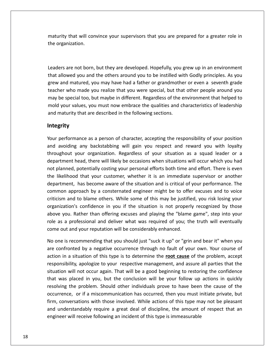that will convince your supervisors that you are prepared for <sup>a</sup> greater role in **ordana**<br>Unity that will corner<br>The corresponse or the corner of the corner of the corner of the corner of the corner of the corner of the cor<br>Disponsion of the corner of the corner of the corner of the corner of the corne Are in that will convince your supervisors that you are prepared for a greater role in<br>ization.<br>They are not born, but they are developed. Hopefully, you grew up in an environment maturity that will convince your supervisors that you are prepared for a greater role in inty that will convince your supervisors that you are prepared for a greater role in<br>organization.<br>ers are not born, but they are developed. Hopefully, you grew up in an environment<br>allowed you and the others around you to the organization. teacher

matured.<br>The matured matured matured matured matured matured with same window and the others around you to be instilled with Godly principles. As you<br>and matured, you may have had a father or grandmother or even a seventh are not born, but they are developed. Hopefully, you grew up in an environment<br>wed you and the others around you to be instilled with Godly principles. As you<br>d matured, you may have had a father or grandmother or even a s ers are not born, but they are developed. Hopefully, you grew up in an environment<br>allowed you and the others around you to be instilled with Godly principles. As you<br>and matured, you may have had a father or grandmother o Leaders are not born, but they are developed. Hopefully, you grew up in an environment rs are not born, but they are developed. Hopefully, you grew up in an environment<br>Ilowed you and the others around you to be instilled with Godly principles. As you<br>and matured, you may have had a father or grandmother or  $\overline{\phantom{a}}$ ers are not born, but they are accelepted. Hoperany, you<br>allowed you and the others around you to be instilled wive<br>and matured, you may have had a father or grandmothe<br>her who made you realize that you were special, but t that allow may be special too, but maybe in different. Regardless of the environment that helped to<br>
I your values, you must now embrace the qualities and characteristics of leadership<br>
maturity that are described in the following sectio mold your values, you must now embrace the qualities and characteristics of leadership I your values, you must now embrace the qualities and characteristics of leadership<br>maturity that are described in the following sections.<br>**grity**<br>performance as a person of character, accepting the responsibility of your and maturity that are described in the following sections.

### Integrity

If that are described in the following sections.<br>
Thance as a person of character, accepting the responsibility of your position<br>
If any backstabbing will gain you respect and reward you with loyalty<br>
If your organization. mance as a person of character, accepting the responsibility of your position<br>a any backstabbing will gain you respect and reward you with loyalty<br>your organization. Regardless of your situation as a squad leader or a<br>head planned as a person of character, accepting the responsibility of your position<br>avoiding any backstabbing will gain you respect and reward you with loyalty<br>ughout your organization. Regardless of your situation as a squad  $\mathbf{t}$ is performance as a person of character, accepting the responsibility of your position<br>avoiding any backstabbing will gain you respect and reward you with loyalty<br>ughout your organization. Regardless of your situation as a  $\frac{1}{1000}$  perform any backstabbing will gain you respect and reward you with loyalty<br>our organization. Regardless of your situation as a squad leader or a<br>ead, there will likely be occasions when situations will occur which you had<br>ootentia ana avo any backstabbing win gain you respect and reward you with loyary<br>at your organization. Regardless of your situation as a squad leader or a<br>nt head, there will likely be occasions when situations will occur which you had<br>ed controlled in the controlled in the controlled in the controlled in the controlled in the controlled in the co<br>Controlled in the controlled in the controlled in the controlled in the controlled in the controlled in the co and the blame others. While some of this may be institution as a square reader of a<br>lead, there will likely be occasions when situations will occur which you had<br>hed, potentially costing your personal efforts both time and department head, there will likely be occasions when situations will occur which you had<br>not planned, potentially costing your personal efforts both time and effort. There is even<br>the likelihood that your customer, whether otentially costing your personal efforts both time and effort. There is even<br>that your customer, whether it is an immediate supervisor or another<br>as become aware of the situation and is critical of your performance. The<br>pa nocpr<br>... extrainty examples and enotes sour and enote. There is even<br>elihood that your customer, whether it is an immediate supervisor or another<br>ment, has become aware of the situation and is critical of your performance. The<br>pon ric<br>. membod and your castomer, whether it is an immediate supervisor or another<br>rtment, has become aware of the situation and is critical of your performance. The<br>mon approach by a consternated engineer might be to offer excuse common approach by a consternated engineer might be to offer excuses and to voice criticism and to blame others. While some of this may be justified, you risk losing your icism and to blame others. While some of this may be justified, you risk losing your<br>anization's confidence in you if the situation is not properly recognized by those<br>we you. Rather than offering excuses and playing the " organization's confidence in you if the situation is not properly recognized by those inization's confidence in you if the situation is not properly recognized by those<br>ve you. Rather than offering excuses and playing the "blame game", step into your<br>as a professional and deliver what was required of you; t above you. Rather than offering excuses and playing the "blame game", step into your you. Rather than offering excuses and playing the "blame game", step into your<br>a professional and deliver what was required of you; the truth will eventually<br>out and your reputation will be considerably enhanced.<br>is recomm role as a professional and deliver what was required of you; the truth will eventually come out and your reputation will be considerably enhanced.

essional and deliver what was required of you; the truth will eventually<br>your reputation will be considerably enhanced.<br>mmending that you should just "suck it up" or "grin and bear it" when you<br>d by a negative occurrence t and your reputation will be considerably enhanced.<br>
recommending that you should just "suck it up" or "grin and bear it" when you<br>
onted by a negative occurrence through no fault of your own. Your course of<br>
a situation of No one is recommending that you should just "suck it up" or "grin and bear it" when you me is recommending that you should just "suck it up" or "grin and bear it" when you<br>onfronted by a negative occurrence through no fault of your own. Your course of<br>n in a situation of this type is to determine the **<u>root c**</u> resolving is The problem. Should other individuals prove to have been the cause of the problem.<br>
Shown the problem, accept lility, apologize to your respective management, and assure all parties that the will not occur again. That will  $\frac{1}{2}$  component or by a negative occurrence through no fault of your ownther course of<br>tuation of this type is to determine the **<u>root cause</u>** of the problem, accept<br>a pologize to your respective management, and assure all parties that th  $arcc$ The distance of this type is to determine the **<u>root clase</u>** of the prosiem, accept<br>nsibility, apologize to your respective management, and assure all parties that the<br>ion will not occur again. That will be a good beginnin  $\ddot{\phantom{a}}$ beishing, applying to your respective management, and assate an parties that the<br>tion will not occur again. That will be a good beginning to restoring the confidence<br>was placed in you, but the conclusion will be your follo situation will not occur again. That will be a good beginning to restoring the confidence<br>that was placed in you, but the conclusion will be your follow up actions in quickly placed in you, but the conclusion will be your follow up actions if the problem. Should other individuals prove to have been the cau<br>ce, or if a miscommunication has occurred, then you must initiate pr<br>versations with thos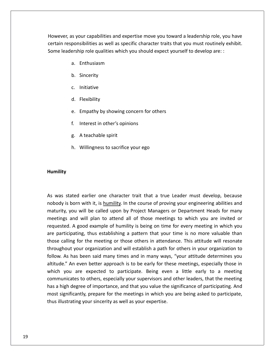as your capabilities and expertise move you toward a leadership role, you have<br>as your capabilities and expertise move you toward a leadership role, you have responsibilities and expertise move you toward a leadership role, you have<br>The sponsibilities as well as specific character traits that you must routinely exhibit. leadership role and the state of the deadership role, you haven, as your capabilities and expertise move you toward a leadership role, you have<br>Interponsibilities as well as specific character traits that you must routinel our capabilities and expert<br>sibilities as well as specific<br>ip role qualities which you<br>Enthusiasm ne your capabilities an<br>ponsibilities as well and<br>ership role qualities<br>a. Enthusiasm<br>b. Sinceritv certain responsibilities as well as specific character traits that you must routinely exhibit. Some leadership role qualities which you should expect yourself to develop are: :<br>
a. Enthusiasm<br>
b. Sincerity<br>
c. Initiative

- Enthusiasm<br>Sincerity<br>Initiative<br>Flexibilitv
- 
- 
- 
- Sincerity<br>Initiative<br>Flexibility<br>Empathy by showing concern for others Initiative<br>Flexibility<br>Empathy by showing concern for c<br>Interest in other's opinions Flexibility<br>Empathy by showing co<br>Interest in other's opini<br>A teachable spirit Empathy by showing concern for others<br>Interest in other's opinions<br>A teachable spirit<br>Willingness to sacrifice your ego
- 
- 
- 

### Humility meetings

mility<br>was stated earlier one character trait that a true Leader must develop, because I<br>is born with it, is humility. In the course of proving your engineering abilities and<br>is born with it, is humility. In the course of proving your engineering abilities and Exated earlier one character trait that a true Leader must develop, because<br>born with it, is humility. In the course of proving your engineering abilities and<br>you will be called upon by Project Managers or Department Heads ated earlier one character trait that a true Leader must develop, because<br>born with it, is humility. In the course of proving your engineering abilities and<br>you will be called upon by Project Managers or Department Heads f The dearlier one character trait that a true Leader must develop, because<br>orn with it, is <u>humility</u>. In the course of proving your engineering abilities and<br>bu will be called upon by Project Managers or Department Heads f As was stated earlier one character trait that a true Leader must develop, because was stated earlier one character trait that a true Leader must develop, because<br>ody is born with it, is <u>humility</u>. In the course of proving your engineering abilities and<br>urity, you will be called upon by Project Managers nobody is born with it, is humility. In the course of proving your engineering abilities and y is born with it, is <u>humility</u>. In the course of proving your engineering abilities and<br>ity, you will be called upon by Project Managers or Department Heads for many<br>ngs and will plan to attend all of those meetings to w maturity, you will be called upon by Project Managers or Department Heads for many your engineering abilities and<br>u will be called upon by Project Managers or Department Heads for many<br>nd will plan to attend all of those meetings to which you are invited or<br>A good example of humility is being on time for meetings and will plan to attend all of those meetings to which you are invited or As and will plan to attend all of those meetings to which you are invited or<br>ed. A good example of humility is being on time for every meeting in which you<br>ticipating, thus establishing a pattern that your time is no more requested. A good example of humility is being on time for every meeting in which you An even better approach is to be early for these meetings to which you are invited of the position. A good example of humility is being on time for every meeting in which you ipating, thus establishing a pattern that your icque Exaint good example of namme, is being on time for every inceding in which year.<br>
Itcipating, thus establishing a pattern that your time is no more valuable than<br>
alling for the meeting or those others in attendance. This  $\frac{c}{c}$  participation there we was also more valuate that<br>a proper value of the meeting or those others in attendance. This attitude will resonate<br>ar organization and will establish a path for others in your organization to<br>been said many times unu<br>.. a high degree of importance, and that you value the significance of participating a high degree of importance, and that you value the significance of participation of participation is to be early for these meetings, especi modghod you organization and will establish a path for others in your organization to<br>follow. As has been said many times and in many ways, "your attitude determines you<br>altitude." An even better approach is to be early fo altitude." An even better approach is to be early for these meetings, especially those in which you are expected to participate. Being even a little early to a meeting communicates to others, especially your supervisors an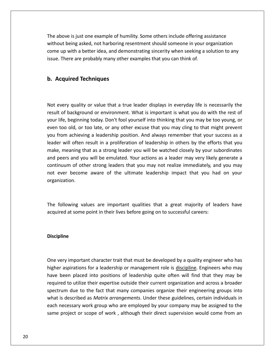above is just one example of humility. Some others include offering assistance being asked and the example of humility. Some others include offering assistance<br>being asked, not harboring resentment should someone in your organization Nove is just one example of humility. Some others include offering assistance<br>in the better idea, and demonstrating sincerity when seeking a solution to any<br>up with a better idea, and demonstrating sincerity when seeking a The above is just one example of humility. Some others include offering assistance without being asked, not harboring resentment should someone in your organization come up with a better idea, and demonstrating sincerity w above is just one example of hun<br> **Acquired** is just one tharboring row with a better idea, and dem<br> **Acquired Techniques** 

### b. Acquired Techniques

come de la come<br>come de la come de la come<br>come de la come de la come de la come de la come de la come de la come de la come de

every quality or value that a true leader displays in everyday life is necessarily the every quality or value that a true leader displays in everyday life is necessarily the opti<mark>red Techniques</mark><br>Jery quality or value that a true leader displays in everyday life is necessarily the<br>The background or environment. What is important is what you do with the rest of **life, incondigum**<br>life, beginning to value that a true leader displays in everyday life is necessarily the<br>t of background or environment. What is important is what you do with the rest of<br>life, beginning today. Don't foo very quality or value that a true leader displays in everyday life is necessarily the<br>of background or environment. What is important is what you do with the rest of<br>ife, beginning today. Don't fool yourself into thinking every quality or value that a true leader displays in everyday life is necessarily the<br>It of background or environment. What is important is what you do with the rest of<br>Iffe, beginning today. Don't fool yourself into thin Not every quality or value that a true leader displays in everyday life is necessarily the<br>result of background or environment. What is important is what you do with the rest of<br>your life, beginning today. Don't fool yours  $\frac{1}{100}$ ery quanty or value that a true leader alsphays in everyday life is necessainly the<br>of background or environment. What is important is what you do with the rest of<br>ie, beginning today. Don't fool yourself into thinking tha .com Fife, beginning today. Don't fool yourself into thinking that you may be too young, or<br>too old, or too late, or any other excuse that you may cling to that might prevent<br>from achieving a leadership position. And always rem  $\frac{1}{2}$ d, or too late, or any other excuse that you may cling to that might prevent<br>chieving a leadership position. And always remember that your success as a<br>often result in a proliferation of leadership in others by the efforts even too old, or too late, or any other excuse that you may cling to that might prevent<br>you from achieving a leadership position. And always remember that your success as a From achieving a leadership position. And always remember that your success as a<br>er will often result in a proliferation of leadership in others by the efforts that you<br>e, meaning that as a strong leader you will be watche leader will often result in a proliferation of leadership in others by the efforts that you continuum of other strong leaders that you may not realize immediately, and you may<br>not ever become aware of the ultimate leadership impact that you had on your<br>organization.<br>The following values are important qualities th acceleration and the unit in their limit original in the tollowing values are important qualities that a great majority of learting on the following values are important qualities that a great majority of learting acquired

### Discipline required

pline<br>very important character trait that must be developed by a quality engineer who has ine<br>The spirations for a leadership or management role is discipline. Engineer who has<br>The discipline of a leadership or management role is discipline. Engineers who may **ine**<br>ery important character trait that must be developed by a quality engineer who has<br>r aspirations for a leadership or management role is <u>discipline</u>. Engineers who may<br>been placed into positions of leadership quite o important character trait that must be developed by a quality engineer who has<br>pirations for a leadership or management role is <u>discipline</u>. Engineers who may<br>in placed into positions of leadership quite often will find t mportant character trait that must be developed by a quality engineer who has<br>irations for a leadership or management role is <u>discipline</u>. Engineers who may<br>i placed into positions of leadership quite often will find that  $\overline{a}$ is described as *Matrix* arrangements. Under these guidelines, certain individuals in described as *Matrix* arrangements, Under these guidelines, certain individuals in the described as *Matrix* arrangements. Under these g  $\sum_{i=1}^{n}$ r aspirations for a leadership or management role is <u>discipline</u>. Engineers who may<br>been placed into positions of leadership quite often will find that they may be<br>red to utilize their expertise outside their current orga higher aspirations for a leadership or management role is discipline. Engineers who may<br>have been placed into positions of leadership quite often will find that they may be been placed into positions of leadership quite often will find that they may be<br>ed to utilize their expertise outside their current organization and across a broader<br>um due to the fact that many companies organize their en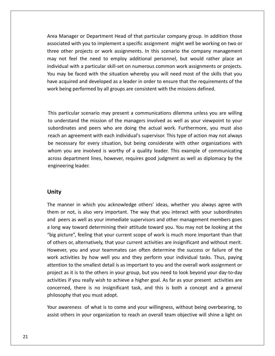Manager or Department Head of that particular company group. In addition those with you to implement a specific assignment might well be working on two or<br>with you to implement a specific assignment might well be working on two or Manager or Department Head of that particular company group. In addition those<br>ated with you to implement a specific assignment might well be working on two or<br>other projects or work assignments. In this scenario the compa Manager or Department Head of that particular company group. In addition those<br>iated with you to implement a specific assignment might well be working on two or<br>other projects or work assignments. In this scenario the comp Area Manager or Department Head of that particular company group. In addition those<br>associated with you to implement a specific assignment might well be working on two or<br>three other projects or work assignments. In this s Manager or Department Head of that particular company group. In addition those<br>ciated with you to implement a specific assignment might well be working on two or<br>e other projects or work assignments. In this scenario the c Area Manager or Department Head of that particular company group. In addition those<br>associated with you to implement a specific assignment might well be working on two or manger or bepariment riead or that particular company group. In dualitien those<br>lated with you to implement a specific assignment might well be working on two or<br>other projects or work assignments. In this scenario the com three other projects or work assignments. In this scenario the company management being performed by all groups are consistent with the mission defined.<br>
being performed to employ additional personnel, but would rather p<br>
dual with a particular skill-set on numerous common work assignments or p<br>
hay be  $\sqrt{2}$ may be faced with the situation whereby you will need most of the skills that you<br>acquired and developed as a leader in order to ensure that the requirements of the<br>being performed by all groups are consistent with the mis have acquired and developed as a leader in order to ensure that the requirements of the<br>work being performed by all groups are consistent with the missions defined.<br>This particular scenario may present a communications dil work being performed by all groups are consistent with the missions defined.

meral peers who all groups are consistent with the missions defined.<br>
For scenario may present a communications dilemma unless you are willing<br>
I the mission of the managers involved as well as your viewpoint to your<br>
and articular scenario may present a communications dilemma unless you are willing<br>derstand the mission of the managers involved as well as your viewpoint to your<br>dinates and peers who are doing the actual work. Furthermore, y s particular scenario may present a communications dilemma unless you are willing<br>understand the mission of the managers involved as well as your viewpoint to your<br>ordinates and peers who are doing the actual work. Further  $\mathbf{w}$  . rticular scenario may present a communications dilemma unless you are willing<br>erstand the mission of the managers involved as well as your viewpoint to your<br>inates and peers who are doing the actual work. Furthermore, you acrossdepartment lines, however, requires good judgment as well as your viewpoint to your inates and peers who are doing the actual work. Furthermore, you must also in agreement with each individual's supervisor. This type of ac to understand the mission of the managers involved as well as your viewpoint to your subordinates and peers who are doing the actual work. Furthermore, you must also reach an agreement with each individual's supervisor. This type of action may not always be necessary for every situation, but being consider be necessary for every situation, but being considerate with other organizations with engineering leader. manner in which you acknowledge othersí ideas, whether you always agree with them

### Unity

the control of the control of the control of the control of the control of the control of the control of the c<br>The control of the control of the control of the control of the control of the control of the control of the c

or an<br>inference of the very important of the way that you head way agree with your subordinates<br>or not, is also very important. The way that you interact with your subordinates  $\mathbf y$ <br>manner in which you acknowledge others' ideas, whether you always agree with<br>or not, is also very important. The way that you interact with your subordinates<br>peers as well as your immediate supervisors and other ma **nity**<br>le manner in which you acknowledge others' ideas, whether you always agree with<br>lem or not, is also very important. The way that you interact with your subordinates<br>long way toward determining their attitude toward **phenomeanation**<br>
phanner in which you acknowledge others' ideas, whether you always agree with<br>
i or not, is also very important. The way that you interact with your subordinates<br>
peers as well as your immediate supervis The manner in which you acknowledge others' ideas, whether you always agree with The manner in which you acknowledge others' ideas, whether you always agree with<br>them or not, is also very important. The way that you interact with your subordinates<br>and peers as well as your immediate supervisors and oth of in which you acknowledge others facas, whether you always agree with<br>ot, is also very important. The way that you interact with your subordinates<br>as well as your immediate supervisors and other management members goes<br>t www. activities by how well you and they well as your immediate supervisors and other management members goes<br>way toward determining their attitude toward you. You may not be looking at the<br>icture", feeling that your current sc a long way toward determining their attitude toward you. You may not be looking at the to the smallest detail is as important to you and the overall work as years went as year immediate supervisors and other management members goes<br>re", feeling that your current scope of work is much more important than that "big picture", feeling that your current scope of work is much more important than that as it is to the others in your group, but you. To they not be looking at the dure", feeling that your current scope of work is much more important than that is or, alternatively, that your current activities are insignific of others or, alternatively, that your current activities are insignificant and without merit. if you and your current activities are insignificant and without merit.<br>
you and your teammates can often determine the success or failure of the<br>
vities by how well you and they perform your individual tasks. Thus, paying concerts or, and your teammates can often determine the success or failure of the<br>work activities by how well you and they perform your individual tasks. Thus, paying<br>attention to the smallest detail is as important to you mometer, you and your deanninates<br>work activities by how well you and<br>attention to the smallest detail is as i<br>project as it is to the others in your g<br>activities if you really wish to achieve<br>concerned, there is no insign tion to the smallest detail is as important to you and the overall work assignment or<br>ct as it is to the others in your group, but you need to look beyond your day-to-day<br>ties if you really wish to achieve a higher goal. A project as it is to the others in your group, but you need to look beyond your day-to-day t as it is to the others in your group, but you need to look beyond your day-to-day<br>ies if you really wish to achieve a higher goal. As far as your present activities are<br>rned, there is no insignificant task, and this is b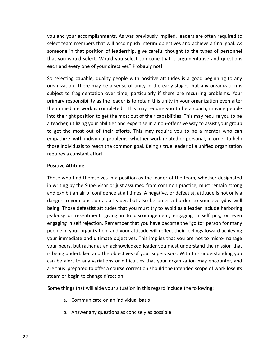and your accomplishments. As was previously implied, leaders are often required to team members that will accomplish interim objectives and achieve a final goal. As<br>team members that will accomplish interim objectives and achieve a final goal. As in that position our accomplishments. As was previously implied, leaders are often required to<br>in members that will accomplish interim objectives and achieve a final goal. As<br>in that position of leadership, give careful th and your accomplishments. As was previously implied, leaders are often required to<br>t team members that will accomplish interim objectives and achieve a final goal. As<br>eone in that position of leadership, give careful thoug and your accomplishments. As was previously implied<br>at team members that will accomplish interim objectiv<br>one in that position of leadership, give careful thou<br>you would select. Would you select someone that is<br>and every o yo I and your accomplishments. As was previously implied, leaders are often required to<br>ect team members that will accomplish interim objectives and achieve a final goal. As<br>neone in that position of leadership, give careful select team members that will accomplish interim objectives and achieve a final goal. As nembers that will accomplish interim objectives and achieve a final goal. As<br>hat position of leadership, give careful thought to the types of personnel<br>id select. Would you select someone that is argumentative and question someone in that position of leadership, give careful thought to the types of personnel e in that position of leadership, give careful thought to the types of personnel<br>i would select. Would you select someone that is argumentative and questions<br>d every one of your directives? Probably not!<br>ting capable, qual that you would select. Would you select someone that is argumentative and questions each and every one of your directives? Probably not!

would select. Would you select someone that is argumentative and questions<br>devery one of your directives? Probably not!<br>ting capable, quality people with positive attitudes is a good beginning to any<br>tion. There may be a s immediate work is completed. This may require you to be a coach, moving people with positive attitudes is a good beginning to any inization. There may be a sense of unity in the early stages, but any organization is ect to intoelecting capable, quality people with positive attitudes is a good beginning to any<br>nization. There may be a sense of unity in the early stages, but any organization is<br>ect to fragmentation over time, particularly if there Ĭ The values of the reacher, and the same of unity in the early stages, but any organization is<br>thight to fragmentation over time, particularly if there are recurring problems. Your<br>timary responsibility as the leader is to  $\ddot{\phantom{0}}$ given to fragmentation over time, particularly if there are recurring problems. Your mary responsibility as the leader is to retain this unity in your organization even after immediate work is completed. This may require y sabject to<br>. magnemeation over time, particularly in there are recenting problems, roan<br>ponsibility as the leader is to retain this unity in your organization even after<br>ate work is completed. This may require you to be a coach, moving pmna<br>.. individuals to reach the common goal. Being a true leader of a unified organization even ance in mediate work is completed. This may require you to be a coach, moving people her, utilizing your abilities and expertise in a into the right position to get the<br>a teacher, utilizing your abilitie<br>to get the most out of their<br>empathize with individual pro<br>those individuals to reach the<br>requires a constant effort. a teacher, utilizing your abilities and expertise in a non-offensive way to assist your group<br>to get the most out of their efforts. This may require you to be a mentor who can empathize with individual problems, whether work-related or personal, in order to help hize with individual problems, whether work-related or personal, in order to help<br>ndividuals to reach the common goal. Being a true leader of a unified organization<br>es a constant effort.<br>**e Attitude**<br>who find themselves in those individuals to reach the common goal. Being a true leader of a unified organization ose individuals to reach the common goal. Being a true leader of a unified organization<br>quires a constant effort.<br>sitive Attitude<br>ose who find themselves in a position as the leader of the team, whether designated<br>writing requires a constant effort. danger

### **Positive Attitude**

someone

ires a constant effort.<br> **Exercity**<br>
ive **Attitude**<br>
is who find themselves in a position as the leader of the team, whether designated<br>
riting by the Supervisor or just assumed from common practice, must remain strong<br>
ex Attitude<br>who find themselves in a position as the leader of the team, whether designated<br>ing by the Supervisor or just assumed from common practice, must remain strong<br>ibit an air of confidence at all times. A negative, or e Attitude<br>who find themselves in a position as the leader of the team, whether designated<br>ing by the Supervisor or just assumed from common practice, must remain strong<br>hibit an air of confidence at all times. A negative,  $\mathbb{R}$ In the Supervisor or just assumed from common practice, must remain strong<br>
is by the Supervisor or just assumed from common practice, must remain strong<br>
in the supervisor or just assumed from common practice, must remain In writing by the Supervisor or just assumed from common practice, must remain strong<br>and exhibit an air of confidence at all times. A negative, or defeatist, attitude is not only a<br>danger to your position as a leader, but and exhibit an air of confidence at all times. A negative, or defeatist, attitude is not only a is by the baper visor or just assumed from common practice, mast remain strong<br>ibit an air of confidence at all times. A negative, or defeatist, attitude is not only a<br>to your position as a leader, but also becomes a burde danger to your position as a leader, but also becomes a burden to your everyday well Figure and an extended and unity. The same of statement of your everyday well<br>i. Those defeatist attitudes that you must try to avoid as a leader include harboring<br>usy or resentment, giving in to discouragement, engaging i being. Those defeatist attitudes that you must try to avoid as a leader include harboring per to your position as a reader, sut also seconces a station to your everyday went.<br>I. Those defeatist attitudes that you must try to avoid as a leader include harboring<br>usy or resentment, giving in to discouragement, eng jealousy or resentment, giving in to discouragement, engaging in self pity, or even being undertaken and the objectives of your supervisors. With this understanding your resentment, giving in to discouragement, engaging in self pity, or even gaging in self rejection. Remember that you have become the "go engaging in self rejection. Remember that you have become the "go to" person for many be alert to any variations or difficulties that your organization may be alert to any variations or difficulties that you are not to micro-manage peers, but rather as an acknowledged leader you must understand the mission حب<br>ح the in your organization, and your attitude will reflect their feelings toward achieving<br>the in your organization, and your attitude will reflect their feelings toward achieving<br>r peers, but rather as an acknowledged leade pcopii<br>. people in your organization, and your as<br>your immediate and ultimate objectives<br>is being undertaken and the objectives<br>can be alert to any variations or difficu<br>are thus prepared to offer a course corr<br>steam or begin to ch eers, but rather as an acknowledged leader you must understand the miss<br>g undertaken and the objectives of your supervisors. With this understand<br>e alert to any variations or difficulties that your organization may encoun<br> alert to any variations or difficulties that you<br>s prepared to offer a course correction should<br>or begin to change direction.<br>hings that will aide your situation in this regard<br>a. Communicate on an individual basis are thus prepared to offer a course correction should the intended scope of work lose its repared to offer a course correction should the intende<br>egin to change direction.<br>Is that will aide your situation in this regard include the<br>Communicate on an individual basis<br>Answer any questions as concisely as possible

- 
-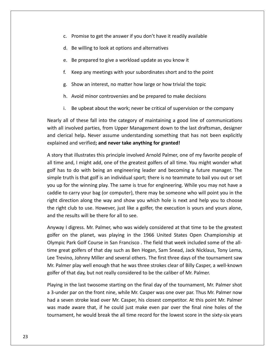- Promise to get the answer if you donít have it readily available c. Promise to get the answer if you don't have it readily available<br>d. Be willing to look at options and alternatives Promise to get the answer if you don't have it readily available<br>Be willing to look at options and alternatives<br>Be prepared to give a workload update as you know it Promise to get the answer if you don't have it readily available<br>Be willing to look at options and alternatives<br>Be prepared to give a workload update as you know it<br>Keep any meetings with your subordinates short and to the
- 
- 
- Be willing to look at options and alternatives<br>Be prepared to give a workload update as you know it<br>Keep any meetings with your subordinates short and to the point<br>Show an interest, no matter how large or how trivial the t Be prepared to give a workload update as you know it<br>Keep any meetings with your subordinates short and to the point<br>Show an interest, no matter how large or how trivial the topic<br>Avoid minor controversies and be prepared Keep any meetings with your subordinates short and to the point<br>Show an interest, no matter how large or how trivial the topic<br>Avoid minor controversies and be prepared to make decisions<br>Be upbeat about the work: never be
- 
- 
- g. Show an interest, no matter how large or how trivial the topic<br>
h. Avoid minor controversies and be prepared to make decisions<br>
i. Be upbeat about the work; never be critical of supervision or the company<br>
all of these

g. Show an interest, no matter now large or now trivial the topic<br>
h. Avoid minor controversies and be prepared to make decisions<br>
i. Be upbeat about the work; never be critical of supervision or the company<br>
ly all of the h. Avoid minor controversies and be prepared to make decisions<br>i. Be upbeat about the work; never be critical of supervision or the company<br>ly all of these fall into the category of maintaining a good line of communication Be upbeat about the work; never be critical of supervision of these fall into the category of maintaining a good lively verified; from Upper Management down to the land help. Never assume understanding something that hand early all of these fall into the category of maintaining a good line of communications<br>ith all involved parties, from Upper Management down to the last draftsman, designer<br>ind clerical help. Never assume understanding some Nearly all of these fall into the category of maintaining a good line of communications arly all of these fall into the category of maintaining a good line of communications<br>th all involved parties, from Upper Management down to the last draftsman, designer<br>d clerical help. Never assume understanding somethin with all involved parties, from Upper Management down to the last draftsman, designer<br>clerical help. Never assume understanding something that has not been explicitly<br>ained and verified; **and never take anything for granted!**<br>b and clerical help. Never assume understanding something that has not been explicitly explained and verified; and never take anything for granted!

rical help. Never assume understanding something that has not been explicitly<br>ed and verified; **and never take anything for granted!**<br>that illustrates this principle involved Arnold Palmer, one of my favorite people of<br>e a ained and verified; **and never take anything for granted!**<br>
bry that illustrates this principle involved Arnold Palmer, one of my favorite people of<br>
me and, I might add, one of the greatest golfers of all time. You might caddiethat illustrates this principle involved Arnold Palmer, one of my favorite people of<br>
e and, I might add, one of the greatest golfers of all time. You might wonder what<br>
s to do with being an engineering leader and becomin rigue direction along the way and show you which hole is next and help you to choose<br>direction along the with being an engineering leader and becoming a future manager. The<br>e truth is that golf is an individual sport; there is n  $\frac{1}{\sqrt{2}}$ an time and, i might dad, one of the greatest goners of an time. Toa might wonder what<br>golf has to do with being an engineering leader and becoming a future manager. The<br>simple truth is that golf is an individual sport; th simple truth is that golf is an individual sport; there is no teammate to bail you out or set<br>you up for the winning play. The same is true for engineering. While you may not have a<br>caddie to carry your bag (or computer), or the winning play. The same is true for engineering. While you may not have a<br>
carry your bag (or computer), there may be someone who will point you in the<br>
ection along the way and show you which hole is next and help y caddi to carry your bag (or computer), there may be someone who will point you in the<br>irection along the way and show you which hole is next and help you to choose<br>ht club to use. However, just like a golfer, the execution is yo right direction along the way and show you which hole is next and help you to choose right direction along the way and show you which hole is next and help you to choose<br>the right club to use. However, just like a golfer, the execution is yours and yours alone,<br>and the results will be there for all to see.

the right club to use. However, just like a golfer, the execution is yours and yours alone,<br>and the results will be there for all to see.<br>Anyway I digress. Mr. Palmer, who was widely considered at that time to be the great the results will be there for all to see.<br>
way I digress. Mr. Palmer, who was widely considered at that time to be the greatest<br>
er on the planet, was playing in the 1966 United States Open Championship at<br>
mpic Park Golf Mr.way I digress. Mr. Palmer, who was widely considered at that time to be the greatest<br>er on the planet, was playing in the 1966 United States Open Championship at<br>npic Park Golf Course in San Francisco . The field that week  $\frac{1}{2}$ golfer on the planet, was playing in the 1966 United States Open Championship at Olympic Park Golf Course in San Francisco. The field that week included some of the allin Park Golf Course in San Francisco . The field that week included some of the all-<br>eat golfers of that day such as Ben Hogan, Sam Snead, Jack Nicklaus, Tony Lema,<br>vino, Johnny Miller and several others. The first three d time great golfers of that day such as Ben Hogan, Sam Snead, Jack Nicklaus, Tony Lema, me great golfers of that day such as Ben Hogan, Sam Snead, Jack Nicklaus, Tony Lema,<br>ee Trevino, Johnny Miller and several others. The first three days of the tournament saw<br>Ir. Palmer play well enough that he was three st Lee Trevino, Johnny Miller and several others. The first three days of the tournament saw Trevino, Johnny Miller and several others. The first three days of the tournament saw<br>Palmer play well enough that he was three strokes clear of Billy Casper, a well-known<br>er of that day, but not really considered to be th Mr. Palmer play well enough that he was three strokes clear of Billy Casper, a well-known golfer of that day, but not really considered to be the caliber of Mr. Palmer.

Palmer play well enough that he was three strokes clear of Billy Casper, a well-known<br>r of that day, but not really considered to be the caliber of Mr. Palmer.<br>ng in the last twosome starting on the final day of the tourna day, but not really considered to be the caliber of Mr. Palmer.<br>
I last twosome starting on the final day of the tournament, Mr. Palmer shot<br>
I con the front nine, while Mr. Casper was one over par. Thus Mr. Palmer now<br>
st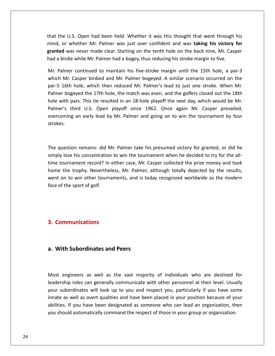the U.S. Open had been held. Whether it was this thought that went through his or W.S. Open had been held. Whether it was this thought that went through his<br>The Washing Mr. Palmer was just over confident and was **taking his victory for** U.S. Open had been held. Whether it was this thought that went through his<br>
whether Mr. Palmer was just over confident and was **taking his victory for**<br>
was never made clear. Starting on the tenth hole on the back nine. Mr that the U.S. Open had been held. Whether it was this thought that went through<br>mind, or whether Mr. Palmer was just over confident and was **taking his victory**<br>**granted** was never made clear. Starting on the tenth hole on the U.S. Open had been held. Whether it was this thought that went through his<br>I, or whether Mr. Palmer was just over confident and was **taking his victory for<br>ted** was never made clear. Starting on the tenth hole on the b that the U.S. Open had been held. Whether it was this thought that went through his e U.S. Open had been held. Whether it was this thought that went through his<br>or whether Mr. Palmer was just over confident and was **taking his victory for**<br>**d** was never made clear. Starting on the tenth hole on the back n mind, or whether Mr. Palmer was just over confident and was taking his victory for mind, or whether Mr. Palmer was just over confident and was **taking his victory for**<br>**granted** was never made clear. Starting on the tenth hole on the back nine, Mr. Casper<br>had a birdie while Mr. Palmer had a bogey, thus r had a birdie while Mr. Palmer had a bogey, thus reducing his stroke margin to five.

was never made clear. Starting on the tenth hole on the back nine, Mr. Casper<br>rdie while Mr. Palmer had a bogey, thus reducing his stroke margin to five.<br>mer continued to maintain his five-stroke margin until the 15th hole had a birdie while Mr. Palmer had a bogey, thus reducing his stroke margin to five.<br>
Mr. Palmer continued to maintain his five-stroke margin until the 15th hole, a par-3<br>
which Mr. Casper birdied and Mr. Palmer bogeyed. A Mr. Palmer continued to maintain his five-stroke margin until the 15th hole, a par-3<br>which Mr. Casper birdied and Mr. Palmer bogeyed. A similar scenario occurred on the<br>par-5 16th hole, which then reduced Mr. Palmer's lead asper birdied and Mr. Palmer bogeyed. A similar scenario occurred on the<br>nole, which then reduced Mr. Palmer's lead to just one stroke. When Mr.<br>yed the 17th hole, the match was even, and the golfers closed out the 18th<br>rs which Mr. Casper birdied and Mr. Palmer bogeyed. A similar scenario occurred on the par-5 16th hole, which then reduced Mr. Palmer's lead to just one stroke. When Mr. n<br>Dolr er's third U.S. Open playoff since 1962. Once again Mr. Casper prevailed,<br>coming an early lead by Mr. Palmer and going on to win the tournament by four<br>ces.<br>question remains: did Mr. Palmer take his presumed victory for gr overcoming an early lead by Mr. Palmer and going on to win the tournament by four<br>strokes.<br>The question remains: did Mr. Palmer take his presumed victory for granted, or did he<br>simply lose his concentration to win the tour

the ses.<br>the set of the record? In either the set of the best of the presumed victory for granted, or did he<br>tournament record? In either case, Mr. Casper collected the prize money and took The question remains: did Mr. Palmer take his presumed victory for granted, or did he<br>simply lose his concentration to win the tournament when he decided to try for the all-<br>time tournament record? In either case, Mr. Casp uestion remains: did Mr. Palmer take his presumed victory for granted, or did he<br>
y lose his concentration to win the tournament when he decided to try for the all-<br>
cournament record? In either case, Mr. Casper collected The question remains: did Mr. Palmer take his presumed victory for granted, or did he question remains: did N<br>ly lose his concentration<br>tournament record? In<br>e the trophy. Neverthe<br>i on to win other tourn<br>of the sport of golf. home the trophy. Nevertheless, Mr. Palmer, although totally dejected by the results, went on to win other tournaments, and is today recognized worldwide as the modern Ine the trophy. Nevertheless<br>ht on to win other tourname<br>**Communications** 

**granted**

## **With Subordinates and Peers** a. With Subordinates and Peers

**th Subordinates and Peers**<br>engineers as well as the vast majority of individuals who are destined for **ubordinates and Peers**<br>neers as well as the vast majority of individuals who are destined for<br>roles can generally communicate with other personnel at their level. Usually Fith Subordinates and Peers<br>
engineers as well as the vast majority of individuals who are destined for<br>
rship roles can generally communicate with other personnel at their level. Usually<br>
subordinates will look up to you engineers as well as the vast majority of individuals who are destined for<br>hip roles can generally communicate with other personnel at their level. Usually<br>ubordinates will look up to you and respect you, particularly if y gineers as well as the vast majority of individuals who are destined for<br>p roles can generally communicate with other personnel at their level. Usually<br>ordinates will look up to you and respect you, particularly if you hav Most engineers as well as the vast majority of individuals who are destined for leadership roles can generally communicate with other personnel at their level. Usually your subordinates will look up to you and respect you, particularly if you have some innate as well as overt qualities and have been p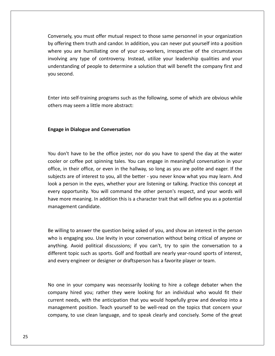you must offer mutual respect to those same personnel in your organization offering them truth and candor. In addition, you can never put your organization<br>Them truth and candor. In addition, you can never put yourself into a position sely, you must offer mutual respect to those same personnel in your organization<br>
ring them truth and candor. In addition, you can never put yourself into a position<br>
you are humiliating one of your co-workers, irrespectiv where whist offer mutual respect to those same personnel in your organization<br>and the truth and candor. In addition, you can never put yourself into a position<br>any type of controversy. Instead, utilize your leadership qual I must offer mutual respect to those same personnel in your organization<br>m truth and candor. In addition, you can never put yourself into a position<br>humiliating one of your co-workers, irrespective of the circumstances<br>typ Conversely, you<br>by offering them<br>where you are<br>involving any ty<br>understanding o<br>vou second. where you are humiliating one of your co-workers, irrespective of the circumstances involving any type of controversy. Instead, utilize your leadership qualities and your ing any type of controversy. Instead, utilize your leadership qualities and your<br>standing of people to determine a solution that will benefit the company first and<br>econd.<br>into self-training programs such as the following, understanding of people to determine a sol<br>you second.<br>Enter into self-training programs such as the<br>others may seem a little more abstract:

Enter into self-training programs such as the following, some of which are obvious while others may seem a little more abstract:

### **Engage in Dialogue and Conversation** subjects

where

ge in Dialogue and Conversation<br>don't have to be the office iester, nor do you have to spend the day at the water in Dialogue and Conversation<br>n't have to be the office jester, nor do you have to spend the day at the water<br>or coffee pot spinning tales. You can engage in meaningful conversation in your in Dialogue and Conversation<br>
n't have to be the office jester, nor do you have to spend the day at the water<br>
or coffee pot spinning tales. You can engage in meaningful conversation in your<br>
in their office, or even in th t have to be the office jester, nor do you have to spend the day at the water<br>  $\cdot$  coffee pot spinning tales. You can engage in meaningful conversation in your<br>
their office, or even in the hallway, so long as you are po don't have to be the office jester, nor do you have to spend the day at the water<br>or or coffee pot spinning tales. You can engage in meaningful conversation in your<br>e, in their office, or even in the hallway, so long as yo You don't have to be the office jester, nor do you have to spend the day at the water on't have to be the office jester, nor do you have to spend the day at the water<br>or coffee pot spinning tales. You can engage in meaningful conversation in your<br>in their office, or even in the hallway, so long as you are p cooler or coffee pot spinning tales. You can engage in meaningful conversation in your more make to be the ontee jester, not as you have to spend the day at the water<br>if or coffee pot spinning tales. You can engage in meaningful conversation in your<br>i, in their office, or even in the hallway, so long as you office, in their office, or ever<br>subjects are of interest to yo<br>look a person in the eyes, w<br>every opportunity. You will a<br>have more meaning. In addit<br>management candidate. every opportunity. You will command the other person's respect, and your words will extry opportunity. You will command the other person's respect, and your words will<br>willing to answer the question being asked of you, and show an interest in the person<br>willing to answer the question being asked of you, a have more meaning. In addition this is a character trait that will define you as a potential is more meaning. In addition this is a character trait that will define you as a potential<br>agement candidate.<br>illing to answer the question being asked of you, and show an interest in the person<br>is engaging you. Use levity management candidate. different

First candidate.<br>Avoid political discussions; if you can't, try to spin the conversation to a<br>Avoid political discussions; if you can't, try to spin the conversation to a Be willing to answer the question being asked of you, and show an interest in the person<br>who is engaging you. Use levity in your conversation without being critical of anyone or<br>anything. Avoid political discussions; if yo Be willing to answer the question being asked of you, and show an interest in the person who is engaging you. Use levity in your conversation without being critical of anyone or anything. Avoid political discussions; if you can't, try to spin the conversation to a thing. Avoid political discussions; if you can't, try to spin the conversation to a<br>erent topic such as sports. Golf and football are nearly year-round sports of interest,<br>every engineer or designer or draftsperson has a f different topic such as sports. Golf and football are nearly year-round sports of interest, opic such as sports. Golf and football are nearly year-round sports of interest,<br>engineer or designer or draftsperson has a favorite player or team.<br>your company was necessarily looking to hire a college debater when the<br>h and every engineer or designer or draftsperson has a favorite player or team. management

In yengineer or designer or draftsperson has a favorite player or team.<br>
in your company was necessarily looking to hire a college debater when the<br>
in your company was necessarily looking for an individual who would fit t In the same of the company was necessarily looking to hire a college debater when the<br>d you; rather they were looking for an individual who would fit their<br>with the anticipation that you would hopefully grow and develop in your company was necessarily looking to hire a college debater when the<br>hired you; rather they were looking for an individual who would fit their<br>reds, with the anticipation that you would hopefully grow and develop into a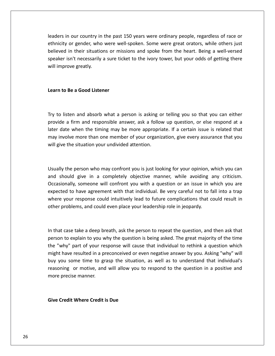in our country in the past <sup>150</sup> years were ordinary people, regardless of race or our country in the past 150 years were ordinary people, regardless of race or<br>or gender, who were well-spoken. Some were great orators, while others just I our country in the past 150 years were ordinary people, regardless of race or<br>or gender, who were well-spoken. Some were great orators, while others just<br>in their situations or missions and spoke from the heart. Being a is nour country in the past 150 years were ordinary people, regardless of race or<br>or gender, who were well-spoken. Some were great orators, while others just<br>in their situations or missions and spoke from the heart. Being leaders in our country in the past 150 years were ordinary people, regardless of race or ethnicity or gender, who were well-spoken. Some were great orators, while others just believed in their situations or missions and sp **Learnan** *Believed* in their situations or mis<br>
speaker isn't necessarily a sure tic<br>
will improve greatly.<br>
Learn to Be a Good Listener

### Learn to Be a Good Listener

believed

In to Be a Good Listener<br>to listen and absorb what a person is asking or telling you so that you can either Be a Good Listener<br>a firm and absorb what a person is asking or telling you so that you can either<br>a firm and responsible answer, ask a follow up question, or else respond at a date a Good Listener<br>death and absorb what a person is asking or telling you so that you can either<br>date when the timing may be more appropriate. If a certain issue is related that o listen and absorb what a person is asking or telling you so that you can either<br>ide a firm and responsible answer, ask a follow up question, or else respond at a<br>date when the timing may be more appropriate. If a certain Try to listen and absorb what a person is asking or telling you so that you can either provide a firm and responsible answer, ask a follow up question, or else respond at a later date when the timing may be more appropriat later date when the timing may be more appropriate. If a certain issue is related that te when the timing may be more appropriate. If a certain issue is related that<br>olve more than one member of your organization, give every assurance that you<br>the situation your undivided attention.<br>the person who may confro may involve more than one member of your organization, give every assurance that you may involve more than one member of your organization, give every assurance that you<br>will give the situation your undivided attention.<br>Usually the person who may confront you is just looking for your opinion, which you can expected

ituation your undivided attention.<br>The some who may confront you is just looking for your opinion, which you can<br>give in a completely objective manner, while avoiding any criticism.<br>Someone will confront you with a questio to have agreement with that individual. Be very careful not to fall into a trap<br>that in a completely objective manner, while avoiding any criticism.<br>Illy, someone will confront you with a question or an issue in which you the person who may confront you is just looking for your opinion, which you can<br>nould give in a completely objective manner, while avoiding any criticism.<br>noully, someone will confront you with a question or an issue in wh Usually the person who may confront you is just looking for your opinion, vand should give in a completely objective manner, while avoiding a Occasionally, someone will confront you with a question or an issue in vexpected expected to have agreement with that individual. Be very careful not to fall into a trap pected to have agreement with that individual. Be very careful not to fall into a trap<br>nere your response could intuitively lead to future complications that could result in<br>her problems, and could even place your leadersh where your response could intuitively lead to future complications that could result in our response could intuitively lead to future complications that could result in<br>toblems, and could even place your leadership role in jeopardy.<br>Case take a deep breath, ask the person to repeat the question, and then ask other problems, and could even place your leadership role in jeopardy.

er problems, and could even place your leadership role in jeopardy.<br>
Nat case take a deep breath, ask the person to repeat the question, and then ask that<br>
on to explain to you why the question is being asked. The great ma range take a deep breath, ask the person to repeat the question, and then ask that<br>i to explain to you why the question is being asked. The great majority of the time<br>thy" part of your response will cause that individual t at case take a deep breath, ask the person to repeat the question, and then ask that<br>on to explain to you why the question is being asked. The great majority of the time<br>'why" part of your response will cause that individu In that case take a deep breath, ask the person to repeat the question, and then ask that take a deep breath, ask the person to repeat the question, and then ask that<br>xplain to you why the question is being asked. The great majority of the time<br>part of your response will cause that individual to rethink a quest person to explain to you why the question is being asked. The great majority of the time the "why" part of your response will cause that individual to rethink a question which<br>might have resulted in a preconceived or even negative answer by you. Asking "why" will<br>buy you some time to grasp the situation, as we buy you some time to grasp the situati<br>
reasoning or motive, and will allow you<br>
more precise manner.<br> **Give Credit Where Credit is Due**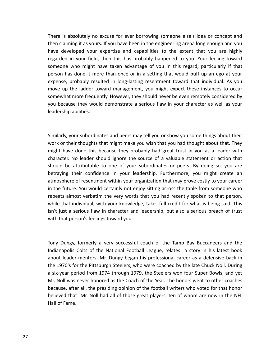is absolutely no excuse for ever borrowing someone else's idea or concept and claiming it as yours. If you have been in the engineering arena long enough and you is absolutely no excuse for ever borrowing someone else's idea or concept and<br>developed your expertise and capabilities to the extent that you are highly in youthably the excuse for ever borrowing someone else's idea or concept and<br>ting it as yours. If you have been in the engineering arena long enough and you<br>eloped your expertise and capabilities to the extent that you ar bsolutely no excuse for ever borrowing someone else's idea or concept and<br>ing it as yours. If you have been in the engineering arena long enough and you<br>eloped your expertise and capabilities to the extent that you are hig There is absolutely no excuse for ever borrowing someone else's idea or concept and is absolutely no excuse for ever borrowing someone else's idea or concept and<br>iming it as yours. If you have been in the engineering arena long enough and you<br>eveloped your expertise and capabilities to the extent that you then claiming it as yours. If you have been in the engineering arena long enough and you probably resulted in long-lasting resentment toward that individual. As you<br>probably resulted in long-lasting resentment toward who might have taken advantage of you in this regard, particularly if that<br>is done it more tha have developed your expertise and capabilities to the extent that you are highly developed your expertise and capabilities to the extent that you are highly<br>ed in your field, then this has probably happened to you. Your feeling toward<br>me who might have taken advantage of you in this regard, particularl regarded in your field, then this has probably happened to you. Your feeling toward more frequently. However, they should never be even remotely considered by your field, then this has probably happened to you. Your feeling toward who might have taken advantage of you in this regard, particularly if that someone who might have taken advantage of you in this regard, particularly if that because they would have taken advantage of you in this regard, particularly if that<br>on has done it more than once or in a setting that would puff up an ego at your<br>nse, probably resulted in long-lasting resentment toward t berson has done it mometers in person has done it mometers<br>expense, probably resumove up the ladder to<br>somewhat more frequenty woul leadership abilities. somewhat more frequently. However, they should never be even remotely considered by<br>you because they would demonstrate a serious flaw in your character as well as your<br>leadership abilities.<br>Similarly, your subordinates and you because they would demonstrate a serious flaw in your character as well as your ecause they would demonstrate a serious flaw in your character as well as your<br>rship abilities.<br>In their thoughts that might make you wish that you had thought about that. They<br>or their thoughts that might make you wish th leadership abilities. character.

hip abilities.<br>Iy, your subordinates and peers may tell you or show you some things about their<br>In their thoughts that might make you wish that you had thought about that. They<br>have done this because they probably had grea our subordinates and peers may tell you or show you some things about their<br>eir thoughts that might make you wish that you had thought about that. They<br>a done this because they probably had great trust in you as a leader w be a their thoughts and peers may tell you or show you some things about their<br>their thoughts that might make you wish that you had thought about that. They<br>ave done this because they probably had great trust in you as a l Similarly, your subordinates and peers may tell you or show you some things about their our subordinates and peers may tell you or show you some things about their<br>eir thoughts that might make you wish that you had thought about that. They<br>e done this because they probably had great trust in you as a leader w work or their thoughts that might make you wish that you had thought about that. They of resentments and peers may ten you or show you some timigs about then<br>thoughts that might make you wish that you had thought about that. They<br>done this because they probably had great trust in you as a leader with<br>tribut inThe future including the future was the future of a valuation and the same that they get that they get the aracter. No leader should ignore the source of a valuable statement or action that build be attributable to one of character. No leader should ignore the source of a valuable statement or action that might have done this because they probably had great that if you as a reader with<br>character. No leader should ignore the source of a valuable statement or action that<br>should be attributable to one of your subordinates or p If the attributable to one of your subordinates or peers. By doing so, you are ing their confidence in your leadership. Furthermore, you might create an phere of resentment within your organization that may prove costly to should be attributable to one of your subordinates or peers. By doing so, you are betraying their confidence in your leadership. Furthermore, you might create an atmosphere of resentment within your organization that may p giving their confidence in your leadership. Furthermore, you might create an sphere of resentment within your organization that may prove costly to your career e future. You would certainly not enjoy sitting across the tab betaying their connuence in your icaded<br>atmosphere of resentment within your orgain<br>the future. You would certainly not enjo<br>repeats almost verbatim the very words tl<br>while that individual, with your knowledge<br>isn't just a while that individual, with your knowledge, takes full credit for what is being said. This that individual, with your knowledge, takes full credit for what is being said. This<br>ust a serious flaw in character and leadership, but also a serious breach of trust<br>hat person's feelings toward you.<br>Dungy, formerly a ve isn't just a serious flaw in character and leadership, but also a serious breach of trust Prious flaw in character and leadership, but also a serious breach of trust<br>
son's feelings toward you.<br>
formerly a very successful coach of the Tamp Bay Buccaneers and the<br>
Colts of the National Football League, relates a with that person's feelings toward you.

leader-mentors. Mr. Dungy, formerly a very successful coach of the Tamp Bay Buccaneers and the<br>Apolis Colts of the National Football League, relates a story in his latest book<br>Leader-mentors. Mr. Dungy began his profession The Pungy, formerly a very successful coach of the Tamp Bay Buccaneers and the<br>anapolis Colts of the National Football League, relates a story in his latest book<br>ut leader-mentors. Mr. Dungy began his professional career a shy Dungy, formerly a very successful coach of the Tamp Bay Buccaneers and the<br>dianapolis Colts of the National Football League, relates a story in his latest book<br>pout leader-mentors. Mr. Dungy began his professional care Tony Dungy, formerly a very successful coach of the Tamp Bay Buccaneers and the The Valley, formerly a very successful coach of the Tamp Bay Buccaneers and the<br>anapolis Colts of the National Football League, relates a story in his latest book<br>ut leader-mentors. Mr. Dungy began his professional career because **bu** blis Colts of the National Football League, relates a story in his latest book<br>der-mentors. Mr. Dungy began his professional career as a defensive back in<br>s for the Pittsburgh Steelers, who were coached by the late Chuck N about leader-mentors. Mr. Dungy began his professional career as a defensive back in that Mr. Noll had all of those great players, tend of whom are now in the NFL<br>that Mr. Dungy began his professional career as a defensive back in<br>'s for the Pittsburgh Steelers, who were coached by the late Chuck Noll. Dur the 1970's for the<br>a six-year period<br>Mr. Noll was neve<br>because, after all,<br>believed that Mr<br>Hall of Fame.

have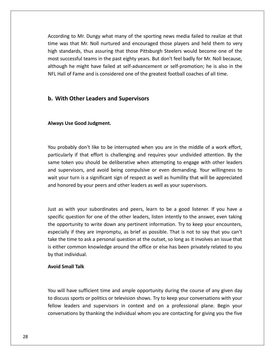to Mr. Dungy what many of the sporting news media failed to realize at that was that Mr. Dungy what many of the sporting news media failed to realize at that<br>was that Mr. Noll nurtured and encouraged those players and held them to very rding to Mr. Dungy what many of the sporting news media failed to realize at that<br>was that Mr. Noll nurtured and encouraged those players and held them to very<br>standards, thus assuring that those Pittsburgh Steelers would According to Mr. Dungy what many of the sporting news media failed to realize at that<br>time was that Mr. Noll nurtured and encouraged those players and held them to very<br>high standards, thus assuring that those Pittsburgh S to Mr. Dungy what many of the sporting news media failed to realize at that<br>that Mr. Noll nurtured and encouraged those players and held them to very<br>dards, thus assuring that those Pittsburgh Steelers would become one of According to Mr. Dungy what many of the sporting news media failed to realize at that ording to Mr. Dungy what many of the sporting news media failed to realize at the was that Mr. Noll nurtured and encouraged those players and held them to ve standards, thus assuring that those Pittsburgh Steelers would be high standards, thus assuring that those Pittsburgh Steelers would become one of the In standards, thus assuring that those Pittsburgh St<br>st successful teams in the past eighty years. But don<br>
hough he might have failed at self-advancement of<br>
Leaders and Supervisors

### **b. With Other Leaders and Supervisors**

### Always Use Good Judgment.

high

Always Use Good Judgment.<br>Pou probably don't like to be interrupted when you are in the middle of a work effort. Good Judgment.<br>interprese of the interpretion of the middle of a work effort,<br>if that effort is challenging and requires your undivided attention. By the the Good Judgment.<br>The deliberative when you are in the middle of a work effort,<br>The deliberative when attempting to engage with other leaders<br>The deliberative when attempting to engage with other leaders probably don't like to be interrupted when you are in the middle of a work effort,<br>cularly if that effort is challenging and requires your undivided attention. By the<br>e token you should be deliberative when attempting to e probably don't like to be interrupted when you are in the middle of a work effort,<br>cularly if that effort is challenging and requires your undivided attention. By the<br>expection of the deliberative when attempting to engage You probably don't like to be interrupted when you are in the middle of a work effort, particularly if that effort is challenging and requires your undivided attention. By the same token you should be deliberative when attempting to engage with other leaders and supervisors, and avoid being compulsive or even demanding. Your willingness to supervisors, and avoid being compulsive or even demanding. Your willingness to<br>your turn is a significant sign of respect as well as humility that will be appreciated<br>nonored by your peers and other leaders as well as your wait your turn is a significant sign of respect as well as humility that will be appreciated In turn is a significant sign of respect as well as humility that will be appreciated<br>ored by your peers and other leaders as well as your supervisors.<br>With your subordinates and peers, learn to be a good listener. If you and honored by your peers and other leaders as well as your supervisors.

and honored by your peers and other leaders as well as your supervisors.<br>
Uust as with your subordinates and peers, learn to be a good listener. If you have a<br>
specific question for one of the other leaders, listen intentl th your subordinates and peers, learn to be a good listener. If you have a<br>intertion for one of the other leaders, listen intently to the answer, even taking<br>tunity to write down any pertinent information. Try to keep your as with your subordinates and peers, learn to be a good listener. If you have a<br>ific question for one of the other leaders, listen intently to the answer, even taking<br>ppportunity to write down any pertinent information. Tr isst as with your subordinates and peers, learn to be a good listener. If you have a<br>ecific question for one of the other leaders, listen intently to the answer, even taking<br>e opportunity to write down any pertinent informat su. specific question for o<br>the opportunity to write<br>especially if they are if<br>take the time to ask a<br>is either common know<br>by that individual. portunity to write<br>ally if they are imp<br>ne time to ask a per<br>er common knowle<br>t individual.<br>**Small Talk** is e ther common knowledge around the office or else has been privately related to you<br>hat individual.<br>**id Small Talk**<br>will have sufficient time and ample opportunity during the course of any given day by that individual.

### **Avoid Small Talk**

that individual.<br> **oid Small Talk**<br>
u will have sufficient time and ample opportunity during the course of any given day<br>
discuss sports or politics or television shows. Try to keep your conversations with your I have sufficient time and ample opportunity during the course of any given day<br>I have sufficient time and ample opportunity during the course of any given day<br>Is sports or politics or television shows. Try to keep your co Sufficient time and ample opportunity during the course of any given day<br>ts or politics or television shows. Try to keep your conversations with your<br>and supervisors in context and on a professional plane. Begin your<br>by th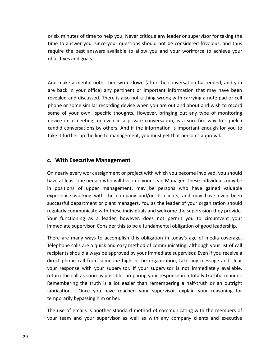six minutes of time to help you. Never critique any leader or supervisor for taking the minutes of time to help you. Never critique any leader or supervisor for taking the<br>to answer you, since your questions should not be considered frivolous, and thus The best answers available to allow you and your workforce to achieve your states answer you, since your questions should not be considered frivolous, and thus the best answers available to allow you and your workforce to The sof time to<br>Alter you, since<br>Lest answer:<br>Experience and goals. time to answer you, since your questions should not be considered frivolous, and thus to answer you, since your questions should not be considered frivolous, and thus<br>ire the best answers available to allow you and your workforce to achieve your<br>ctives and goals.<br>make a mental note, then write down (after t require the best answers available to allow you and your workforce to achieve your ire the best answers available to allow you and your workforce to achieve your<br>ctives and goals.<br>make a mental note, then write down (after the conversation has ended, and you<br>back in your office) any pertinent or importan objectives and goals. phone

and goals.<br>
Let a mental note, then write down (after the conversation has ended, and you<br>
in your office) any pertinent or important information that may have been<br>
and discussed. There is also not a thing wrong with carr ake a mental note, then write down (after the conversation has ended, and you<br>ck in your office) any pertinent or important information that may have been<br>d and discussed. There is also not a thing wrong with carrying a no ake a mental note, then write down (after the conversation has ended, and you<br>ck in your office) any pertinent or important information that may have been<br>ed and discussed. There is also not a thing wrong with carrying a n devicein a mental note, then write down (after the conversation has ended, and you<br>ik in your office) any pertinent or important information that may have been<br>d and discussed. There is also not a thing wrong with carrying a not  $\sum_{i=1}^{n}$ conversation in a meeting. There is also not a thing wrong with carrying a note pad or cell<br>and discussed. There is also not a thing wrong with carrying a note pad or cell<br>or some similar recording device when you are out the back in your once, any perament or important information that may have<br>revealed and discussed. There is also not a thing wrong with carrying a note pad o<br>phone or some similar recording device when you are out and abou some of your own specific thoughts. However, bringing out any type of monitoring **Example 18 Sydne Sydne Sydne Sydne Sydne Sydne Sydne Sydne Sydne Sydne Sydne Sydne Sydne Sydne Sydne Sydne Sydne Sydne Sydne Sydne Sydne Sydne Sydne Sydne Sydne Sydne Sydne Sydne Sydne Sydne Sydne Sydne Sydne Sydne Sydne** candid conversations by others. And if the information is important enough for you to nearly every work assignment or project with which you become involved, you should<br>nearly every work assignment or project with which you become involved, you should take it further up the line to management, you must get that person's approval.

### c. With Executive Management

require

Francher up the line to management, you must get that person's approval.<br> **Vith Executive Management**<br>
Becarly every work assignment or project with which you become involved, you should<br>
at least one person who will becom **With Executive Management**<br>
mearly every work assignment or project with which you become involved, you should<br>
e at least one person who will become your Lead Manager. These individuals may be<br>
positions of upper managem Exactive Management<br>
Management or project with which you become involved, you should<br>
So the person who will become your Lead Manager. These individuals may be<br>
So the upper management, may be persons who have gained valu Executive Management<br>every work assignment or project with which you become involved, you should<br>ast one person who will become your Lead Manager. These individuals may be<br>ns of upper management, may be persons who have ga On nearly every work assignment or project with which you become involved, you should On nearly every work assignment or project with which you become involved, you should<br>have at least one person who will become your Lead Manager. These individuals may be<br>in positions of upper management, may be persons wh functioning as a leader, however, does not permit you seem inverted, you should at least one person who will become your Lead Manager. These individuals may be sitions of upper management, may be persons who have gained va in positions of upper management, may be persons who have gained valuable<br>experience working with the company and/or its clients, and may have even been<br>successful department or plant managers. You as the leader of your or experience working with the company and/or its clients, and may have even been<br>successful department or plant managers. You as the leader of your organization should<br>regularly communicate with these individuals and welcome department or plant managers. You as the leader of your organization should<br>ommunicate with these individuals and welcome the supervision they provide.<br>ioning as a leader, however, does not permit you to circumvent your<br>su regularly communicate with these individuals and welcome the supervision they provide. ommunicate with these individuals and welcome the supervision they provide.<br>
tioning as a leader, however, does not permit you to circumvent your<br>
supervisor. Consider this to be a fundamental obligation of good leadership Your functioning as a leader, however, does not permit you to circumvent your immediate supervisor. Consider this to be a fundamental obligation of good leadership.

unctioning as a leader, however, does not permit you to circumvent your<br>liate supervisor. Consider this to be a fundamental obligation of good leadership.<br>are many ways to accomplish this obligation in today's age of media immediate supervisor. Consider this to be a fundamental obligation of good leadership.<br>There are many ways to accomplish this obligation in today's age of media coverage.<br>Telephone calls are a quick and easy method of comm There are many ways to accomplish this obligation in today's age of media coverage.<br>Telephone calls are a quick and easy method of communicating, although your list of call<br>recipients should always be approved by your imme the truth is a lot easier than remembering a half-truth or an outright<br>the truth is a lot easier than remembering, although your list of call<br>all from someone high in the organization, take any message and clear<br>with your Telephone calls are a quick and easy method of communicating, although your list of call recipients should always be approved by your immediate supervisor. Even if you receive a and always be approved by your immediate supervisor. Even if you receive a call from someone high in the organization, take any message and clear<br>explane to with your supervisor. If your supervisor is not immediately avail direct phone call from someone high in<br>your response with your supervisor. If<br>return the call as soon as possible, prepa<br>Remembering the truth is a lot easier<br>fabrication. Once you have reached<br>temporarily bypassing him or response with your supervisor. If your supervisor is not immediately available,<br>rn the call as soon as possible, preparing your response in a totally truthful manner.<br>embering the truth is a lot easier than remembering a h return the call as soon as possible, preparing your response in a totally truthful manner. I the call as soon as possible, preparing your response in a totally truthful manner.<br>
mbering the truth is a lot easier than remembering a half-truth or an outright<br>
ation. Once you have reached your supervisor, explain y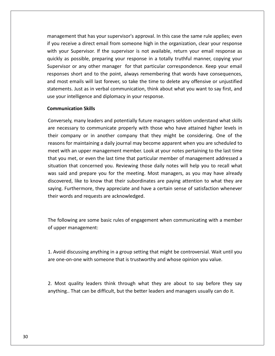that has your supervisor's approval. In this case the same rule applies; even anagement that has your supervisor's approval. In this case the same rule applies; even<br>you receive a direct email from someone high in the organization, clear your response Supervisor of the supervisors approval. In this case the same rule applies; even<br>i receive a direct email from someone high in the organization, clear your response<br>your Supervisor. If the supervisor is not available, retu ment that has your supervisor's approval. In this case the same rule applies; even<br>eceive a direct email from someone high in the organization, clear your response<br>ur Supervisor. If the supervisor is not available, return nt that has your supervisor's approval. In this case the same rule applies; even<br>ve a direct email from someone high in the organization, clear your response<br>Supervisor. If the supervisor is not available, return your emai management that has your supervisor's approval. In this case the same rule applies; even management that has your supervisor's approval. In this case the same rule applies; even<br>if you receive a direct email from someone high in the organization, clear your response<br>with your Supervisor. If the supervisor is n most emails will last forever, so take the time to delete any offensive or university of the supervisor. If the supervisor is not available, return your email response as kly as possible, preparing your response in a total  $\frac{1}{2}$ ge a ancet email nom-someone mgn in the organization, etcar your response<br>upervisor. If the supervisor is not available, return your email response as<br>ossible, preparing your response in a totally truthful manner, copying  $\ddot{\mathbf{v}}$ what your supervisor. It are supervisor is not available, a<br>quickly as possible, preparing your response in a totally<br>Supervisor or any other manager for that particular cor<br>responses short and to the point, always remembe **y** other mar<br>and to the **p**<br>will last fore<br>as in verbal<br>ence and dipl<br>**Skills** and most emails will last forever, so take the time to delete any offensive or unjustified<br>statements. Just as in verbal communication, think about what you want to say first, and<br>use your intelligence and diplomacy in you statements. Just as in verbal communication, think about what you want to say first, and ments. Just as in verbal communication, think about what you want to say first, and<br>your intelligence and diplomacy in your response.<br>**munication Skills**<br>versely, many leaders and potentially future managers seldom underst use your intelligence and diplomacy in your response. reasons

### **Communication Skills**

with the control of the control of the control of the control of the control of the control of the control of <br>with the control of the control of the control of the control of the control of the control of the control of

Figure intelligence and diplomacy in your response.<br> **Example:**<br>
Figure company leaders and potentially future managers seldom understand what skills<br>
recessary to communicate properly with those who have attained higher l ication Skills<br>ely, many leaders and potentially future managers seldom understand what skills<br>essary to communicate properly with those who have attained higher levels in<br>mpany or in another company that they might be con in unication Skills<br>
ecessary to communicate properly with those who have attained higher levels in<br>
company or in another company that they might be considering. One of the<br>
in company or in another company that they migh  $\overline{a}$ rersely, many leaders and potentially future managers seldom understand what skills<br>necessary to communicate properly with those who have attained higher levels in<br>company or in another company that they might be consideri situationthat communicate properly with those who have attained higher levels in<br>pany or in another company that they might be considering. One of the<br>pr maintaining a daily journal may become apparent when you are scheduled to<br>i a are necessary to communicate properly with those who have attained higher levels in their company or in another company that they might be considering. One of the said and prepare you for the meeting. Most managers, as you may have already in the meeting of the meeting a daily journal may become apparent when you are scheduled to twith an upper management member. Look at your notes  $\frac{1}{2}$ maintaining a daily journal may become apparent when you are scheduled to<br>n upper management member. Look at your notes pertaining to the last time<br>t, or even the last time that particular member of management addressed a<br> Furthermore, they appreciate and have a certain sense of satisfaction whenever<br>saying to the last time that particular member of management addressed a<br>situation that concerned you. Reviewing those daily notes will help yo that you met, or even the last time that particula<br>situation that concerned you. Reviewing those was said and prepare you for the meeting. Mo<br>discovered, like to know that their subordinates<br>saying. Furthermore, they appre discovered, like to know that their subordinates are paying attention to what they are by the to know that their subordinates are paying attention to what they are<br>in Furthermore, they appreciate and have a certain sense of satisfaction whenever<br>in words and requests are acknowledged.<br>following are some basi saying. Furthermore, they appreciate and have a certain sense of satisfaction whenever

their words and requests are acknowledged.<br>The following are some basic rules of engage<br>of upper management: e following are some basic rules of engagement when communicating with a member<br>upper management:<br>Avoid discussing anything in a group setting that might be controversial. Wait until you The following are some basic rules of engagement when communicating with a member following are some basic rules of engagement when communicating with a mer<br>pper management:<br>void discussing anything in a group setting that might be controversial. Wait until<br>one-on-one with someone that is trustworthy an

Avoid discussing anything in a group setting that might be controversial. Wait until you<br>one-on-one with someone that is trustworthy and whose opinion you value.<br>Most quality leaders think through what they are about to sa 1. Avoid discussing anything in a group setting that might be controversial. Wait until you<br>are one-on-one with someone that is trustworthy and whose opinion you value.<br>2. Most quality leaders think through what they are a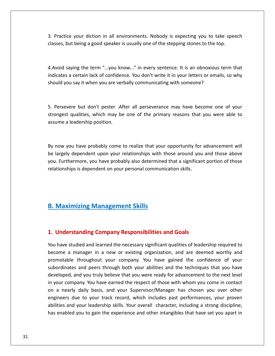Practice your diction in all environments. Nobody is expecting you to take speech but being a good speaker is usually one of the stepping stones to the top.<br>But being a good speaker is usually one of the stepping stones to the top. ice your diction in all environments. Nobody is expecting you to take speech<br>but being a good speaker is usually one of the stepping stones to the top.<br>saving the term "...you know..." in every sentence. It is an obnoxious 2 Dractie e your diction in all environments. Nobody is expecting you to take speech<br>ut being a good speaker is usually one of the stepping stones to the top.<br>aying the term "...you know..." in every sentence. It is an obnoxious ter classes, but being a good speaker is usually one of the stepping stones to the top.

but being a good speaker is usually one of the stepping stones to the top laying the term "...you know..." in every sentence. It is an obnoxious that is a certain lack of confidence. You don't write it in your letters or e  $\overline{1}$ woid saying the term "...you know..." in every sentence. It is an obnoxious term that<br>licates a certain lack of confidence. You don't write it in your letters or emails, so why<br>buld you say it when you are verbally communi indicates a certain lack of confidence. You don't write it in your letters or emails, so why I certain lack of confidence. You don't write it in your letters or emails, so why<br>
I say it when you are verbally communicating with someone?<br>
The primary reasons that you were able to<br>
The primary reasons that you were a

should you say it when you are ver<br>5. Persevere but don't pester .A<br>strongest qualities, which may be<br>assume a leadership position. 5. Persevere but don't pester . After all perseverance may have become one of your Persevere but don't pester .After all perseverance may have become one of your<br>ongest qualities, which may be one of the primary reasons that you were able to<br>ume a leadership position.<br>now you have probably come to realiz strongest qualities, which may be one of the primary reasons that you were able to largest qualities, which may be one of the primary reasons that you were able to<br>ume a leadership position.<br>now you have probably come to realize that your opportunity for advancement will<br>largely dependent upon your relat assume a leadership position.

The a leadership position.<br>Furthermore, you have probably come to realize that your opportunity for advancement will<br>treely dependent upon your relationships with those around you and those above<br>Furthermore, you have prob By now you have probably come to realize that your opportunity for advancement will<br>be largely dependent upon your relationships with those around you and those above<br>you. Furthermore, you have probably also determined tha be largely dependent upon your relationships with those around you and those above Maximizing Management Skills<br>
Maximizing Management Skills<br>
Maximizing Management Skills

### **Understanding Company Responsibilities and Goals D** <u>become</u>

### **Maximizing Management Skills<br>Jnderstanding Company Responsibilities and Goals<br>have studied and learned the necessary significant qualities of leadership required to** 1. Understanding Company Responsibilities and Goals

**Existed in a manager in a new or existing organization.**<br>a manager in a new or existing organization, and are deemed worthy and **anding Company Responsibilities and Goals**<br>And and learned the necessary significant qualities of leadership required to<br>anager in a new or existing organization, and are deemed worthy and<br>throughout your company. You hav **Inding Company Responsibilities and Goals**<br>
ied and learned the necessary significant qualities of leadership required to<br>
inager in a new or existing organization, and are deemed worthy and<br>
inroughout your company. You **tanding Company Responsibilities and Goals**<br>udied and learned the necessary significant qualities of leadership required to<br>manager in a new or existing organization, and are deemed worthy and<br>throughout your company. You You have studied and learned the necessary significant qualities of leadership required to u have studied and learned the necessary significant qualities of leadership required to<br>come a manager in a new or existing organization, and are deemed worthy and<br>omotable throughout your company. You have gained the con become a manager in a new or existing organization, and are deemed worthy and<br>promotable throughout your company. You have gained the confidence of your<br>subordinates and peers through both your abilities and the techniques  $\frac{1}{2}$ manager in a new of existing organization, and are deemed worthy and<br>e throughout your company. You have gained the confidence of your<br>es and peers through both your abilities and the techniques that you have<br>and you truly promotable throughout your company. You have gained the confidence of your subordinates and peers through both your abilities and the techniques that you have and your company. The matter gamed the commented of your subordinates and peers through both your abilities and the techniques that you have developed, and you truly believe that you were ready for advancement to the next eloped, and you truly believe that you were ready for advancement to the next level<br>bur company. You have earned the respect of those with whom you come in contact<br>a nearly daily basis, and your Supervisor/Manager has chos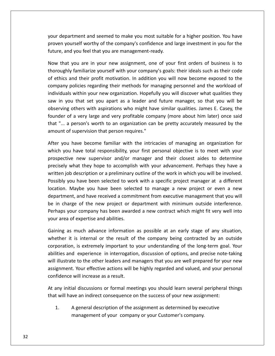department and seemed to make you most suitable for <sup>a</sup> higher position. You have partment and seemed to make you most suitable for a higher position. You have<br>yourself worthy of the company's confidence and large investment in you for the your department and seemed to make you most suitable<br>proven yourself worthy of the company's confidence and<br>future, and you feel that you are management-ready. department and seemed to make you most suitable for a higher position. You have<br>n yourself worthy of the company's confidence and large investment in you for the<br>e, and you feel that you are management-ready.<br>that you are familiarize your most suitable for a higher position. You have where the company's confidence and large investment in you for the you feel that you are management-ready.<br>You are in your new assignment, one of your first or yc In the partment and seemed to make you most suitable for a higher position. You have<br>a yourself worthy of the company's confidence and large investment in you for the<br>ure, and you feel that you are management-ready.<br>We tha proven yourself worthy of the company's confidence and large investment in you for the future, and you feel that you are management-ready.

urself worthy of the company's confidence and large investment in you for the<br>d you feel that you are management-ready.<br>you are in your new assignment, one of your first orders of business is to<br>y familiarize yourself with you feel that you are management-ready.<br>
you are in your new assignment, one of your first orders of business is to<br>
familiarize yourself with your company's goals: their ideals such as their code<br>
nd their profit motivati Now that you are in your new assignment, one of your first orders of business is to that you are in your new assignment, one of your first orders of business is to<br>bughly familiarize yourself with your company's goals: their ideals such as their code<br>hics and their profit motivation. In addition you will thoroughly familiarize yourself with your company's goals: their ideals such as their code of familiarize yourself with your company's goals: their ideals such as their code<br>and their profit motivation. In addition you will now become exposed to the<br>policies regarding their methods for managing personnel and the of ethics and their profit motivation. In addition you will now become exposed to the and their profit motivation. In addition you will now become exposed to the repolicies regarding their methods for managing personnel and the workload of als within your new organization. Hopefully you will discover what q company policies regarding their methods for managing personnel and the workload of Thes and then profit motivation. In dadition you will now seconce exposed to the<br>Dany policies regarding their methods for managing personnel and the workload of<br>iduals within your new organization. Hopefully you will disc individuals within your new organization. Hopefully you will discover what qualities they of supervision we mean as it is mainted individuals within your new organization. Hopefully saw in you that set you apart as a leader and fudbserving others with aspirations who might have solunder of a very large and very I you that set you apart as a leader and future manager, so that you will be<br>ving others with aspirations who might have similar qualities. James E. Casey, the<br>er of a very large and very profitable company (more about him obser ing others with aspirations who might have similar qualities. James E. Casey, the<br>r of a very large and very profitable company (more about him later) once said<br>. a person's worth to an organization can be pretty accuratel founder of a very large and very profitable company (more about him later) once said very large and very profitable company (more about him later) once said<br>rson's worth to an organization can be pretty accurately measured by the<br>pervision that person requires."<br>we become familiar with the intricacies of m that "...  $\overline{\phantom{a}}$ amount of supervision that person requires."

person's worth to an organization can be pretty accurately measured by the<br>f supervision that person requires."<br>have become familiar with the intricacies of managing an organization for<br>u have total responsibility, your fi amount of supervision that person requires."<br>After you have become familiar with the intricacies of managing an organization for<br>which you have total responsibility, your first personal objective is to meet with your<br>prosp In the metal responsibility, your first personal objective is to meet with your ive new supervisor and/or manager and their closest aides to determine what they hope to accomplish with your advancement. Perhaps they have a  $\sum_{i=1}^{n}$ Maybe you have been selected to manager and their closest aides to determine<br>what they hope to accomplish with your advancement. Perhaps they have a<br>b description or a preliminary outline of the work in which you will be i prospective new supervisor and/or manager and their closest aides to determine and they hope to accomplish with your advancement. Perhaps they have a escription or a preliminary outline of the work in which you will be involved.<br>Anave been selected to work with a specific project manager at a differe precisely what they hope to accomplish with your advancement. Perhaps they have a prospective new supervisor and/or manager and their closest aldes to determine<br>precisely what they hope to accomplish with your advancement. Perhaps they have a<br>written job description or a preliminary outline of the work what they hope to accomplish with your advancement. Termips they have a<br>ob description or a preliminary outline of the work in which you will be involved.<br>you have been selected to work with a specific project manager at a Possibly you have been selected to worker and based by you have been selected to worker of the mew project or department, and have received a comm<br>be in charge of the new project or depending your company has been award<br>yo location. Maybe you have been selected to manage a new project or even a new<br>department, and have received a commitment from executive management that you will<br>be in charge of the new project or department with minimum out int, and have received a commitment from executive management that you will<br>irge of the new project or department with minimum outside interference.<br>your company has been awarded a new contract which might fit very well in be in charge of the new project or department with minimum outside interference. of the new project or department with minimum outside interference.<br>
company has been awarded a new contract which might fit very well into<br>
expertise and abilities.<br>
nuch advance information as possible at an early stage Perhaps your company has been awarded a new contract which might fit very well into your area of expertise and abilities.

your company has been awarded a new contract which might fit very well into<br>a of expertise and abilities.<br>as much advance information as possible at an early stage of any situation,<br>it is internal or the result of the comp r area of expertise and abilities.<br>
ing as much advance information as possible at an early stage of any situation,<br>
ther it is internal or the result of the company being contracted by an outside<br>
poration, is extremely i Gaining as much advance information as possible at an early stage of any situation, much advance information as possible at an early stage of any situation,<br>s internal or the result of the company being contracted by an outside<br>is extremely important to your understanding of the long-term goal. Your<br>exper soming as mach advance information<br>whether it is internal or the result of<br>corporation, is extremely important to<br>abilities and experience in interrogatic<br>will illustrate to the other leaders and m<br>assignment. Your effecti poration, is extremely important to your understanding of the long-term goal. Your<br>lities and experience in interrogation, discussion of options, and precise note-taking<br>lillustrate to the other leaders and managers that y abilities and experience in interrogation, discussion of options, and precise note-taking ies and experience in interrogation, discussion of options, and precise note-t<br>Ilustrate to the other leaders and managers that you are well prepared for your<br>inment. Your effective actions will be highly regarded and valu 1. Its usuance will increase as a result will be highly regarded and valued, and your personal<br>idence will increase as a result.<br>In any initial discussions or formal meetings you should learn several peripheral thing<br>It wi confidence will increase as a result.

At any initial discussions or formal meetings you should learn several peripheral things<br>that will have an indirect consequence on the success of your new assignment:<br>1. A general description of the assignment as determine

 $1.$ 

future,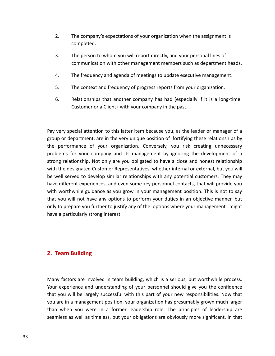- The company's expectations of your organization when the assignment is 2. The company's  $\epsilon$  completed. The company's expectations of your organization when the assignment is<br>completed.<br>The person to whom you will report directly, and your personal lines of The company's expectations of your organization when the assignment is<br>
completed.<br>
3. The person to whom you will report directly, and your personal lines of<br>
communication with other management members such as department
- The company's expectations of your organization when the assignment is<br>
completed.<br>
3. The person to whom you will report directly, and your personal lines of<br>
communication with other management members such as department The person to whom you will report directly, and your personal lines of<br>
communication with other management members such as department hea<br>
4. The frequency and agenda of meetings to update executive management.<br>
5. The c The person to whom you will report directly, and your personal lines of<br>
communication with other management members such as department heads.<br>
The frequency and agenda of meetings to update executive management.<br>
The cont communication with other management members such as department heads.
- 
- 
- The frequency and agenda of meetings to update executive management.<br>The context and frequency of progress reports from your organization.<br>Relationships that another company has had (especially if it is a long-time<br>Custome ine context and rrequency or progress reports from your organization.<br>
S. Relationships that another company has had (especially if it is a long-time<br>
Customer or a Client) with your company in the past.<br>
Very special atte  $6.$ Relationships that another company has had (especially if it is a long-time<br>Customer or a Client) with your company in the past.<br>The past of the very influence relation of fortifying these relationships by<br>or department, a

Customer or a Client) with your company in the past.<br>
pery special attention to this latter item because you, as the leader or manager of a<br>
performance of your organization. Conversely, you risk creating unnecessary Formal attention to this latter item because you, as the leader or manager of a<br>epartment, are in the very unique position of fortifying these relationships by<br>the proparties of your organization. Conversely, you risk crea relationship. This is a the very the seam of the leader or manager of a<br>or department, are in the very unique position of fortifying these relationships by<br>erformance of your organization. Conversely, you risk creating unn Pay very special attention to this latter item because you, as the leader or manager of a<br>group or department, are in the very unique position of fortifying these relationships by<br>the performance of your organization. Conv i u group or department, are in the very unique position of fortifying these relationships by the performance of your organization. Conversely, you risk creating unnecessary different experiences, and even some key personnel contacts, that will provide you<br>different experiment of a grelationship. Not only are you obligated to have a close and honest relationship<br>the designated Customer Represe problems for your company and its management by ignoring the development of a ems for your organization. Conversery, you has creating annecessary<br>ems for your company and its management by ignoring the development of a<br>g relationship. Not only are you obligated to have a close and honest relationshi strong relationship. Not only are you obligated to have a close and honest relationship g relationship. Not only are you obligated to have a close and honest relationship<br>the designated Customer Representatives, whether internal or external, but you will<br>ell served to develop similar relationships with any po with the designated Customer Representatives, whether internal or external, but you will the designated Customer Representatives, whether internal or external, but you will<br>rell served to develop similar relationships with any potential customers. They may<br>different experiences, and even some key personnel con what the designated edstomer heprese<br>be well served to develop similar relat<br>have different experiences, and even s<br>with worthwhile guidance as you grov<br>that you will not have any options to<br>only to prepare you further to only to prepare you further to justify any of the options where your management might **The Strate CoupEy to prepare you further to the a particularly strong inter<br><b>Team Building** 

### 2. Team Building

**Factors are involved in team building.**<br>Many factors are involved in team building, which is a serious, but worthwhile process. exam Building<br>
Experience and understanding of your personnel should give you the confidence Figures are involved in team building, which is a serious, but worthwhile process.<br>
Superience and understanding of your personnel should give you the confidence<br>
you will be largely successful with this part of your new r In a management position, y factors are involved in team building, which is a serious, but worthwhile process.<br>
The experience and understanding of your personnel should give you the confidence<br>
you will be largely success factors are involved in team building, which is a serious, but worthwhile process.<br>experience and understanding of your personnel should give you the confidence<br>rou will be largely successful with this part of your new res Many factors are involved in team building, which is a serious, but worthwhile process.<br>Your experience and understanding of your personnel should give you the confidence<br>that you will be largely successful with this part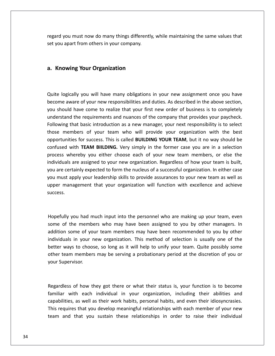wou must now do many things differently, while maintaining the same values that<br>Nou must now do many things differently, while maintaining the same values that regard you must now do many things differently, while maintaining the same values that set you apart from others in your company. **Example 18 And you must now do many things differently you apart from others in your company.<br><b>Knowing Your Organization** 

lowing Your Organization<br>logically you will have many obligations in your new assignment once you have **a. Knowing Your Organization**<br>Quite logically you will have many obligations in your new assignment once you have<br>become aware of vour new responsibilities and duties. As described in the above section. **Showing Your Organization**<br>The logically you will have many obligations in your new assignment once you have<br>the aware of your new responsibilities and duties. As described in the above section,<br>should have come to realiz Quite logically you will have many obligations in your new assignment once you have<br>become aware of your new responsibilities and duties. As described in the above section,<br>you should have come to realize that your first n that basic introduction as a new mangeriant once you have ware of your new responsibilities and duties. As described in the above section, a have come to realize that your first new order of business is to completely is th Quite logically you will have many obligations in your new assignment once you have ogically you will have many obligations in your new assignment once you have<br>e aware of your new responsibilities and duties. As described in the above section,<br>puld have come to realize that your first new order of busine become aware of your new responsibilities and duties. As described in the above section, For success. This is called **BUILDING YOUR TEAM**, but it no way should be process. This is called **BUILDING YOUR TEAM**, but it no way should be you should have come to realize that your first new order of business is to completely Ware of your hew responsibilities and dates. The described in the doore section,<br>d have come to realize that your first new order of business is to completely<br>d the requirements and nuances of the company that provides you understand the requirements and nuances of the company that provides your paycheck. and the requirements and nuances of the company that provides your paycheck.<br>
In the requirements and nuances of the company that provides your paycheck.<br>
In the set embers of your team who will provide your organization w Following that basic introduction as a new manager, your next responsibility is to select Following that basic introduction as a new manager, your next responsibility is to select<br>those members of your team who will provide your organization with the best<br>opportunities for success. This is called **BUILDING YOUR** are members of your team who will provide your organization with the best ortunities for success. This is called **BUILDING YOUR TEAM**, but it no way should be used with **TEAM BIILDING.** Very simply in the former case you a those members of your team who will provide your organization with the best opportunities for success. This is called **BUILDING YOUR TEAM**, but it no way should be ortunities for success. This is called **BUILDING YOUR TEAM**, but it no way should be<br>used with **TEAM BIILDING.** Very simply in the former case you are in a selection<br>ess whereby you either choose each of your new team memb confused with TEAM BIILDING. Very simply in the former case you are in a selection annices for saccess. This is eaned DOIDDING TOON TERM, back the way should be<br>ed with **TEAM BIILDING.** Very simply in the former case you are in a selection<br>is whereby you either choose each of your new team members, or el process whereby you either choose each of your new team members, or else the you must apply your leadership skills to provide assurances to your new team as well as apply your leadership skills to provide assurances to your new team as well as<br>
inagement that your organization will function with excellence and achieve<br>
you had much input into the personnel who are making up your team, upper management that your organization will function with excellence and achieve management that your organization will function with excellence and achieve<br>s.<br>ally you had much input into the personnel who are making up your team, even<br>of the members who may have been assigned to you by other managers success.

some of you had much input into the personnel who are making up your team, even<br>the members who may have been assigned to you by other managers. In<br>some of your team members may have been recommended to you by other ou had much input into the personnel who are making up your team, even<br>e members who may have been assigned to you by other managers. In<br>me of your team members may have been recommended to you by other<br>in your new organiz Illy you had much input into the personnel who are making up your team, even<br>of the members who may have been assigned to you by other managers. In<br>n some of your team members may have been recommended to you by other<br>uals otherully you had much input into the personnel who are making up your team, even<br>of the members who may have been assigned to you by other managers. In<br>on some of your team members may have been recommended to you by other<br>lua ivp. of the memb<br>ion some of you<br>iduals in your r<br>r ways to choo<br>team member<br>Supervisor. better ways to choose, so long as it will help to unify your team. Quite possibly some of to choose, so long as it will help to unify your team. Quite possibly some<br>members may be serving a probationary period at the discretion of you or<br>visor.<br>of how they got there or what their status is, your function is  $\delta$ thor to m members may be serving a probationary period at the discretion of you or<br>ervisor.<br>So of how they got there or what their status is, your function is to become<br>with each individual in your organization, including their ab your Supervisor.

your Supervisor.<br>
Regardless of how they got there or what their status is, your function is to become<br>
familiar with each individual in your organization, including their abilities and<br>
capabilities. as well as their work rdless of how they got there or what their status is, your function is to become<br>liar with each individual in your organization, including their abilities and<br>bilities, as well as their work habits, personal habits, and ev Regardless of how they got there or what their status is, your function is to become familiar with each individual in your organization, including their abilities and capabilities, as well as their work habits, personal ha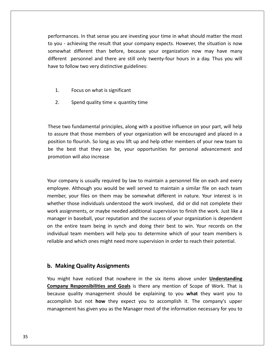In that sense you are investing your time in what should matter the most you - achieving that sense you are investing your time in what should matter the most<br>you - achieving the result that your company expects. However, the situation is now es. In that sense you are investing your time in what should matter the most<br>ieving the result that your company expects. However, the situation is now<br>different than before, because your organization now may have many personnel and there are investing your time in what should matter the most<br>thieving the result that your company expects. However, the situation is now<br>different than before, because your organization now may have many<br>per rmances. In that sense you are investing you<br>u - achieving the result that your company e<br>what different than before, because your<br>ent personnel and there are still only twer<br>to follow two verv distinctive guidelines: somewhat different than before, because your organization now may have many t different than before, because<br>personnel and there are still onl<br>llow two very distinctive guideline<br>Focus on what is significant er personnel and there are still only twenty-fillow two very distinctive guidelines:<br>Ilow two very distinctive guidelines:<br>Focus on what is significant<br>Spend quality time v. quantity time

somewhat

 $2<sub>1</sub>$ 

Focus on what is significant<br>Spend quality time v. quantity time<br>two fundamental principles, along with a positive influence on your part, will help 2. Spend quality time v. quantity time<br>
assure two fundamental principles, along with a positive influence on your part, will help<br>
assure that those members of your organization will be encouraged and placed in a Spend quality time v. quantity time<br>of fundamental principles, along with a positive influence on your part, will help<br>of that those members of your organization will be encouraged and placed in a<br>to flourish. So long as y the two fundamental principles, along with a positive influence on your part, will help<br>ssure that those members of your organization will be encouraged and placed in a<br>tion to flourish. So long as you lift up and help oth These two fundamental principles, along with a positive influence on your part, will help to assure that those members of your organization will be encouraged and placed in a position to flourish. So long as you lift up and help other members of your new team to ion to flourish. So long as you lift up and help other members of your new team to<br>he best that they can be, your opportunities for personal advancement and<br>notion will also increase<br>company is usually required by law to m be the best that they can be, your opportunities for personal advancement and St that they can be, your opportunities for personal advancement and<br>
will also increase<br>
Although you would be well served to maintain a similar file on each team promotion will also increase whether the contract of the contract of the contract of the contract of the contract of the contract of the contract of the contract of the contract of the contract of the contract of the contract of the contract of the co

m will also increase<br>
your is usually required by law to maintain a personnel file on each and every<br>
Although you would be well served to maintain a similar file on each team<br>
your files on them may be somewhat different pany is usually required by law to maintain a personnel file on each and every<br>e. Although you would be well served to maintain a similar file on each team<br>your files on them may be somewhat different in nature. Your inter company is usually required by law to maintain a personnel file on each and every<br>byee. Although you would be well served to maintain a similar file on each team<br>per, your files on them may be somewhat different in nature. Your company is usually required by law to maintain a personnel file on each and every pany is usually required by law to maintain a personnel file on each and every<br>i. Although you would be well served to maintain a similar file on each team<br>your files on them may be somewhat different in nature. Your inter employee. Although you would be well served to maintain a similar file on each team The entire team being in synch and doing their best to win. Your record and every<br>ployee. Although you would be well served to maintain a similar file on each team<br>mber, your files on them may be somewhat different in natu improyee: Anthough you would be well be view of maintain a binnial life on each team<br>member, your files on them may be somewhat different in nature. Your interest is in<br>whether those individuals understood the work involve rnembe<br>.... whether those individuals understood the work involved, did or did not complete their work assignments, or maybe needed additional supervision to finish the work. Just like a manager in baseball, your reputation and the su manager in baseball, your reputation and the success of your organization is dependent Netarry in baseball, your reputation and the the entire team being in synch and doir vidual team members will help you to do<br>Widual team members will help you to do<br>Able and which ones might need more supe individual team members will help you to determine which of your team members is might have noticed that nowhere in the six items above under **Understanding**<br>
Making Quality Assignments<br>
Might have noticed that nowhere in the six items above under **Understanding** reliable and which ones might need more supervision in order to reach their potential.

### b. Making Quality Assignments

**Responsibilities and Goals** is there any mention of Scope of Work. That is<br>**Responsibilities and Goals** is there any mention of Scope of Work. That is **Example 20 yields in the SET and South Theory in the set of the explaining to you what they want you to allow the explaining to you what they want you to the explaining to you what they want you to Quality Assignments**<br>have noticed that nowhere in the six items above under **Understanding**<br>exponsibilities and Goals is there any mention of Scope of Work. That is<br>ality management should be explaining to you what they w Quality Assignments<br>we noticed that nowhere in the six items above under <u>Understanding</u><br>sponsibilities and Goals</u> is there any mention of Scope of Work. That is<br>ity management should be explaining to you what they want yo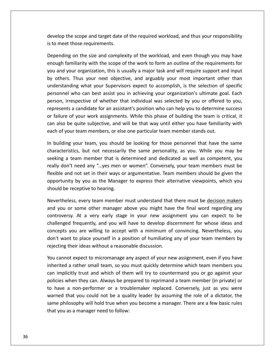the scope and target date of the required workload, and thus your responsibility<br>The scope and target date of the required workload, and thus your responsibility to meet those and target date of the scope and target date of the scope and target date of the meet those requirements. on the size and target date of the required workload, and thus your responsibility<br>those requirements.<br>on the size and complexity of the workload, and even though you may have the scope and target date of the required workload, and thus your responsibility<br>et those requirements.<br>ing on the size and complexity of the workload, and even though you may have<br>familiarity with the scope of the work to de is to meet those requirements.

elop the scope and target date of the required workload, and thus your responsibility<br>meet those requirements.<br>ending on the size and complexity of the workload, and even though you may have<br>ugh familiarity with the scope elop the scope and target date of the required workload, and thus your responsibility<br>o meet those requirements.<br>Jending on the size and complexity of the workload, and even though you may have<br>ugh familiarity with the sco e requirements.<br>the size and complexity of the workload, and even though you may have<br>rity with the scope of the work to form an outline of the requirements for<br>rganization, this is usually a major task and will require su Depending on the size and complexity of the workload, and even though you may have on the size and complexity of the workload, and even though you may have<br>miliarity with the scope of the work to form an outline of the requirements for<br>ur organization, this is usually a major task and will require suppor enough familiarity with the scope of the work to form an outline of the requirements for Experially of the size and complexity of the workload, and evert thought you may have<br>enough familiarity with the scope of the work to form an outline of the requirements for<br>you and your organization, this is usually a ma marity with the stope of the work to form an oatline of the requirements for<br>ur organization, this is usually a major task and will require support and input<br>Thus your next objective, and arguably your most important other by others. Thus your next objective, and arguably your most important other than<br>understanding what your Supervisors expect to accomplish, is the selection of specific<br>personnel who can best assist you in achieving your or  $\sim$ y erstanding what your hext objective, and algaday your most important other than<br>erstanding what your Supervisors expect to accomplish, is the selection of specific<br>onnel who can best assist you in achieving your organizati understanding what your Supervisors expect to accomplish, is the selection of specific<br>personnel who can best assist you in achieving your organization's ultimate goal. Each of your suppressive of the secomplish, is the selection of<br>the who can best assist you in achieving your organization's ultimate got<br>on, irrespective of whether that individual was selected by you or offered<br>sents a candid person, irrespective of whether that individual was selected by you or offered to you, rson, irrespective of whether that individual was selected by you or offered to you,<br>presents a candidate for an assistant's position who can help you to determine success<br>failure of your work assignments. While this phase represents a ca ndidate for an assistant's position who can help you to determine success<br>ir work assignments. While this phase of building the team is critical, it<br>ie subjective, and will be that way until either you have familiarity wit or failu e of your work assignments. While this phase of building the team is critical, it<br>be quite subjective, and will be that way until either you have familiarity with<br>your team members, or else one particular team member stand can also be quite subjective, and will be that way until either you have familiarity with each of your team members, or else one particular team member stands out.

so be quite subjective, and will be that way until either you have familiarity with<br>of your team members, or else one particular team member stands out.<br>Iding your team, you should be looking for those personnel that have your team members, or else one particular team member stands out.<br>
ing your team, you should be looking for those personnel that have the same<br>
eristics, but not necessarily the same personality, as you. While you may be<br> opportunityour team, you should be looking for those personnel that have the same<br>cs, but not necessarily the same personality, as you. While you may be<br>am member that is determined and dedicated as well as competent, you<br>need any ".  $\frac{1}{1}$ characteristics, but not necessarily the same personality, as you. While you may be seeking a team member that is determined and dedicated as well as competent, you m member that is determined and dedicated as well as competent, you<br>eed any "...yes men or women". Conversely, your team members must be<br>bt set in their ways or argumentative. Team members should be given the<br>y you as the really don't need any "...yes men or women". Conversely, your team members must be y don't need any "...yes men or women". Conversely, your team members must be<br>ble and not set in their ways or argumentative. Team members should be given the<br>brtunity by you as the Manager to express their alternative vie flexible and not set in their ways or argumentative. Team members should be given the ot set in their ways or argumentative. Team members should be given the<br>by you as the Manager to express their alternative viewpoints, which you<br>eptive to hearing.<br>every team member must understand that there must be <u>deci</u> opportunity by you as the Manager to express their alternative viewpoints, which you should be receptive to hearing.

Frequently vou as the Manager to express their alternative viewpoints, which you<br>eceptive to hearing.<br>s, every team member must understand that there must be <u>decision makers</u><br>some other manager above you might have the fi receptive to hearing.<br>
ess, every team member must understand that there must be <u>decision makers</u><br>
or some other manager above you might have the final word regarding any<br>
sy. At a very early stage in your new assignment Neve<br>and<br>contr<br>challe<br>conce theless, every team member must understand that there must be <u>decision makers</u><br>ou or some other manager above you might have the final word regarding any<br>oversy. At a very early stage in your new assignment you can expect revertifiers, every team incrinser mast anderstand that<br>and you or some other manager above you might have<br>controversy. At a very early stage in your new assig<br>challenged frequently, and you will have to develop dis<br>concep roversy. At a very early stage in your new assignment you can expect to be<br>lenged frequently, and you will have to develop discernment for whose ideas and<br>cepts you are willing to accept with a minimum of convincing. Never challenged frequently, and you will have to develop discernment for whose ideas and d frequently, and you will have to develop discernment for whose ideas and<br>you are willing to accept with a minimum of convincing. Nevertheless, you<br>it to place yourself in a position of humiliating any of your team member concepts you are willing to accept with a minimum of convincing. Nevertheless, you iepts you are willing to accept with a minimum of convincing. Nevertheless, you<br>t want to place yourself in a position of humiliating any of your team members by<br>ting their ideas without a reasonable discussion.<br>cannot exp don't want to place yourself in a position of humiliating any of your team members by rejecting their ideas without a reasonable discussion.

ant to place yourself in a position of humiliating any of your team members by<br>g their ideas without a reasonable discussion.<br>not expect to micromanage any aspect of your new assignment, even if you have<br>d a rather small t ecting their ideas without a reasonable discussion.<br>
I cannot expect to micromanage any aspect of your new assignment, even if you have<br>
erited a rather small team, so you must quickly determine which team members you<br>
I i You cannot expect to micromanage any aspect of your new assignment, even if you have that you could not be a quality leader by assuming the role of a dictator, the and that you countermand you or go against you licitly trust and which of them will try to countermand you or go against your when they can. Al inherited a rather small team, so you must quickly determine which team members you philosophy will hold true when you become a manager. There are a few basic rules<br>philosophy will hold true when you become a manager of the members you<br>we a non-performer or a troublemaker replaced. Conversely, just as you can implicitly trust and which of them will try to countermand you or go against your implicitly trust and which of them will<br>implicitly trust and which of them will<br>as when they can. Always be prepare<br>ave a non-performer or a troublem<br>led that you could not be a quality lephilosophy will hold true when you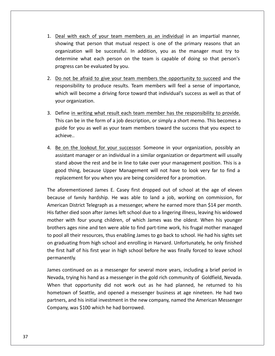with each of your team members as an individual in an impartial manner, show that with each of your team members as an individual in an impartial manner, that person that mutual respect is one of the primary reasons that an interestion that mutual respect is one of the primary reasons that an of the successful. In addition, you as the manager must try to successful. In addition, you as the manager must try to the successful. In addition, you as the manager must try to each of your team members as an individual in an impartial manner,<br>at person that mutual respect is one of the primary reasons that an<br>in will be successful. In addition, you as the manager must try to<br>what each person on 1. Deal with each of your team memb<br>showing that person that mutual res<br>organization will be successful. In a<br>determine what each person on the<br>progress can be evaluated by you. Deal with each of your team members as an individual in an impartial manner,<br>showing that person that mutual respect is one of the primary reasons that an<br>organization will be successful. In addition, you as the manager mu showing that person that mutual respect is one of the primary reasons that an showing that person that mutual respect is one of the primary reasons that an<br>organization will be successful. In addition, you as the manager must try to<br>determine what each person on the team is capable of doing so that exation will be successful. In addition, you as the manager must try to<br>nine what each person on the team is capable of doing so that person's<br>ss can be evaluated by you.<br><u>t be afraid to give your team members the opportun</u> determine what each person on the team is capable of doing so that person's

<u>organization</u>

- progress can be evaluated by you.<br>
2. Do not be afraid to give your team members the opportunity to succeed and the<br>
responsibility to produce results. Team members will feel a sense of importance,<br>
which will become a dri Do not be afraid to give your team members the opportunity to succeed and the<br>responsibility to produce results. Team members will feel a sense of importance,<br>which will become a driving force toward that individual's succ not be afraid to give your team members the opportunity to succeed and the<br>onsibility to produce results. Team members will feel a sense of importance,<br>h will become a driving force toward that individual's success as well responsibility to produce results. Team members will feel a sense of importance, In is is in the section of the section is sibility to produce results. Team members will feel a sense of importance,<br>will become a driving force toward that individual's success as well as that of<br>rganization.<br>In writing w which will become a driving force toward that individual's success as well as that of
- 3. Define in writh<br>This can be in<br>guide for you<br>achieve.. Define in writing what result each team member has the responsibility to provide.<br>This can be in the form of a job description, or simply a short memo. This becomes a<br>guide for you as well as your team members toward the s Define <u>ir</u> writing what result each team member has the responsibility to provide.<br>De in the form of a job description, or simply a short memo. This becomes a<br>you as well as your team members toward the success that you expect to<br>e l This can be in the form of a job description, or simply a short memo. This becomes a ah be in the form of a job description, or simply a short memo. This becomes a<br>for you as well as your team members toward the success that you expect to<br>re..<br>the lookout for your successor. Someone in your organization, p guide for you as well as your team members toward the success that you expect to achieve..
- for you as well as your team members toward the success that you expect to<br>the lookout for your successor. Someone in your organization, possibly an<br>ant manager or an individual in a similar organization or department will achieve..<br>4. <u>Be on the lookout for your successor</u>. Someone in your organization, passistant manager or an individual in a similar organization or department<br>stand above the rest and be in line to take over your managemen ie on the lookout for your successor. Someone in your organization, possibly an<br>ssistant manager or an individual in a similar organization or department will usually<br>tand above the rest and be in line to take over your ma assistant manager or an individual in a similar organization or department will usually ant manager or an individual in a similar organization or department will usually<br>above the rest and be in line to take over your management position. This is a<br>thing, because Upper Management will not have to look very fa stand stand above the rest and be in line to take over your management position. This is a<br>good thing, because Upper Management will not have to look very far to find a<br>replacement for you when you are being considered for a pro replacement for you when you are being considered for a promotion.

good thing, because Upper Management will not have to look very far to find a<br>replacement for you when you are being considered for a promotion.<br>aforementioned James E. Casey first dropped out of school at the age of eleve cement for you when you are being considered for a promotion.<br>
rementioned James E. Casey first dropped out of school at the age of eleven<br>
of family hardship. He was able to land a job, working on commission, for<br>
in Dist The aforementioned James E. Casey first dropped out of school at the age of eleven ementioned James E. Casey first dropped out of school at the age of eleven<br>of family hardship. He was able to land a job, working on commission, for<br>District Telegraph as a messenger, where he earned more than \$14 per mont The discendential sames E. edsey first dropped out of school at the dge of elevent<br>because of family hardship. He was able to land a job, working on commission, for<br>American District Telegraph as a messenger, where he earn  $\sum_{i=1}^{n}$ graduation of harm, matelian as a messenger, where he earned more than \$14 per month.<br>Father died soon after James left school due to a lingering illness, leaving his widowed<br>ther with four young children, of which James w This father died soon after James left school due to a lingering illness, leaving his widowed<br>mother with four young children, of which James was the oldest. When his younger<br>brothers ages nine and ten were able to find pa mother with four young children, of which James was the oldest. When his younger brothers ages nine and ten were able to find part-time work, his frugal mother managed rs ages nine and ten were able to find part-time work, his frugal mother managed<br>all their resources, thus enabling James to go back to school. He had his sights set<br>duating from high school and enrolling in Harvard. Unfor to pool all their resources, thus enabling James to go back to school. He had his sights set to pool all their resources, thus enabling James to go back to school. He had his sights set<br>on graduating from high school and enrolling in Harvard. Unfortunately, he only finished<br>the first half of his first year in high luating from high school and enrolling in Harvard. Unfortunately, he only finished<br>t half of his first year in high school before he was finally forced to leave school<br>nently.<br>continued on as a messenger for several more y the first half of his first year in high school before he was finally forced to leave school permanently.

f of his first year in high school before he was finally forced to leave school<br>y.<br>inued on as a messenger for several more years, including a brief period in<br>ing his hand as a messenger in the gold rich community of Goldf ntinued on as a messenger for several more years, including a brief period in<br>rying his hand as a messenger in the gold rich community of Goldfield, Nevada.<br>at opportunity did not work out as he had planned, he returned to James continued on as a messenger for several<br>Nevada, trying his hand as a messenger in the gol<br>When that opportunity did not work out as<br>hometown of Seattle, and opened a messenger<br>partners, and his initial investment in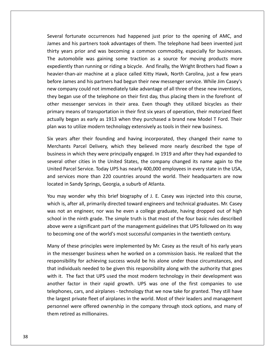fortunate occurrences had happened just prior to the opening of AMC, and and his partners took advantages of them. The telephone had been invented just and his partners took advantages of them. The telephone had been invented just Several fortunate occurrences had happened just prior to the opening of AMC, and<br>James and his partners took advantages of them. The telephone had been invented just<br>thirty vears prior and was becoming a common commodity, ral fortunate occurrences had happened just prior to the opening of AMC, and<br>and his partners took advantages of them. The telephone had been invented just<br>y years prior and was becoming a common commodity, especially for unate occurrences had happened just prior to the opening of AMC, and<br>is partners took advantages of them. The telephone had been invented just<br>prior and was becoming a common commodity, especially for businesses.<br>bbile was heavier-than-aire occurrences had happened just prior to the opening of AMC, and<br>inters took advantages of them. The telephone had been invented just<br>in and was becoming a common commodity, especially for businesses.<br>was gaining some trac severa<br>. Interactive securicies had hisperical just prior to the opening of zince, and<br>and his partners took advantages of them. The telephone had been invented just<br>vears prior and was becoming a common commodity, especially for b James and his partners took advantages of them. The telephone had been invented just thirty years prior and was becoming a common commodity, especially for businesses. comparison and the partners cook davantages of them. The telephone had been invented just<br>thirty years prior and was becoming a common commodity, especially for businesses.<br>The automobile was gaining some traction as a sou began use of the telephone on their first day, thus placing them in the forefront of the telephone on their first day, thus placing them in the forefront of began use of the telephone on their first day, thus placing them The automobile was gaining some traction as a source for moving products more expediently than running or riding a bicycle. And finally, the Wright Brothers had flown a messing was gaining some matted as a source for moving procates more<br>ently than running or riding a bicycle. And finally, the Wright Brothers had flown a<br>r-than-air machine at a place called Kitty Hawk, North Carolina, jus expediently chan raming of riding a steyet. This main, the wright slockters had nown a<br>heavier-than-air machine at a place called Kitty Hawk, North Carolina, just a few years<br>before James and his partners had begun their n before James and his partners had begun their new messenger service. While Jim Casey's<br>new company could not immediately take advantage of all three of these new inventions,<br>they began use of the telephone on their first d plant was to utilize modern technology extensively as tools in their new investings and the section of the telephone on their first day, thus placing them in the forefron other messenger services in their area. Even though r began use of the telephone on their first day, thus placing them in the forefront of<br>er messenger services in their area. Even though they utilized bicycles as their<br>nary means of transportation in their first six years other messenger services in their area. Even though they utilized bicycles as their enger services in their area. Even though they utilized bicycles as their<br>ans of transportation in their first six years of operation, their motorized fleet<br>an as early as 1913 when they purchased a brand new Model T Ford. primary means of transportation in their first six years of operation, their motorized fleet means of transportation in their first six years of operation, their motorized fleet<br>began as early as 1913 when they purchased a brand new Model T Ford. Their<br>to utilize modern technology extensively as tools in their new actually began as early as 1913 when they purchased a brand new Model T Ford. Their plan was to utilize modern technology extensively as tools in their new business.

began as early as 1913 when they purchased a brand new Model T Ford. Their<br>s to utilize modern technology extensively as tools in their new business.<br>s after their founding and having incorporated, they changed their name plan was to utilize modern technology extensively as tools in their new business.<br>Six years after their founding and having incorporated, they changed their name to<br>Merchants Parcel Delivery, which they believed more nearl rears after their founding and having incorporated, they changed their name to<br>chants Parcel Delivery, which they believed more nearly described the type of<br>ness in which they were principally engaged. In 1919 and after th SIX years arect their foaming and having incorporated,<br>Merchants Parcel Delivery, which they believed more f<br>business in which they were principally engaged. In 1919 a<br>several other cities in the United States, the company business in which they were principally engaged. In 1919 and after they had expanded to<br>several other cities in the United States, the company changed its name again to the<br>United Parcel Service. Today UPS has nearly 400,0 I other cities in the United States, the company changed its name again to the<br>
I Parcel Service. Today UPS has nearly 400,000 employees in every state in the USA,<br>
rrvices more than 220 countries around the world. Their h United Parcel Service. Today UPS has nearly 400,000 employees in every state in the USA, ed Parcel Service. Today UPS has nearly 400,000 employees in every state in the USA,<br>services more than 220 countries around the world. Their headquarters are now<br>ed in Sandy Springs, Georgia, a suburb of Atlanta.<br>may wond and services more than 220 countries around the world. Their headquarters are now located in Sandy Springs, Georgia, a suburb of Atlanta.

rvices more than 220 countries around the world. Their headquarters are now<br>in Sandy Springs, Georgia, a suburb of Atlanta.<br>ay wonder why this brief biography of J. E. Casey was injected into this course,<br>s, after all, pri d in Sandy Springs, Georgia, a suburb of Atlanta.<br>ay wonder why this brief biography of J. E. Casey was injected into this course,<br>is, after all, primarily directed toward engineers and technical graduates. Mr. Casey<br>ot an You may wonder why this brief biography of J. E. Casey was injected into this course<br>which is, after all, primarily directed toward engineers and technical graduates. Mr. Casey<br>was not an engineer, nor was he even a colleg is, after all, primarily directed toward engineers and technical graduates. Mr. Casey<br>ot an engineer, nor was he even a college graduate, having dropped out of high<br>in the ninth grade. The simple truth is that most of the was not an engineer, nor was he even a college graduate, having dropped out of high It is not an engineer, nor was he even a college graduate, having dropped out of high<br>hool in the ninth grade. The simple truth is that most of the four basic rules described<br>ove were a significant part of the management g school in the ninth grade. The simple truth is that most of the four basic rules described inth grade. The simple truth is that most of the four basic rules described<br>significant part of the management guidelines that UPS followed on its way<br>ne of the world's most successful companies in the twentieth century.<br>p above were a significant part of the management guidelines that UPS followed on its way to becoming one of the world's most successful companies in the twentieth century.

is were a significant part of the management guidelines that UPS followed on its way<br>ecoming one of the world's most successful companies in the twentieth century.<br>y of these principles were implemented by Mr. Casey as the coming one of the world's most successful companies in the twentieth century.<br>
In of these principles were implemented by Mr. Casey as the result of his early years<br>
The messenger business when he worked on a commission ba Many of these principles were implemented by Mr. Casey as the result of his early years these principles were implemented by Mr. Casey as the result of his early years<br>essenger business when he worked on a commission basis. He realized that the<br>pility for achieving success would be his alone under those circu in the messenger business when he worked on a commission basis. He realized that the exprinciples were implemented by thit eddy ds the result of ms early years<br>enger business when he worked on a commission basis. He realized that the<br>y for achieving success would be his alone under those circumstances, and responsibility for achieving success would be his alone under those circumstances, and le messenger stastness when he worked on a commission stasts. He realized that the<br>lonsibility for achieving success would be his alone under those circumstances, and<br>individuals needed to be given this responsibility alon personnelWere defined to be given this responsibility along with the authority that goes<br>are fact that UPS used the most modern technology in their development was<br>actor in their rapid growth. UPS was one of the first companies to  $\frac{1}{100}$ with it. The fact that UPS used the most modern technology in their development was another factor in their rapid growth. UPS was one of the first companies to use telephones, cars, and airplanes - technology that we now t

thirty<br>Thirty States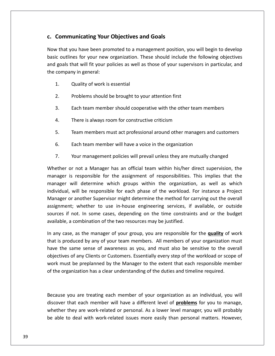# **Communicating Your Objectives and Goals**

ommunicating Your Objectives and Goals<br>that you have been promoted to a management position, you will begin to develop ommunicating Your Objectives and Goals<br>
Solid Solid Solid Solid Solid Solid Solid Solid Solid Solid Solid Solid Solid Solid Solid Solid Solid Solid S<br>
Solid Solid Solid Solid Solid Solid Solid Solid Solid Solid Solid Solid **Communicating Your Objectives and Goals**<br>That you have been promoted to a management position, you will begin to develop<br>Loutlines for your new organization. These should include the following objectives<br>goals that will f **c. Communicating Your Objectives and Goals**<br>Now that you have been promoted to a management<br>basic outlines for your new organization. These shou<br>and goals that will fit your policies as well as those of<br>the company in gen you have been promoted to a m<br>ines for your new organization.<br>that will fit your policies as well<br>any in general:<br>Quality of work is essential 2. Problems should be brought to your attention first<br>2. Problems should be brought to your supervicompany in general:<br>2. Problems should be brought to your attention first and goals that will fit your policies as well as those of your supervisors in particular, and That will fit your policies as well as those of your supervisors in particular, an<br>any in general:<br>Quality of work is essential<br>Problems should be brought to your attention first<br>Each team member should cooperative with th

- 
- $2.$
- Quality of work is essential<br>Problems should be brought to your attention first<br>Each team member should cooperative with the other team<br>There is always room for constructive criticism Problems should be brought to your attention first<br>
Each team member should cooperative with the other team members<br>
There is always room for constructive criticism<br>
Team members must act professional around other managers Each team member should cooperative with the other team mem<br>There is always room for constructive criticism<br>Team members must act professional around other managers and<br>Each team member will have a voice in the organizatio  $\mathbf{3}$ .
- $4.$
- There is always room for constructive criticism<br>Team members must act professional around other managers and customers<br>Each team member will have a voice in the organization<br>Your management policies will prevail unless the Team members must act professional around other managers and customers<br>Each team member will have a voice in the organization<br>Your management policies will prevail unless they are mutually changed<br>or not a Manager has an o  $5<sub>1</sub>$
- $6.$
- $7<sub>1</sub>$

is responsible for the assignment of responsibilities. This implies that the<br>is responsible for the assignment of responsibilities. This implies that the<br>is responsible for the assignment of responsibilities. This implies Each team member will have a voice in the organization<br>Your management policies will prevail unless they are mutually changed<br>or not a Manager has an official team within his/her direct supervision, the<br>is responsible for Your management policies will prevail unless they are mutually changed<br>
r not a Manager has an official team within his/her direct supervision, the<br>
is responsible for the assignment of responsibilities. This implies that Your management policies will prevail unless they are mutually changed<br>or not a Manager has an official team within his/her direct supervision, the<br>is responsible for the assignment of responsibilities. This implies that t assignment;not a Manager has an official team within his/her direct supervision, the<br>responsible for the assignment of responsibilities. This implies that the<br>I determine which groups within the organization, as well as which<br>II be r manager is responsible for the assignment of responsibilities. This implies that the is responsible for the assignment of responsibilities. This implies that the<br>will determine which groups within the organization, as well as which<br>al, will be responsible for each phase of the workload. For instance a Proj manager is responsive for the dissignment or responsibilities.<br>
manager will determine which groups within the organizatio<br>
individual, will be responsible for each phase of the workload. F<br>
Manager or another Supervisor m individual, will be responsible for each phase of the workload. For instance a Project dividual, will be responsible for each phase of the workload. For instance a Project<br>anager or another Supervisor might determine the method for carrying out the overall<br>signment; whether to use in-house engineering servic Manager or another Supervisor might determine the method for carrying out the overall ager or another Supervisor might determine the method for carrying out the overall<br>nment; whether to use in-house engineering services, if available, or outside<br>ces if not. In some cases, depending on the time constraints assignment; whether to use in-house engineering services, if available, or outside the same sense of awareness as you, and must also be sensitive to the overall the same sense of awareness as you, and must also be sensitive to the overall the same sense of awareness as you, and must also be sensitive to sources if not. In some cases, depending on the time constraints and or the budget available, a combination of the two resources may be justified.

not. In some cases, depending on the time constraints and or the budget<br>  $\alpha$  combination of the two resources may be justified.<br>  $\beta$ , as the manager of your group, you are responsible for the **quality** of work<br>
duced by must be preplanned by the Manager to the extent that each responsible member In any case, as the manager of your group, you are responsible for the **quality** of w<br>that is produced by any of your team members. All members of your organization m<br>have the same sense of awareness as you, and must also objectives of any Clients or Customers. Essentially every step of the workload or scope of s of any Clients or Customers. Essentially every step of the workload or scope of<br>st be preplanned by the Manager to the extent that each responsible member<br>ganization has a clear understanding of the duties and timeline r work must be preplanned by the Manager to the extent that each responsible member work must be preplanned by the Manager to the extent that each responsible member<br>of the organization has a clear understanding of the duties and timeline required.<br>Because you are treating each member of your organization

they anization has a clear understanding of the duties and timeline required.<br>
you are treating each member of your organization as an individual, you will<br>
that each member will have a different level of **problems** for yo ause you are treating each member of your organization as an individual, you will<br>cover that each member will have a different level of **problems** for you to manage,<br>ether they are work-related or personal. As a lower leve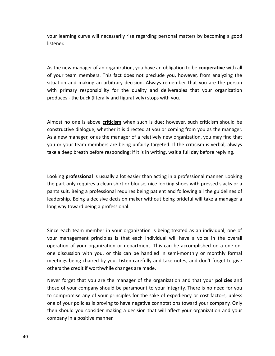learning curve will necessarily rise regarding personal matters by becoming <sup>a</sup> good In learning curve will necessarily rise regarding personal matters by becoming a good<br>The new manager of an organization, you have an obligation to be **cooperative** with all your learning curve will necessarily rise regarding personal matters by becoming a good in learning curve will necessarily rise regarding personal matters by becoming a good<br>ener.<br>the new manager of an organization, you have an obligation to be **cooperative** with all<br>your team members. This fact does not prec listener.

and manager of an organization, you have an obligation to be **cooperative** with all<br>and members. This fact does not preclude you, however, from analyzing the<br>and making an arbitrary decision. Always remember that you are t primary responsibility for the quality and obligation to be **cooperative** with all<br>in team members. This fact does not preclude you, however, from analyzing the<br>ion and making an arbitrary decision. Always remember that yo As the new manager of an organization, you have an obligation to be **cooperative** with all of your team members. This fact does not preclude you, however, from analyzing the situation and making an arbitrary decision. Alwa situation and making an arbitrary decision. Always remember that you are the person n and making an arbitrary decision. Always remember that you are the person<br>
imary responsibility for the quality and deliverables that your organization<br>
is - the buck (literally and figuratively) stops with you.<br>
no one with primary responsibility for the quality and deliverables that your organization with primary responsibility for the quality and deliverables that your organization<br>produces - the buck (literally and figuratively) stops with you.<br>Almost no one is above *criticism* when such is due; however, such critic

a new manager. The buck (literally and figuratively) stops with you.<br>
A nost no one is above **criticism** when such is due; however, such criticism should be<br>
structive dialogue, whether it is directed at you or coming from ost no one is above **criticism** when such is due; however, such criticism should be<br>tructive dialogue, whether it is directed at you or coming from you as the manager.<br>new manager, or as the manager of a relatively new org In the one is above **criticism** when such is due; however, such criticism should be tructive dialogue, whether it is directed at you or coming from you as the manager.<br>The manager, or as the manager of a relatively new org As a new manager, or as the manager of a relatively new organization, you may find that **professional is usually a lot easier than actively and set of easiers of than action** is verbal, always eep breath before responding; if it is in writing, wait a full day before replying.<br>Pep breath before responding; if you or your team members are being unfairly targeted. If the criticism is verbal, always or your team members are being unfairly targeted. If the criticism is verbal, always<br>
i a deep breath before responding; if it is in writing, wait a full day before replying.<br>
King professional is usually a lot easier than take a deep breath before responding; if it is in writing, wait a full day before replying.

deep breath before responding; if it is in writing, wait a full day before replying.<br>
Suit. Being a professional is usually a lot easier than acting in a professional manner. Looking<br>
Suit. Being a professional requires be **Ending a** is usually a lot easier than acting in a professional manner. Looking<br>
in the prequires a clean shirt or blouse, nice looking shoes with pressed slacks or a<br>
Being a professional requires being patient and follo Looking **professional** is usually a lot easier than acting in a professional manner. Looking the part only requires a clean shirt or blouse, nice looking shoes with pressed slacks or a pants suit. Being a professional requires being patient and following all the guidelines of suit. Being a professional requires being patient and following all the guidelines of<br>ship. Being a decisive decision maker without being prideful will take a manager a<br>vay toward being a professional.<br>each team member in leadership. Being a decisive decision maker without being prideful will take a manager a management principles is that each individual will take a manager a<br>way toward being a professional.<br>each team member in your organization is being treated as an individual, one of<br>management principles is that each indivi long way toward being a professional.

ong way toward being a professional.<br>
Since each team member in your organization is being treated as an individual, one of<br>
your management principles is that each individual will have a voice in the overall<br>
operation of exact team member in your organization is being treated as an individual, one of<br>management principles is that each individual will have a voice in the overall<br>ation of your organization or department. This can be accompli I team member in your organization is being treated as an individual, one of agement principles is that each individual will have a voice in the overall of your organization or department. This can be accomplished on a one Since each team member in your organization is being treated as an individual, one of Since each team member in your organization is beir<br>your management principles is that each individual<br>operation of your organization or department. This c<br>one discussion with you, or this can be handled in<br>meetings being hanagement principles is that each individual will have a voice in the overall<br>ion of your organization or department. This can be accomplished on a one-on-<br>scussion with you, or this can be handled in semi-monthly or mont operation of your organization or department. This can be accomplished on a one-onion of your organization or department. This can be accomplished on a one-on-<br>iscussion with you, or this can be handled in semi-monthly or monthly formal<br>ngs being chaired by you. Listen carefully and take notes, and don' or e discussion with you, or this can be handled in semi-monthly or monthly formal<br>etings being chaired by you. Listen carefully and take notes, and don't forget to give<br>ners the credit if worthwhile changes are made.<br>ver for meetings being chaired by you. Listen carefully and take notes, and don't forget to give others the credit if worthwhile changes are made.

tings being chaired by you. Listen carefully and take notes, and don't forget to give<br>rs the credit if worthwhile changes are made.<br>Proforget that you are the manager of the organization and that your **policies** and<br>e of y is the credit if worthwhile changes are made.<br>
In forget that you are the manager of the organization and that your **policies** and<br>
of your company should be paramount to your integrity. There is no need for you<br>
In promis Never forget that you are the mat<br>those of your company should be<br>to compromise any of your princip<br>one of your policies is proving to hat<br>then should you consider making<br>company in a positive manner.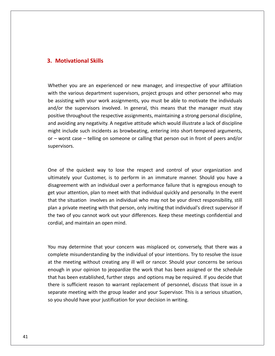## **Motivational Skills 3. Motivational Skills**

**3.**

**ational Skills**<br>
vou are an experienced or new manager, and irrespective of your affiliation **Iotivational Skills**<br>ther you are an experienced or new manager, and irrespective of your affiliation<br>the various department supervisors, project groups and other personnel who may **Motivational Skills**<br>ether you are an experienced or new manager, and irrespective of your affiliation<br>h the various department supervisors, project groups and other personnel who may<br>assisting with your work assignments, the supervisors in volution of the supervisors in the supervisors in the supervisors involved. In general, this means that the manager must stay<br>the supervisors involved. In general, this means that the manager must stay<br>t Whether you are an experienced or new manager, and irrespective of your affiliation<br>with the various department supervisors, project groups and other personnel who may<br>be assisting with your work assignments, you must be a external values are an experienced or new manager, and irrespective of your affiliation<br>the various department supervisors, project groups and other personnel who may<br>ssisting with your work assignments, you must be able t Whether you are an experienced or new manager, and irrespective of your affiliation with the various department supervisors, project groups and other personnel who may whether you are an experienced of new manager, and inceptedne of your annuation<br>with the various department supervisors, project groups and other personnel who may<br>be assisting with your work assignments, you must be able an the various department supervisors, project groups and other personner who may<br>assisting with your work assignments, you must be able to motivate the individuals<br>d/or the supervisors involved. In general, this means tha be assisting with your work assignments, you must be able to motivate the individuals and/or the supervisors involved. In general, this means that the manager must stay might include such incidents as browbeating, entering into short-tempered arguments, t include such incidents as browbeating, entering into short-tempered arguments,<br>vorst case – telling on someone or calling that person out in front of peers and/or<br>visors.<br>of the quickest way to lose the respect and contr or  $-$  worst case  $-$  telling on someone or calling that person out in front of peers and/or case – telling on someone or calling that person out in front of peers and/or<br>
i.<br>
e quickest way to lose the respect and control of your organization and<br>
your Customer. is to perform in an immature manner. Should you hav supervisors. get

uickest way to lose the respect and control of your organization and<br>In Customer, is to perform in an immature manner. Should you have a<br>With an individual over a performance failure that is egregious enough to of the quickest way to lose the respect and control of your organization and<br>mately your Customer, is to perform in an immature manner. Should you have a<br>greement with an individual over a performance failure that is egreg of the quickest way to lose the respect and control of your organization and<br>ately your Customer, is to perform in an immature manner. Should you have a<br>greement with an individual over a performance failure that is egregi One of the quickest way to lose the respect and control of your organization and of the quickest way to lose the respect and control of your organization and<br>ately your Customer, is to perform in an immature manner. Should you have a<br>greement with an individual over a performance failure that is egregi ultimately your Customer, is to perform in an immature manner. Should you have a of the quickest way to lose the respect and control of your organization and<br>anately your Customer, is to perform in an immature manner. Should you have a<br>greement with an individual over a performance failure that is egre disagreement with an individual over a<br>get your attention, plan to meet with that<br>that the situation involves an individual<br>plan a private meeting with that person,<br>the two of you cannot work out your dif<br>cordial, and main plan a private meeting with that person, only inviting that individual's direct supervisor if<br>the two of you cannot work out your differences. Keep these meetings confidential and<br>cordial, and maintain an open mind.<br>You ma the two of you cannot work out your differences. Keep these meetings confidential and mot work out your differences. Keep these meetings confidential and<br>individual of maintain an open mind.<br>determine that your concern was misplaced or, conversely, that there was a<br>misunderstanding by the individual of your cordial, and maintain an open mind.

The methands and maintain an open mind.<br>
The may determine that your concern was misplaced or, conversely, that there was a<br>
understanding any ill will or rancor. Should your concerns be serious<br>
The meeting without creati If determine that your concern was misplaced or, conversely, that there was a<br>in emisunderstanding by the individual of your intentions. Try to resolve the issue<br>in your opinion to jeopardize the work that has been assigne may determine that your concern was misplaced or, conversely, that there was a<br>blete misunderstanding by the individual of your intentions. Try to resolve the issue<br>e meeting without creating any ill will or rancor. Should You may determine that your concern was misplaced or, conversely, that there was a<br>complete misunderstanding by the individual of your intentions. Try to resolve the issue<br>at the meeting without creating any ill will or ra  $\frac{1}{2}$ complete misunderstanding by the individual of your intentions. Try to resolve the issue<br>at the meeting without creating any ill will or rancor. Should your concerns be serious<br>enough in your opinion to jeopardize the work at the meeting without creating any ill will or rancor. Should your concerns be serious<br>enough in your opinion to jeopardize the work that has been assigned or the schedule<br>that has been established, further steps and opti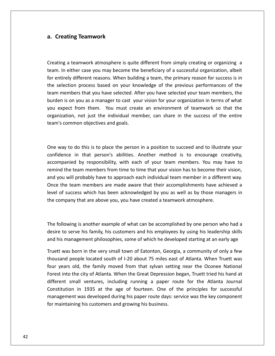## **Creating Teamwork** a. Creating Teamwork

 <sup>a</sup> teamwork atmosphere is quite different from simply creating or organizing <sup>a</sup> **Eating Teamwork<br>In atting there case you may become the different from simply creating or organizing atting the either case you may become the beneficiary of a successful organization, albeit Creating Teamwork**<br>ating a teamwork atmosphere is quite different from simply creating or organizing a<br>m. In either case you may become the beneficiary of a successful organization, albeit<br>entirely different reasons. When ting a teamwork atmosphere is quite different from simply creating or organizing a<br>in the either case you may become the beneficiary of a successful organization, albeit<br>entirely different reasons. When building a team, th members a teamwork atmosphere is quite different from simply creating or organizing a<br>In either case you may become the beneficiary of a successful organization, albeit<br>tirely different reasons. When building a team, the p Creating a teamwork atmosphere is quite different from simply creating or organizing a It are the section simply creating or organizing and the rease you may become the beneficiary of a successful organization, albeit rely different reasons. When building a team, the primary reason for success is in ection p team. In either case you may become the beneficiary of a successful organization, albeit I. In either case you may become the beneficiary of a successful organization, albeit<br>ntirely different reasons. When building a team, the primary reason for success is in<br>selection process based on your knowledge of the p for entirely different reasons. When building a team, the primary reason for success is in The individual member, can share in the succession of the state in process based on your knowledge of the previous performances of the sthat you have selected. After you have selected your team members, the rou as a manage the selection process based on your know team members that you have selected. Af burden is on you as a manager to cast yo you expect from them. You must crea organization, not just the individual meteram's common objective you expect from them. You must create an environment of teamwork so that the<br>organization, not just the individual member, can share in the success of the entire<br>team's common objectives and goals.<br>One way to do this is to organization, not just the individual member, can share in the success of the entire in that success of the entire<br>
in that success of the entire<br>
team's common objectives and goals.<br>
One way to do this is to place the person in a position to succeed and to illustrate your<br>
confidence in that person's abil

by this is to place the person in a position to succeed and to illustrate your<br>that person's abilities. Another method is to encourage creativity,<br>by responsibility, with each of your team members. You may have to One way to do this is to place the person in a position to succeed and to illustrate your<br>confidence in that person's abilities. Another method is to encourage creativity,<br>accompanied by responsibility, with each of your t One way to do this is to place the person in a position to succeed and to illustrate your<br>confidence in that person's abilities. Another method is to encourage creativity,<br>accompanied by responsibility, with each of your t by to do this is to place the person in a position to succeed and to illustrate your lence in that person's abilities. Another method is to encourage creativity, panied by responsibility, with each of your team members. Yo One way to do this is to place the person in a position to succeed and to illustrate your of success which has been acknowledged by you as well as by those managers in that person's abilities. Another method is to encourage creativity, mpanied by responsibility, with each of your team members. You may have to d confidence in that person's abilities. Another method is to encourage creativity, accompanied by responsibility, with each of your team members. You may have to pompanied by responsibility, with each of your team members. You may<br>ind the team members from time to time that your vision has to become the<br>you will probably have to approach each individual team member in a differ<br>e th Once the team members are made aware that their accomplishments have achieved a Following is another example of what can be accomplishments have achieved a<br>in of success which has been acknowledged by you as well as by those managers in<br>company that are above you, you have created a teamwork atmospher level of success which has been acknowledged by you as well as by those managers in<br>the company that are above you, you have created a teamwork atmosphere.<br>The following is another example of what can be accomplished by on the company that are above you, you have created a teamwork atmosphere.

company that are above you, you have created a teamwork atmosphere.<br>
following is another example of what can be accomplished by one person who had a<br>
re to serve his family, his customers and his employees by using his le lowing is another example of what can be accomplished by one person who had a<br>to serve his family, his customers and his employees by using his leadership skills<br>is management philosophies, some of which he developed start ring is another example of what can be accomplished by one person who had a<br>serve his family, his customers and his employees by using his leadership skills<br>anagement philosophies, some of which he developed starting at an The following is another example of what can be accomplished by one person who had a ollowing is another example of what can be accomplished by one person who had a<br>e to serve his family, his customers and his employees by using his leadership skills<br>iis management philosophies, some of which he developed desire to serve his family, his customers and his employees by using his leadership skills and his management philosophies, some of which he developed starting at an early age

to serve his family, his customers and his employees by using his leadership skills<br>i management philosophies, some of which he developed starting at an early age<br>was born in the very small town of Eatonton, Georgia, a com anagement philosophies, some of which he developed starting at an early age<br>
is born in the very small town of Eatonton, Georgia, a community of only a few<br>
people located south of I-20 about 75 miles east of Atlanta. When ConstitutionIm the very small town of Eatonton, Georgia, a community of only a few<br>pple located south of I-20 about 75 miles east of Atlanta. When Truett was<br>d, the family moved from that sylvan setting near the Oconee National<br>e city  $\frac{1}{2}$ thousand people located south of I-20 about 75 miles east of Atlanta. When Truett was<br>four years old, the family moved from that sylvan setting near the Oconee National<br>Forest into the city of Atlanta. When the Great Depre four years old, the family moved from that sylvan setting near the Oconee National maintain people focated south of 1 20 ubout 75 miles east<br>
r years old, the family moved from that sylvan setting<br>
est into the city of Atlanta. When the Great Depression b<br>
erent small ventures, including running a paper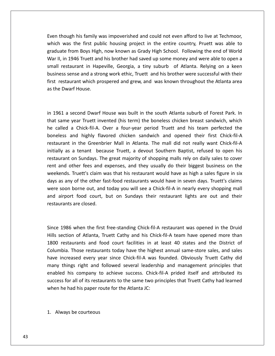though his family was impoverished and could not even afford to live at Techmoor, which the same of the same of the same of the same of the same of the same of the same of the same of the same of the same of the same of th was the first public housing project in the entire country. Pruett was able to<br>was the first public housing project in the entire country. Pruett was able to From Boys High his family was impoverished and could not even afford to live at Techmoor,<br>In the first public housing project in the entire country, Pruett was able to<br>The Boys High, now known as Grady High School. Followi II, though his family was impoverished and could not even afford to live at Techmoor,<br>In was the first public housing project in the entire country, Pruett was able to<br>II. in 1946 Truett and his brother had saved up some m hough his family was impoverished and could not even afford to live at Techmoor,<br>was the first public housing project in the entire country, Pruett was able to<br>ate from Boys High, now known as Grady High School. Following Even though his family was impoverished and could not even afford to live at Techmoor, ugh his family was impoverished and could not even afford to live at Techmoor,<br>as the first public housing project in the entire country, Pruett was able to<br>from Boys High, now known as Grady High School. Following the end which was the first public housing project in the entire country, Pruett was able to restaurant which prospered and grew, and was known throughout the Atlanta area<br>efform Boys High, now known as Grady High School. Following the end of World<br>II, in 1946 Truett and his brother had saved up some money and wer graduate from Boys High, now known as Grady High School. Following the end of World Fract Was the Hist paked<br>Aduate from Boys High<br>Fight House. The Disness sense and a street restaurant which protective the Dwarf House. business sense and a strong work ethic, Truett and his brother were successful with their siness sense and a strong work ethic, Truett and his brother were successful with their<br>it restaurant which prospered and grew, and was known throughout the Atlanta area<br>the Dwarf House.<br>1961 a second Dwarf House was built first restaurant which prospered and grew, and was known throughout the Atlanta area restaurant which prospered and grew, and was known throughout the Atlanta area<br>e Dwarf House.<br>161 a second Dwarf House was built in the south Atlanta suburb of Forest Park. In<br>same vear Truett invented (his term) the bonel as the Dwarf House.

on the Dwarf House.<br>
1961 a second Dwarf House was built in the south Atlanta suburb of Forest Park. In<br>
1961 a second Dwarf House was built in the south Atlanta suburb of Forest Park. In<br>
1961 a chick-fil-A. Over a four-y second Dwarf House was built in the south Atlanta suburb of Forest Park. In<br>year Truett invented (his term) the boneless chicken breast sandwich, which<br>a Chick-fil-A. Over a four-year period Truett and his team perfected t econd Dwarf House was built in the south Atlanta suburb of Forest Park. In<br>year Truett invented (his term) the boneless chicken breast sandwich, which<br>a Chick-fil-A. Over a four-year period Truett and his team perfected th in 1961 a second Dwarf House was built in the south Atlanta suburb of Forest Park. In a second Dwarf House was built in the south Atlanta suburb of Forest Park. In<br>ne year Truett invented (his term) the boneless chicken breast sandwich, which<br>d a Chick-fil-A. Over a four-year period Truett and his team perf restaurantyear Truett invented (his term) the boneless chicken breast sandwich, which<br>a Chick-fil-A. Over a four-year period Truett and his team perfected the<br>and highly flavored chicken sandwich and opened their first Chick-fil-A<br>i riur<br>. alled a Chick-fil-A. Over a four-year period Truett and his team perfected the<br>less and highly flavored chicken sandwich and opened their first Chick-fil-A<br>urant in the Greenbrier Mall in Atlanta. The mall did not really w he called a Chick-fil-A. Over a four-year period Truett and his team perfected the boneless and highly flavored chicken sandwich and opened their first Chick-fil-A Truett History: Over a Your year period indett and His team perfected the<br>
Ind highly flavored chicken sandwich and opened their first Chick-fil-A<br>
in the Greenbrier Mall in Atlanta. The mall did not really want Chick-filrestaurant in the Greenbrier Mall in Atlanta. The mall did not really want Chick-fil-A any matter sanament and opened them instrument in the Greenbrier Mall in Atlanta. The mall did not really want Chick-fil-A<br>lly as a tenant because Truett, a devout Southern Baptist, refused to open his<br>urant on Sundays. Th westaurant in the sheemsher with in Adama. The man ald not reany want emek in A<br>initially as a tenant because Truett, a devout Southern Baptist, refused to open his<br>restaurant on Sundays. The great majority of shopping mal restaurant on Sundays. The great majority of shopping malls rely on daily sales to cover and other fees and expenses, and they usually do their biggest business on the ends. Truett's claim was that his restaurant would have as high a sales figure in six as any of the other fast-food restaurants would have in s restaurant on sandays. The<br>rent and other fees and e<br>weekends. Truett's claim w<br>days as any of the other fa<br>were soon borne out, and<br>and airport food court, I<br>restaurants are closed. were soon borne out, and today you will see a Chick-fil-A in nearly every shopping mall 1986 when the first free-standing Chick-fil-A in nearly every shopping mall<br>
1986 when the first free-standing Chick-fil-A restaurant was opened in the Druid<br>
1986 when the first free-standing Chick-fil-A restaurant was op and airport food court, but on Sundays their restaurant lights are out and their airport food court, but on Sundays their restaurant lights are out and their<br>urants are closed.<br>1986 when the first free-standing Chick-fil-A restaurant was opened in the Druid<br>section of Atlanta. Truett Cathy and his Chic restaurants are closed.

rants are closed.<br>1986 when the first free-standing Chick-fil-A restaurant was opened in the Druid<br>ection of Atlanta, Truett Cathy and his Chick-fil-A team have opened more than<br>restaurants and food court facilities in at When the first free-standing Chick-fil-A restaurant was opened in the Druid<br>Those restaurants and food court facilities in at least 40 states and the District of<br>Those restaurants today have the highest annual same-store s 1986 when the first free-standing Chick-fil-A restaurant was opened in the Druid<br>ection of Atlanta, Truett Cathy and his Chick-fil-A team have opened more than<br>restaurants and food court facilities in at least 40 states an Since 1986 when the first free-standing Chick-fil-A restaurant was opened in the Druid 1986 when the first free-standing Chick-fil-A restaurant was opened in the Druid<br>ection of Atlanta, Truett Cathy and his Chick-fil-A team have opened more than<br>restaurants and food court facilities in at least 40 states an Hills section of Atlanta, Truett Cathy and his Chick-fil-A team have opened more than For when the first free standing efficient in A residentific was opened in the Brand<br>ion of Atlanta, Truett Cathy and his Chick-fil-A team have opened more than<br>taurants and food court facilities in at least 40 states and 1800 restaurants and food court facilities in at least 40 states and the District of for all of its restaurants and food court facilities in at least 40 states and the District of<br>a. Those restaurants today have the highest annual same-store sales, and sales<br>creased every year since Chick-fil-A was founded Columbia. Those restaurants today have the highest annual same-store sales, and sales had his and hood court had his and hood count in the highes<br>increased every year since Chick-fil-A was for<br>things right and followed several leadership<br>ed his company to achieve success. Chick-fil-<br>is for all of its restau enabled his company to achieve success. Chick-fil-A prided itself and attributed its bled his company to achientless for all of its restaurants<br>Always be courteous<br>Always be courteous

graduate de la provincia.<br>Graduate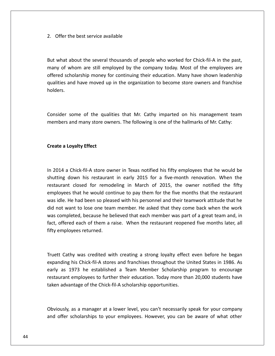Offer the best service available 2. Offer the best service available

2. Offer the best service available<br>But what about the several thousands of people who worked for Chick-fil-A in the past, Fer the best service available<br>
at about the several thousands of people who worked for Chick-fil-A in the past,<br>
of whom are still employed by the company today. Most of the employees are is the best service available<br>that about the several thousands of people who worked for Chick-fil-A in the past,<br>f whom are still employed by the company today. Most of the employees are<br>scholarship money for continuing th about the several thousands of people who worked for Chick-fil-A in the past,<br>whom are still employed by the company today. Most of the employees are<br>cholarship money for continuing their education. Many have shown leaders holarship money for continuing their education. Many have shown leadership<br>and have moved up in the organization to become store owners and franchise<br>some of the qualities that Mr. Cathy imparted on his management team offered scholarship money for continuing their education. Many have shown leadership and have moved up in the organization to become store owners and franchise<br>some of the qualities that Mr. Cathy imparted on his management team<br>and many store owners. The following is one of the hallmarks of Mr. Cathy: qualities and have moved up in the organization to become store owners and franchise holders.

**a c some** of the qual<br>**Pa** and many store ow<br>**a Lovalty Effect** 

### Create a Loyalty Effect

Pate a Loyalty Effect<br>2014 a Chick-fil-A store owner in Texas notified his fifty employees that he would be Loyalty Effect<br>Loyalty Effect<br>down his restaurant in early 2015 for a five-month renovation. When the relay to the close of the test of the thick-fil-A store owner in Texas notified his fifty employees that he would be<br>thick-fil-A store owner in Texas notified his fifty employees that he would be<br>closed for remodeling in M thick-fil-A store owner in Texas notified his fifty employees that he would be<br>won his restaurant in early 2015 for a five-month renovation. When the<br>closed for remodeling in March of 2015, the owner notified the fifty<br>tha IMM a Chick-fil-A store owner in Texas notified his fifty employees that he would be<br>ting down his restaurant in early 2015 for a five-month renovation. When the<br>laurant closed for remodeling in March of 2015, the owner no  $\ddot{\phantom{a}}$ 014 a Chick-fil-A store owner in Texas notified his fifty employees that he would be<br>tting down his restaurant in early 2015 for a five-month renovation. When the<br>aurant closed for remodeling in March of 2015, the owner no shutting down his restaurant in early 2015 for a five-month renovation. When the Example of the believed that each member was part of a great team and, in completed, because he believed that each member was part of a great team and, in completed, because he believed that each member was part of a grea facturing down instructuation. The carry 2013 for a five month removation: When the<br>restaurant closed for remodeling in March of 2015, the owner notified the fifty<br>employees that he would continue to pay them for the five icae employees that he would continue to pay them for the five months that the restaurant was idle. He had been so pleased with his personnel and their teamwork attitude that he did not want to lose one team member. He asked th was completed, because he believed that each member was part of a great team and, in mpleted, because he believed that each member was part of a great team and, in<br>fered each of them a raise. When the restaurant reopened five months later, all<br>ployees returned.<br>Cathy was credited with creating a strong lov fact, offered each of them a raise. When the restaurant reopened five months later, all fifty employees returned. restaurant

Truett Cathy was credited with creating a strong loyalty effect even before he began expanding his Chick-fil-A stores and franchises throughout the United States in 1986. As mployees returned.<br>
Cathy was credited with creating a strong loyalty effect even before he began<br>
ding his Chick-fil-A stores and franchises throughout the United States in 1986. As<br>
as 1973 he established a Team Member S in was credited with creating a strong loyalty effect even before he began<br>his Chick-fil-A stores and franchises throughout the United States in 1986. As<br>973 he established a Team Member Scholarship program to encourage<br>em Cathy was credited with creating a strong loyalty effect<br>ding his Chick-fil-A stores and franchises throughout the L<br>as 1973 he established a Team Member Scholarship<br>rant employees to further their education. Today more th early as 1973 he established a Team Member Scholarship program to encourage 973 he established a Team Member Scholarship program to encourage<br>employees to further their education. Today more than 20,000 students have<br>ntage of the Chick-fil-A scholarship opportunities.<br>as a manager at a lower level restaurant employees to further their education. Today more than 20,000 students have<br>taken advantage of the Chick-fil-A scholarship opportunities.<br>Obviously, as a manager at a lower level, you can't necessarily speak for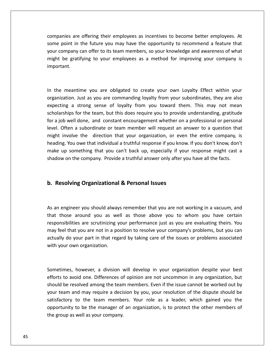are offering their employees as incentives to become better employees. At point in the future you may have the opportunity to recommend a feature that<br>that in the future you may have the opportunity to recommend a feature that panies are offering their employees as incentives to become better employees. At<br>i point in the future you may have the opportunity to recommend a feature that<br>company can offer to its team members, so your knowledge and a nies are offering their employees as incentives to become better employees. At<br>boint in the future you may have the opportunity to recommend a feature that<br>be gratifying to your employees as a method for improving your com your company can offer to its team members, so your knowledge and awareness of what In the meanty can offer to its team members, so your knowledge and awareness of what<br>sht be gratifying to your employees as a method for improving your company is<br>bortant.<br>the meantime you are obligated to create your own might be gratifying to your employees as a method for improving your company is tifying to your employees as a method for improving your company is<br>
Just as you are obligated to create your own Loyalty Effect within your<br>
Just as you are commanding loyalty from your subordinates, they are also important. scholarships

antime you are obligated to create your own Loyalty Effect within your<br>n. Just as you are commanding loyalty from your subordinates, they are also<br>a strong sense of loyalty from you toward them. This may not mean for the team, but this does require your own Loyalty Effect within your<br>Just as you are commanding loyalty from your subordinates, they are also<br>strong sense of loyalty from you toward them. This may not mean<br>for the team, the meantime you are obligated to create your own Loyalty Effect within your anization. Just as you are commanding loyalty from your subordinates, they are also ecting a strong sense of loyalty from you toward them. This m In the meantime you are obligated to create your own Loyalty Effect within your meantime you are obligated to create your own Loyalty Effect within your zation. Just as you are commanding loyalty from your subordinates, they are also ting a strong sense of loyalty from you toward them. This may not me m<sub>u</sub>m includion. Just as you are commanding loyalty from your subordinates, they are also<br>ing a strong sense of loyalty from you toward them. This may not mean<br>ships for the team, but this does require you to provide understandi or<sub>b</sub>annza The individual a truthful response if you know. If you don't know that individual a truthful response if you know. If you don't know, don't know that individual a truthful response if you know. If you don't know, don't kno expecting a strong sense of loyalty from you toward them. This may not mean scholarships for the team, but this does require you to provide understanding, gratitude This is a strong sense of loyary from you toward them. This hay not mean<br>rships for the team, but this does require you to provide understanding, gratitude<br>bb well done, and constant encouragement whether on a professional for a job well done, and constant encouragement whether on a professional or personal level. Often a subordinate or team member will request an answer to a question that might involve the direction that your organization, or even the entire company, is heading. You owe that individual a truthful response if might involve the direction that your organization, or even the entire company, is At involve the direction that your organization, or eve<br>ding. You owe that individual a truthful response if you know<br>is up something that you can't back up, especially if yo<br>dow on the company. Provide a truthful answer o

### b. Resolving Organizational & Personal Issues

your product of the same of the same of the same of the same of the same of the same of the same of the same o<br>Same of the same of the same of the same of the same of the same of the same of the same of the same of the sa

Resolving Organizational & Personal Issues<br>an engineer you should always remember that you are not working in a vacuum, and **Exalving Organizational & Personal Issues**<br>
engineer you should always remember that you are not working in a vacuum, and<br>
those around you as well as those above you to whom you have certain **Organizational & Personal Issues**<br>you should always remember that you are not working in a vacuum, and<br>und you as well as those above you to whom you have certain<br>are scrutinizing your performance iust as you are evaluati feel that you should always remember that you are not working in a vacuum, and<br>those around you as well as those above you to whom you have certain<br>posibilities are scrutinizing your performance just as you are evaluating gineer you should always remember that you are not working in a vacuum, and<br>see around you as well as those above you to whom you have certain<br>bilities are scrutinizing your performance just as you are evaluating theirs. Y As an engineer you should alway<br>that those around you as we<br>responsibilities are scrutinizing y<br>may feel that you are not in a po<br>actually do your part in that reg<br>with your own organization. may feel that you are not in a position to resolve your company's problems, but you can t you are not in a position to resolve your company's problems, but you can<br>our part in that regard by taking care of the issues or problems associated<br>in organization.<br>however, a division will develop in your organization actually do your part in that regard by taking care of the issues or problems associated to avoir part in that regard by taking care of the issues or problems associated<br>ur own organization.<br>mes, however, a division will develop in your organization despite your best<br>to avoid one. Differences of opinion are no with your own organization.

ur own organization.<br>
mes, however, a division will develop in your organization despite your best<br>
to avoid one. Differences of opinion are not uncommon in any organization, but<br>
be resolved among the team members. Even i times, however, a division will develop in your organization despite your best<br>is to avoid one. Differences of opinion are not uncommon in any organization, but<br>d be resolved among the team members. Even if the issue canno to the team members. Your prediction despite your best<br>to the team members. Even if the issue cannot be worked out by<br>to the team members. The issue cannot be worked out by<br>to the team members. Your role as a leader, which Sometimes, however, a division will develop in your organization despite your best however, a division will develop in your organization despite your best<br>bid one. Differences of opinion are not uncommon in any organization, but<br>solved among the team members. Even if the issue cannot be worked out by<br>nd efforts to avoid one. Differences of opinion are not uncommon in any organization, but should be resolved among the team members. Even if the issue cannot be worked out by your team and may require a decision by you, your resolution of the dispute should be satisfactory to the team members. Your role as a le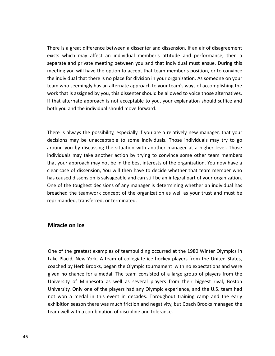is a great difference between a dissenter and dissension. If an air of disagreement is a great difference between a dissenter and dissension. If an air of disagreement<br>which may affect an individual member's attitude and performance, then a great difference between a dissenter and dissension. If an air of disagreement<br>And may affect an individual member's attitude and performance, then a<br>And private meeting between you and that individual must ensue. During t a great difference between a dissenter and dissension. If an air of disagreement<br>hich may affect an individual member's attitude and performance, then a<br>and private meeting between you and that individual must ensue. Durin individual that there is no place for division in vour organization. If an air of disagreement<br>ts which may affect an individual member's attitude and performance, then a<br>arate and private meeting between you and that indi There is a great difference between a dissenter and dissension. If an air of disagreement is a great difference between a dissenter and dissension. If an air of disagreement<br>which may affect an individual member's attitude and performance, then a<br>ate and private meeting between you and that individual must ensu exists which may affect an individual member's attitude and performance, then a which may affect an individual member's attitude and performance, then a<br>ate and private meeting between you and that individual must ensue. During this<br>ing you will have the option to accept that team member's position, o  $\ddot{\phantom{1}}$ that alternate approach is not accept that that individual must ensue. During this eeting you will have the option to accept that team member's position, or to convince e individual that there is no place for division in y scpu meeting you will have the option to accept that team member's position, or to convince<br>the individual that there is no place for division in your organization. As someone on your<br>team who seemingly has an alternate approac work that is assigned by you, this dissenter should be allowed to voice those alternatives. hat is assigned by you, this <u>dissenter</u> should be allowed to voice those alternatives.<br>
alternate approach is not acceptable to you, your explanation should suffice and<br>
bu and the individual should move forward.<br>
is alwa If that alternate approach is not acceptable to you, your explanation should suffice and ernate approach is not acceptable to you, your explanation should suffice and<br>and the individual should move forward.<br>Iways the possibility, especially if you are a relatively new manager, that your<br>may be unacceptable to both you and the individual should move forward. individuals

I and the individual should move forward.<br>
always the possibility, especially if you are a relatively new manager, that your<br>
s may be unacceptable to some individuals. Those individuals may try to go<br>
you by discussing th vays the possibility, especially if you are a relatively new manager, that your<br>hay be unacceptable to some individuals. Those individuals may try to go<br>by discussing the situation with another manager at a higher level. T e is always the possibility, especially if you are a relatively new manager, that your<br>sions may be unacceptable to some individuals. Those individuals may try to go<br>nd you by discussing the situation with another manager  $\mathbf{r}$ is always the possibility, especially if you are a relatively new manager, that your<br>ons may be unacceptable to some individuals. Those individuals may try to go<br>d you by discussing the situation with another manager at a hascaused ways the possibility, espectally if you are a relatively flew manager, that your decisions may be unacceptable to some individuals. Those individuals may try to go around you by discussing the situation with another of the toughest decisions of any manager is determining whether an individual has<br>iduals may take another action by trying to convince some other team members<br>your approach may not be in the best interests of the organizat  $\begin{array}{ccc} 0 & 0 & \text{and} & \text{and} \\ 0 & 0 & \text{and} & \text{and} \end{array}$ the teamwork concept of the organization as well as your trust in members<br>approach may not be in the best interests of the organization. You now have a<br>of <u>dissension</u>, You will then have to decide whether that team member mandadd, m that your approach may not be in the best interests of the organization. You now have a clear case of <u>dissension</u>, You will then have to decide whether that team member who has caused dissension is salvageable and can sti **d** dissension is salve<br>
be toughest decisic<br>
the teamwork co<br>
ded, transferred, o<br> **on Ice** 

on the greatest examples of teambuilding occurred at the 1980 Winter Olympics in **Miracle on Ice**<br>One of the greatest examples of teambuilding occurred at the 1980 Winter Olympics in<br>Lake Placid. New York. A team of collegiate ice hockey players from the United States. on Ice<br>here greatest examples of teambuilding occurred at the 1980 Winter Olympics in<br>id, New York. A team of collegiate ice hockey players from the United States,<br>by Herb Brooks, began the Olympic tournament with no expec f the greatest examples of teambuilding occurred at the 1980 Winter Olympics in<br>Placid, New York. A team of collegiate ice hockey players from the United States,<br>ed by Herb Brooks, began the Olympic tournament with no expe greatest examples of teambuilding occurred at the 1980 Winter Olympics in<br>
, New York. A team of collegiate ice hockey players from the United States,<br>
Herb Brooks, began the Olympic tournament with no expectations and wer  $\mathbf{L} = \mathbf{L} \mathbf{U}$ greatest examples of teambuilding occurred at the 1980 Winter Olympics in<br>, New York. A team of collegiate ice hockey players from the United States,<br>Herb Brooks, began the Olympic tournament with no expectations and were<br>  $\sum_{i=1}^{n}$ Placid, New York. A team of collegiate ice hockey players from the United States,<br>hed by Herb Brooks, began the Olympic tournament with no expectations and were<br>n no chance for a medal. The team consisted of a large group Lake Placid, New York. A team of collegiate ice hockey players from the United States, coached by Herb Brooks, began the Olympic tournament with no expectations and were season there was much friction and negativity, but Coach Brooks managed the values was much friction and were hance for a medal. The team consisted of a large group of players from the of Minnesota as well as several playe given no chance for a medal. The team consisted of a large group of players from the and y rich brooks, segar the orympic team and the no chance for a medal. The team consisted of a large rsity of Minnesota as well as several players from the rity. Only one of the players had any Olympic experier von a med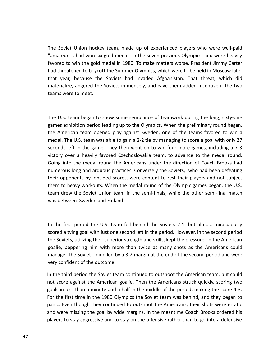Soviet Union hockey team, made up of experienced players who were well-paid had won six gold medals in the seven previous olympics whous<br>thad won six gold medals in the seven previous Olympics, and were heavily iet Union hockey team, made up of experienced players who were well-paid<br>Ins", had won six gold medals in the seven previous Olympics, and were heavily<br>to win the gold medal in 1980. To make matters worse. President Jimmy Soviet Union hockey team, made up of experienced players who were well-paid<br>ateurs", had won six gold medals in the seven previous Olympics, and were heavily<br>red to win the gold medal in 1980. To make matters worse, Presid year, booking the Soviet Union hockey team, made up of experienced players who were well-paid<br>teurs", had won six gold medals in the seven previous Olympics, and were heavily<br>ed to win the gold medal in 1980. To make matte The Soviet Union hockey team, made up of experienced players who were well-paid Jnion hockey team, made up of experienced players who were well-paid<br>had won six gold medals in the seven previous Olympics, and were heavily<br>vin the gold medal in 1980. To make matters worse, President Jimmy Carter<br>ned to "amateurs", had won six gold medals in the seven previous Olympics, and were heavily favored to win the gold medal in 1980. To make matters worse, President Jimmy Carter had threatened to boycott the Summer Olympics, which were to be held in Moscow later that year, because the Soviets had invaded Afghanist that year, because the Soviets had invaded Afghanistan. That threat, which did year, because the Soviets had invaded Afghanistan. That threat, which did<br>erialize, angered the Soviets immensely, and gave them added incentive if the two<br>is were to meet.<br>U.S. team began to show some semblance of teamwor materialize, angered the Soviets immensely, and gave them added incentive if the two materialize, angered the Soviets immensely, and gave them added incentive if the two<br>teams were to meet.<br>The U.S. team began to show some semblance of teamwork during the long, sixty-one<br>games exhibition period leading up

Musik were to meet.<br>
U.S. team began to show some semblance of teamwork during the long, sixty-one<br>
es exhibition period leading up to the Olympics. When the preliminary round began,<br>
American team opened play against Swed Solution the U.S. team began to show some semblance of teamwork during the long, sixty-one<br>exhibition period leading up to the Olympics. When the preliminary round began,<br>erican team opened play against Sweden, one of the team began to show some semblance of teamwork during the long, sixty-one<br>
chibition period leading up to the Olympics. When the preliminary round began,<br>
rican team opened play against Sweden, one of the teams favored to w The U.S. team began to show some semblance of teamwork during the long, sixty-one The U.S. team began to show some semblance of teamwork during the long, sixty-one<br>games exhibition period leading up to the Olympics. When the preliminary round began,<br>the American team opened play against Sweden, one of t into the medal round the Americans under the direction of Coach Brooks had<br>into the medal round the Americans under the medal round to win a<br>The U.S. team was able to gain a 2-2 tie by managing to score a goal with only 27 games exhibition period leading up to the Olympics. When the preliminary round began, long priod redding up to the Stympies. When the premining round segant,<br>can team opened play against Sweden, one of the teams favored to win a<br>i. U.S. team was able to gain a 2-2 tie by managing to score a goal with only 2 the American team opened play against Sweden, one of the teams favored to win a I. The U.S. team was able to gainst sweaten, one of the teams favored to while<br>I. The U.S. team was able to gain a 2-2 tie by managing to score a goal with only 27<br>Ids left in the game. They then went on to win four more g medal. The U.S. team was able to gain a 2-2 tie by managing to score a goal with only 27 seconds left in the game. They then went on to win four more games, including a 7-3 the distribution of the game is the medal round of the Olympicsis expectively interesting a 7-3 victory over a heavily favored Czechoslovakia team, to advance to the medal round.<br>Going into the medal round the Americans un drew the same: They then went on to whilf our hours and the particle y over a heavily favored Czechoslovakia team, to advance to the medal round.<br>Into the medal round the Americans under the direction of Coach Brooks had<br>r  $\ddot{\cdot}$ Going into the medal round the Americans under the direction of Coach Brooks had numerous long and arduous practices. Conversely the Soviets, who had been defeating their opponents by lopsided scores, were content to rest In the first period the U.S. When the medal round of the Olympic games began, the U.S.<br>
In the first period the U.S. team fell behind the Soviets 2-1, but almost miraculously<br>
In the first period the U.S. team fell behind team drew the Soviet Union team in the semi-finals, while the other semi-final match rew the Soviet Union team in the semi-finals, while the other semi-final match<br>tween Sweden and Finland.<br>first period the U.S. team fell behind the Soviets 2-1, but almost miraculously<br>a tying goal with just one second lef was between Sweden and Finland.

between Sweden and Finland.<br>
Soviets, utilizing the U.S. team fell behind the Soviets 2-1, but almost miraculously<br>
Soviets, utilizing their superior strength and skills, kept the pressure on the American First period the U.S. team fell behind the Soviets 2-1, but almost miraculously<br>a tying goal with just one second left in the period. However, in the second period<br>jets, utilizing their superior strength and skills, kept t st period the U.S. team fell behind the Soviets 2-1, but almost miraculously<br>tying goal with just one second left in the period. However, in the second period<br>ts, utilizing their superior strength and skills, kept the pres In the first period the U.S. team fell behind the Soviets 2-1, but almost miraculously e first period the U.S. team fell I<br>ed a tying goal with just one second<br>joviets, utilizing their superior strem<br>e, peppering him with more than<br>age. The Soviet Union led by a 3-2<br>confident of the outcome S<sub>C</sub> ored a tying goal with just one second left in the period. However, in the second period<br>e Soviets, utilizing their superior strength and skills, kept the pressure on the American<br>alie, peppering him with more than twice a the Soviets, utilizing their superior strength and skills, kept the pressure on the American Soviets, utilizing their superior strength and skills, kept the pressure on the American<br>ie, peppering him with more than twice as many shots as the Americans could<br>nage. The Soviet Union led by a 3-2 margin at the end of goalie, peppering him with more than twice as many shots as the Americans could goalie, peppering him with more than twice as many shots as the Americans could<br>manage. The Soviet Union led by a 3-2 margin at the end of the second period and were<br>very confident of the outcome<br>In the third period the So very confident of the outcome

hage. The Soviet Union led by a 3-2 margin at the end of the second period and were<br>  $\gamma$  confident of the outcome<br>
he third period the Soviet team continued to outshoot the American team, but could<br>
score against the Ame onfident of the outcome<br>third period the Soviet team continued to outshoot the American team, but could<br>ore against the American goalie. Then the Americans struck quickly, scoring two<br>n less than a minute and a half in the In the third period the Soviet team continued to outshoot the American team, but could<br>not score against the American goalie. Then the Americans struck quickly, scoring two<br>goals in less than a minute and a half in the mid  $\sum_{i=1}^{n}$ the state state continued to state and state valid the American struck quickly, scoring two<br>less than a minute and a half in the middle of the period, making the score 4-3.<br>first time in the 1980 Olympics the Soviet team w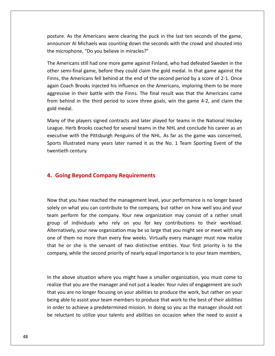As the Americans were clearing the puck in the last ten seconds of the game, and the seconds of the game, and  $\alpha$ Al Michaels was counting down the seconds with the crowd and shouted into<br>Al Michaels was counting down the seconds with the crowd and shouted into posture. As the Americans were clearing the puck in<br>announcer Al Michaels was counting down the secon-<br>the microphone. "Do you believe in miracles?" ure. As the Americans were clearing the puck in the last ten seconds of the game,<br>buncer Al Michaels was counting down the seconds with the crowd and shouted into<br>microphone, "Do you believe in miracles?"<br>Americans still h ise. As the Americans were clearing the puck in the last ten seconds of the game,<br>ncer Al Michaels was counting down the seconds with the crowd and shouted into<br>icrophone, "Do you believe in miracles?"<br>mericans still had o posture. As the Americans were clearing the puck in the last ten seconds of the game, e. As the Americans were clearing the puck in the last ten seconds of the game,<br>ncer Al Michaels was counting down the seconds with the crowd and shouted into<br>crophone, "Do you believe in miracles?"<br>mericans still had one announcer Al Michaels was counting down the seconds with the crowd and shouted into the microphone, "Do you believe in miracles?"

Incer Al Michaels was counting down the seconds with the crowd and shouted into<br>icrophone, "Do you believe in miracles?"<br>mericans still had one more game against Finland, who had defeated Sweden in the<br>semi-final game, bef hone, "Do you believe in miracles?"<br>ans still had one more game against Finland, who had defeated Sweden in the<br>-final game, before they could claim the gold medal. In that game against the<br>Americans fell behind at the end The Americans still had one more game against Finland, who had defeated Sweden in the mericans still had one more game against Finland, who had defeated Sweden in the<br>semi-final game, before they could claim the gold medal. In that game against the<br>the Americans fell behind at the end of the second period b other semi-final game, before they could claim the gold medal. In that game against the Finns, the Americans fell behind at the end of the second period by a score of 2-1. Once again Coach Brooks injected his influence on the Americans, imploring them to be more aggressive in their battle with the Finns. The the Americans fell behind at the end of the second period by a score of 2-1. Once<br>Coach Brooks injected his influence on the Americans, imploring them to be more<br>sive in their battle with the Finns. The final result was th again Coach Brooks injected his influence on the Americans, imploring them to be more ach Brooks injected his influence on the Americans, imploring them to be more<br>ve in their battle with the Finns. The final result was that the Americans came<br>hind in the third period to score three goals, win the game 4-2, aggressive in their battle with the Finns. The final result was that the Americans came aggressive in their battle with the Finns. The final result was that the Americans came<br>from behind in the third period to score three goals, win the game 4-2, and claim the<br>gold medal.<br>Many of the players signed contracts gold medal.

ehind in the third period to score three goals, win the game 4-2, and claim the<br>edal.<br>If the players signed contracts and later played for teams in the National Hockey<br>. Herb Brooks coached for several teams in the NHL and Many of the players signed contracts and later played for teams in the National Hockey<br>League. Herb Brooks coached for several teams in the NHL and conclude his career as an<br>executive with the Pittsburgh Penguins of the NH League. Herb Brooks coached for several teams in the NHL and conclude his career as an gue. Herb Brooks coached for several teams in the NH<br>cutive with the Pittsburgh Penguins of the NHL. As fa<br>rts Illustrated many years later named it as the No.<br>ntieth century.<br>**Going Bevond Company Requirements** 

### 4. Going Beyond Company Requirements

the

oing Beyond Company Requirements<br>that you have reached the management level, your performance is no longer based **The Beyond Company Requirements<br>hat you have reached the management level, your performance is no longer based<br>on what you can contribute to the company, but rather on how well you and your Part of Company Requirements<br>
Solven for the company.** Nour performance is no longer based<br>
on what you can contribute to the company, but rather on how well you and your<br>
perform for the company. Your new organization ma Now that you have reached the management level, your performance is no longer based<br>solely on what you can contribute to the company, but rather on how well you and your<br>team perform for the company. Your new organization have reached the management level, your performance is no longer based<br>it you can contribute to the company, but rather on how well you and your<br>i for the company. Your new organization may consist of a rather small<br>dividu Now that you have reached the management level, your performance is no longer based<br>solely on what you can contribute to the company, but rather on how well you and your<br>team perform for the company. Your new organization  $\sum_{i=1}^{n}$ rhat you have reached the management lever, your performance is no longer based<br>y on what you can contribute to the company, but rather on how well you and your<br>perform for the company. Your new organization may consist of solely on what you can contribute to the company, but rather on how well you and your<br>team perform for the company. Your new organization may consist of a rather small Form for the company. Your new organization may consist of a rather small<br>individuals who rely on you for key contributions to their workload.<br>ely, your new organization may be so large that you might see or meet with any<br> one of them no more than every few weeks. Virtually every manager must now realize the above situation where you might have a smaller organization, you must come to the above situation where you might have a smaller organization, you must come to the above situation where you might have a smaller organiz that he or she is the servant of two distinctive entities. Your first priority is to the that you are the servant of two distinctive entities. Your first priority is to the<br>that you are the second priority of nearly equal importance is to your team members,<br>above situation where you might have a smaller organi company, while the second priority of nearly equal importance is to your team members, being

bany, while the second priority of nearly equal importance is to your team members,<br>
in a above situation where you might have a smaller organization, you must come to<br>
intertion where your might have a smaller organizatio above situation where you might have a smaller organization, you must come to<br>a that you are the manager and not just a leader. Your rules of engagement are such<br>bu are no longer focusing on your abilities to produce the w the above situation where you might have a smaller organization, you must come to alize that you are the manager and not just a leader. Your rules of engagement are such at you are no longer focusing on your abilities to p In the above situation where you might have a smaller organization, you must come to the above situation where you might have a smaller organization, you must come to<br>lize that you are the manager and not just a leader. Your rules of engagement are such<br>t you are no longer focusing on your abilities to pro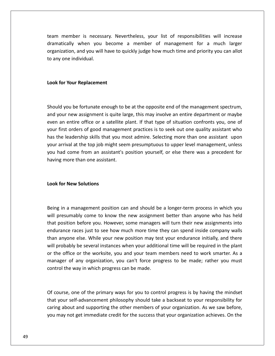member is necessary. Nevertheless, your list of responsibilities will increase when you become a member of management for a much larger<br>when you become a member of management for a much larger and is increasery. Nevertheless, your list of responsibilities will increase<br>and you become a member of management for a much larger<br>and you will have to quickly judge how much time and priority you can allot am member is necess<br>amatically when you<br>ganization, and you will<br>any one individual. dramatically when you become a member of management for a much larger organization, and you will have to quickly judge how much time and priority you can allot to any one individual.

### Look for Your Replacement

organization,

**Look for Your Replacement**<br>Should vou be fortunate enough to be at the opposite end of the management spectrum, of the Your Replacement<br>And you be fortunate enough to be at the opposite end of the management spectrum,<br>And the may assignment is quite large, this may involve an entire department or maybe for Your Replacement<br>
d you be fortunate enough to be at the opposite end of the management spectrum,<br>
our new assignment is quite large, this may involve an entire department or maybe<br>
an entire office or a satellite plan Id you be fortunate enough to be at the opposite end of the management spectrum,<br>
your new assignment is quite large, this may involve an entire department or maybe<br>
an entire office or a satellite plant. If that type of s Ind you be fortunate enough to be at the opposite end of the management spectrum,<br>your new assignment is quite large, this may involve an entire department or maybe<br>in an entire office or a satellite plant. If that type of Should you be fortunate enough to be at the opposite end of the management spectrum, Id you be fortunate enough to be at the opposite end of the management spectrum,<br>vour new assignment is quite large, this may involve an entire department or maybe<br>an entire office or a satellite plant. If that type of sit and your new assignment is quite large, this may involve an entire department or maybe Had you be fortunate enough to be at the opposite that of the management spectrum,<br>your new assignment is quite large, this may involve an entire department or maybe<br>an entire office or a satellite plant. If that type of s even an entire office or a satellite plant. If that type of situation confronts you, one of your first orders of good management practices is to seek out one quality assistant who has the leadership skills that you most admire. Selecting more than one assistant upon your arrival at the top job might seem presumpt your arrival at the top job might seem presumptuous to upper level management, unless **hand** come from an assistant's position yourself, or else there was a precedent for

### **Look for New Solutions**

or New Solutions<br>in a management position can and should be a longer-term process in which you of the Solutions<br>in a management position can and should be a longer-term process in which you<br>presumably come to know the new assignment better than anyone who has held position before you. However, some managers will turn their new assignments into<br>the position before you. However, some managers will turn their new assignments into management position can and should be a longer-term process in which you<br>hably come to know the new assignment better than anyone who has held<br>in before you. However, some managers will turn their new assignments into<br>race is in a management position can and should be a longer-term process in which you<br>resumably come to know the new assignment better than anyone who has held<br>position before you. However, some managers will turn their new ass Being in a management position can and should be a longer-term process in which you It is a management position can and should be a longer-term process in which you<br>presumably come to know the new assignment better than anyone who has held<br>position before you. However, some managers will turn their new as will presumably come to know the new assignment better than anyone who has held I presumably come to know the new assignment better than anyone who has held<br>it position before you. However, some managers will turn their new assignments into<br>durance races just to see how much more time they can spend i that position before you. However, some managers will turn their new assignments into Frash, some to know the hew assignment setter than anyone who has held<br>ion before you. However, some managers will turn their new assignments into<br>a races just to see how much more time they can spend inside company walls<br> endurance races just to see how much more time t<br>than anyone else. While your new position may tes<br>will probably be several instances when your additic<br>or the office or the worksite, you and your team n<br>manager of any orga or the office or the worksite, you and your team members need to work smarter. As a the office or the worksite, you and your team members need to work smarter. As a<br>nager of any organization, you can't force progress to be made; rather you must<br>trol the way in which progress can be made.<br>course, one of th manager of any organization, you can't force progress to be made; rather you must ager of any organization, you can't force progress to be made; rather you must<br>rol the way in which progress can be made.<br>burse, one of the primary ways for you to control progress is by having the mindset<br>your self-advanc control the way in which progress can be made.

control the way in which progress can be made.<br>
Of course, one of the primary ways for you to control progress is by having the mindset<br>
that your self-advancement philosophy should take a backseat to your responsibility f ourse, one of the primary ways for you to control progress is by having the mindset<br>your self-advancement philosophy should take a backseat to your responsibility for<br>ing about and supporting the other members of your orga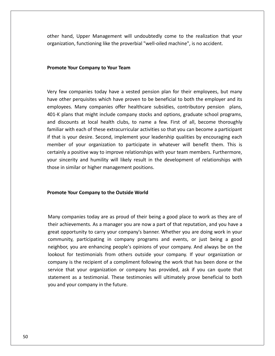we consequent than the mattem of the realization of the realization of that is and than that wour than the realization that your than  $\mathcal{L}$ Functioning intertancement<br>Functioning like the proverbial "well-oiled machine", is no accident. **Roodermany** Chernany Chernany Chernany Chernany<br> **Your Company to Your Team**<br> **Your Company to Your Team** 

### Promote Your Company to Your Team

ote Your Company to Your Team<br>few companies today have a vested pension plan for their employees, but many ote Your Company to Your Team<br>few companies today have a vested pension plan for their employees, but many<br>other perquisites which have proven to be beneficial to both the emplover and its Promote Your Company to Your Team<br>Very few companies today have a vested pension plan for their employees, but many<br>have other perquisites which have proven to be beneficial to both the employer and its<br>employees. Many com Very few companies today have a vested pension plan for their employees, but many<br>have other perquisites which have proven to be beneficial to both the employer and its<br>employees. Many companies offer healthcare subsidies, few companies today have a vested pension plan for their employees, but many<br>other perquisites which have proven to be beneficial to both the employer and its<br>oyees. Many companies offer healthcare subsidies, contributory Very few companies today have a vested pension plan for their employees, but many w companies today have a vested pension plan for their employees, but many<br>ner perquisites which have proven to be beneficial to both the employer and its<br>les. Many companies offer healthcare subsidies, contributory pensio have other perquisites which have proven to be beneficial to both the employer and its The tect companies coary have a vested pension plan for their employees, bat many<br>twe other perquisites which have proven to be beneficial to both the employer and its<br>mployees. Many companies offer healthcare subsidies, c employees. Many companies offer healthcare subsidies, contributory pension plans, of your organization to be selected to be the employer and its<br>s. Many companies offer healthcare subsidies, contributory pension plans,<br>ns that might include company stocks and options, graduate school programs,<br>unts at l 401-K plans that might include company stocks and options, graduate school programs, a positive way to improve relationships with your perison of programs,<br>and discounts at local health clubs, to name a few. First of all, become thoroughly<br>familiar with each of these extracurricular activities so that you siscounts at local health clubs, to name a few. First of all, become thoroughly<br>ar with each of these extracurricular activities so that you can become a participant<br>t is your desire. Second, implement your leadership qual and discounts at local health clubs, to name a few. First of all, become thoroughly familiar with each of these extracurricular activities so that you can become a participant if that is your desire. Second, implement your leadership qualities by encouraging each member of your organization to participate in whatever will benefit them. This is certainly a positive way to improve relationships wi **Promote Theory Exercisibe Sydne Exercisibe** Sectionships with yerour sincerity and humility will likely result in the de<br> **Promote Your Company to the Outside World**<br> **Promote Your Company to the Outside World** 

### Promote Your Company to the Outside World

onder Your Company to the Outside World<br>Companies today are as proud of their being a good place to work as they are of ote Your Company to the Outside World<br>ote Your Companies today are as proud of their being a good place to work as they are of<br>achievements. As a manager you are now a part of that reputation, and you have a opportunity to the Outside World<br>
companies today are as proud of their being a good place to work as they are of<br>
achievements. As a manager you are now a part of that reputation, and you have a<br>
copportunity to carry you nies today are as proud of their being a good place to work as they are of<br>ments. As a manager you are now a part of that reputation, and you have a<br>unity to carry your company's banner. Whether you are doing work in your<br> panies today are as proud of their being a good place to work as they are of<br>evements. As a manager you are now a part of that reputation, and you have a<br>prtunity to carry your company's banner. Whether you are doing work Many companies today are as proud of their being a good place to work as they are of mpanies today are as proud of their being a good place to work as they are of<br>ievements. As a manager you are now a part of that reputation, and you have a<br>portunity to carry your company's banner. Whether you are doing wo many companies today are as product their being a good pided to work as they are or<br>their achievements. As a manager you are now a part of that reputation, and you have a<br>great opportunity to carry your company's banner. W  $\frac{1}{2}$ the vertical your company's banner. Whether you are doing work in you have a<br>portunity to carry your company programs and events, or just being a good<br>r, you are enhancing people's opinions of your company. And always be o great opportunity to carry your company's banner. Whether you are doing work in your community, participating in company programs and events, or just being a good as a testimonial. These testimonies will ultimately prove beneficial to both the as a testimonial. These testimonies will ultimately prove beneficial to both a a testimonial. These testimonies will ultimately prove benefic neighbor, you are enhancing people's opinions of your company. And always be on the manney, participating in company<br>hbor, you are enhancing people's op<br>out for testimonials from others of<br>pany is the recipient of a complimen<br>ice that your organization or comp<br>ement as a testimonial. These testir<br>and your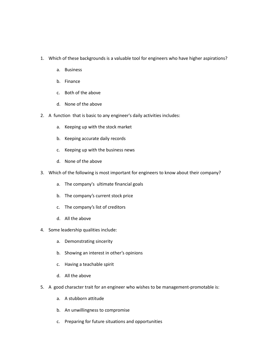- Which of these backgrounds is <sup>a</sup> valuable tool for engineers who have higher aspirations? f these backgrom<br>Business f these backgrou<br>Business<br>Finance ch of these backgrounds is a va<br>a. Business<br>b. Finance<br>c. Both of the above
	- a. Business
	-
	- Business<br>Finance<br>Both of the above<br>None of the above c. Both of the above
	- d. None of the above
- b. Finance<br>
c. Both of the above<br>
d. None of the above<br>
A function that is basic to any engineer's daily activities includes: Both of the above<br>None of the above<br>ion that is basic to any engineer's daily<br>Keeping up with the stock market None of the above<br>
ion that is basic to any engineer's dail<br>
Keeping up with the stock market<br>
Keeping accurate daily records motion that is basic to any engineer's daily act<br>a. Keeping up with the stock market<br>b. Keeping accurate daily records<br>c. Keeping up with the business news
	- a. Keeping up with the stock market
	- b. Keeping accurate daily records
	- c. Keeping up with the business news
	- d. None of the above
- b. Keeping accurate daily records<br>
c. Keeping up with the business news<br>
d. None of the above<br>
Which of the following is most important for engineers to know about their company? Keeping up with the business news<br>None of the above<br>f the following is most important for engineers<br>The company's ultimate financial goals None of the above<br>f the following is most important for engine<br>The company's ultimate financial goals<br>The company's current stock price ch of the following is most important for exercise to the company's ultimate financial goad.<br>
The company's current stock price<br>
Francial goad.<br>
The company's list of creditors
	-
	- a. The company's ultima<br>b. The company's currence.<br>c. The company's list of company's list of company's list of company b. The company's current stock pr<br>c. The company's list of creditors<br>d. All the above<br>Some leadership qualities include:
		- c. The company's list of creditors<br>d. All the above<br>ne leadership qualities include:<br>a. Demonstrating sincerity
		- d. All the above
- 4. Some leadership qualities include:
	- a. Demonstrating sincerity Demonstrating sinceri<br>Showing an interest in<br>Having a teachable spi<br>All the above
- All the above<br>adership qualities include:<br>Demonstrating sincerity<br>Showing an interest in other's opinions b. Showing an interest in other's opinions
	-
	- d. All the above
- b. Showing an interest in other's opinions<br>
c. Having a teachable spirit<br>
d. All the above<br>
A good character trait for an engineer who wishes to be management-promotable is: Having a teachable spirit<br>All the above<br>character trait for an enginee<br>A stubborn attitude All the above<br>character trait for an engineer who wishe<br>A stubborn attitude<br>An unwillingness to compromise ood character trait for an engineer who wishes to be<br>a. A stubborn attitude<br>b. An unwillingness to compromise<br>c. Preparing for future situations and opportunities
	-
	-
	-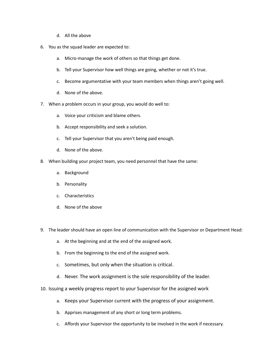- All the above
- d. All the above<br>You as the squad leader are expected to:
	- d. All the above<br>as the squad leader are expected to:<br>a. Micro-manage the work of others so that things get done. d. All the above<br>as the squad leader are expected to:<br>a. Micro-manage the work of others so that things get done.<br>b. Tell your Supervisor how well things are going, whether or not it's true.
	- as the squad leader are expected to:<br>
	a. Micro-manage the work of others so that things get done.<br>
	b. Tell your Supervisor how well things are going, whether or not it's true.<br>
	c. Become argumentative with your team member
- a. Micro-manage the work<br>b. Tell your Supervisor hov<br>c. Become argumentative<br>d. None of the above. b. Tell your Supervisor how well things are going, whether o<br>c. Become argumentative with your team members when th<br>d. None of the above.<br>When a problem occurs in your group, you would do well to: c. Become argumentative with your team me<br>d. None of the above.<br>en a problem occurs in your group, you would d<br>a. Voice vour criticism and blame others.
	-
- d. None of the above.<br>
7. When a problem occurs in your group, you would do well to:<br>
a. Voice your criticism and blame others.<br>
b. Accept responsibility and seek a solution. en a problem occurs in your group, you would do well to:<br>a. Voice your criticism and blame others.<br>b. Accept responsibility and seek a solution.<br>c. Tell vour Supervisor that you aren't being paid enough.
- a. Voice your criticism and<br>b. Accept responsibility an<br>c. Tell your Supervisor that<br>d. None of the above.
	-
	- c. Tell your Supervisor the<br>d. None of the above.<br>en building your project te<br>a. Background
	- d. None of the above. None of the above.<br>uilding your project<br>Background<br>Personality
- b. Accept responsibility and seek a solution.<br>
c. Tell your Supervisor that you aren't being paid enough.<br>
d. None of the above.<br>
When building your project team, you need personnel that have the same: en building your project te<br>a. Background<br>b. Personality<br>c. Characteristics
	- a. Background
	-
	-
	- Background<br>Personality<br>Characteristics<br>None of the above d. None of the above
- c. Characteristics<br>
d. None of the above<br>
The leader should have an open line of communication with the Supervisor or Department Head: At the beginning and at the end of the assigned work.<br>At the beginning and at the end of the assigned work. Sometimes, but only an open line of communication with the Sup<br>
Sometimes, and at the end of the assigned work.<br>
Sometimes, but only when the situation is critical.
	- From the beginning and at the end of the assigned work.<br>From the beginning and at the end of the assigned work.<br>From the beginning to the end of the assigned work.
	-
	- c. Sometimes, but only when the situation is critical.
- a. At the beginning and at the end of the assigned work.<br>
b. From the beginning to the end of the assigned work.<br>
c. Sometimes, but only when the situation is critical.<br>
d. Never. The work assignment is the sole responsibi Issuing a weekly progress report to your Supervisor for the assigned work.<br>
Issuing a weekly progress report to your Supervisor for the assigned work<br>
Issuing a weekly progress report to your Supervisor for the assigned wo c. Sometimes, but only when the situation is critical.<br>
d. Never. The work assignment is the sole responsibility of the leader.<br>
ing a weekly progress report to your Supervisor for the assigned work<br>
a. Keeps your Supervis
- d. Never. The work assignment is the sole responsibility of th<br>ing a weekly progress report to your Supervisor for the assign<br>a. Keeps your Supervisor current with the progress of your as<br>b. Apprises management of any shor 10. Issuing a weekly progress report to your Supervisor for the assigned work<br>
a. Keeps your Supervisor current with the progress of your assignment.<br>
b. Apprises management of any short or long term problems.<br>
c. Affords
	-
	-
	-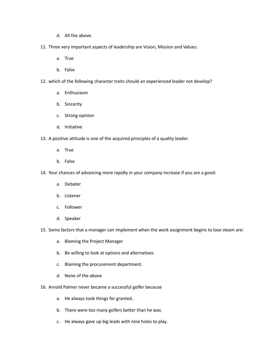- d. All the above. d. All the above.
- d. All the above.<br>Three very important aspects of leadership are Vision, Mission and Values: All the above.<br>Pry important<br>True All the above.<br>ery important<br>True<br>False Three very important aspects of leadership are Vision, Mission and Values:<br>
a. True<br>
b. False<br>
which of the following character traits should an experienced leader not develop?
	- a.
	- b.
- True<br>False<br>f the following character tr<br>Enthusiasm False<br>f the following ch<br>Enthusiasm<br>Sinceritv ch of the following character<br>a. Enthusiasm<br>b. Sincerity<br>c. Strong opinion
	- a. Enthusiasm
	-
	- Enthusiasm<br>Sincerity<br>Strong opinion<br>Initiative Strong opinio<br>Initiative<br>ve attitude is d<br>True
	- d. Initiative
- b. Sincerity<br>
c. Strong opinion<br>
d. Initiative<br>
A positive attitude is one of the acquired principles of a quality leader. Initiative<br>ve attitude is o<br>True<br>False 13. A positive attitude is one of the acquired principles of a quality leader.<br>
a. True<br>
b. False<br>
14. Your chances of advancing more rapidly in your company increase if you are a good:
	- a.
	- b.
- True<br>False<br>ances of advan<br>Debater False<br>ances of advan<br>Debater<br>Listener chances of advanc<br>a. Debater<br>b. Listener<br>c. Follower
	- a. Debater
	-
	- Debater<br>Listener<br>Follower<br>Speaker c. Follower
	- d. Speaker
- b. Listener<br>
C. Follower<br>
d. Speaker<br>
Some factors that a manager can implement when the work assignment begins to lose steam are: Follower<br>Speaker<br>ctors that a manager can implemen<br>Blaming the Proiect Manager Speaker<br>ctors that a manager can implement when the work<br>Blaming the Project Manager<br>Be willing to look at options and alternatives
	- Blaming the Project Manage<br>Be willing to look at options<br>Blaming the procurement d<br>None of the above
	- ie factors that a manager can implement when to<br>a. Blaming the Project Manager<br>b. Be willing to look at options and alternative<br>c. Blaming the procurement department. b. Be willing to look at options and alternatives<br>
	c. Blaming the procurement department.<br>
	d. None of the above<br>
	Arnold Palmer never became a successful golfer because
		- o. Blaming the procurement department.<br>
		d. None of the above<br>
		bld Palmer never became a successful golfer<br>
		a. He always took things for granted..
		-
- d. None of the above<br>bld Palmer never became a successful golfer because<br>a. He always took things for granted..<br>b. There were too many golfers better than he was.
	-
	- Palmer never became a successful golfer because<br>He always took things for granted..<br>There were too many golfers better than he was.<br>He always gave up big leads with nine holes to play.
	-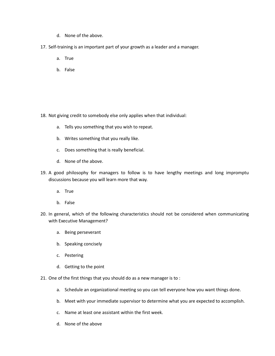- d. None of the above. d. None of the above.
- d. None of the above.<br>Self-training is an important part of your growth as a leader and a manager. None of the a<br>ning is an imp<br>True None of the al<br>ning is an impo<br>True<br>False
	-
	-

 Not giving credit to somebody else only applies when that individual: giving credit to somebody else only applies when that<br>a. Tells you something that you wish to repeat.

- giving credit to somebody else only applies with<br>a. Tells you something that you wish to reper<br>b. Writes something that you really like. giving credit to somebody else only applies wher<br>a. Tells you something that you wish to repeat.<br>b. Writes something that you really like.<br>c. Does something that is really beneficial.
- a. Tells you something that<br>b. Writes something that y<br>c. Does something that is ind. None of the above.  $\cup$ .  $\mathsf{v}\mathsf{v}\mathsf{l}$ 
	-
	- b.
- A good philosophy for managers to follow is to have lengthy meetings and long impromptuded and philosophy for managers to follow is to have lengthy meetings and long impromptuded by the managers of follow is to have length because you will learn more that way.<br>
thereficial.<br>
d. None of the above.<br>
bod philosophy for managers to follow is to h<br>
ussions because you will learn more that way. None of the a<br>philosophy 1<br>philosophy 1<br>ms because y<br>True philosophy forms because your<br>philosophy forms because your<br>True<br>False  $\overline{a}$ . In good philosophy for managers to follow is to have lengthy meetings and forig impromptandiscussions because you will learn more that way.<br>
a. True<br>
In general, which of the following characteristics should not be conside discussions because you will learn more that way.
	- a.
	- b.
- Executive Management?<br>
Executive Management?<br>
Executive Management? False<br>False<br>ral, which of the followi<br>cutive Management?<br>Being perseverant ral, which of the following<br>
ecutive Management?<br>
Being perseverant<br>
Speaking conciselv c.with Executive Management?<br>a. Being perseverant<br>b. Speaking concisely
	- a. Being perseverant
	- Being perseverant<br>Speaking concisely<br>Pestering<br>Getting to the point
	- c. Pestering
	-
- b. Speaking concisely<br>
c. Pestering<br>
d. Getting to the point<br>
One of the first things that you should do as a new manager is to :
	- Schedule an organizational meeting so you can tell everyone how you want things done.<br>Schedule an organizational meeting so you can tell everyone how you want things done. Meet with your should do as a new manager is to :<br>a. Schedule an organizational meeting so you can tell everyone how you want things done.<br>b. Meet with your immediate supervisor to determine what you are expected to accomp Schedule an organiza<br>Meet with your imme<br>Name at least one as<br>None of the above
- 21. One of the first things that you should do as a new manager is to :<br>
a. Schedule an organizational meeting so you can tell everyone how you want things done.<br>
b. Meet with your immediate supervisor to determine what yo
	-
	-